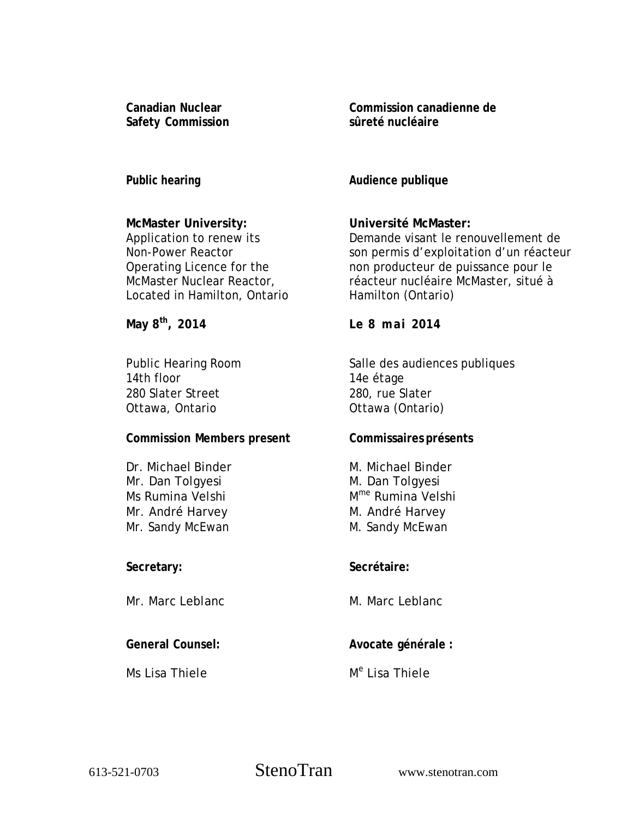**Canadian Nuclear Safety Commission**  **Commission canadienne de sûreté nucléaire** 

**Public hearing** 

## **McMaster University:**

Application to renew its Non-Power Reactor Operating Licence for the McMaster Nuclear Reactor, Located in Hamilton, Ontario

**May 8th, 2014** 

Public Hearing Room 14th floor 280 Slater Street Ottawa, Ontario

## **Commission Members present**

Dr. Michael Binder Mr. Dan Tolgyesi Ms Rumina Velshi Mr. André Harvey Mr. Sandy McEwan

## **Secretary:**

Mr. Marc Leblanc

## **General Counsel:**

Ms Lisa Thiele

**Audience publique** 

## **Université McMaster:**

Demande visant le renouvellement de son permis d'exploitation d'un réacteur non producteur de puissance pour le réacteur nucléaire McMaster, situé à Hamilton (Ontario)

 **Le 8 mai 2014** 

Salle des audiences publiques 14e étage 280, rue Slater Ottawa (Ontario)

## **Commissaires présents**

 M. Michael Binder M. Dan Tolgyesi Mme Rumina Velshi M. André Harvey M. Sandy McEwan

## **Secrétaire:**

M. Marc Leblanc

## **Avocate générale :**

# M<sup>e</sup> Lisa Thiele

613-521-0703 StenoTran

www.stenotran.com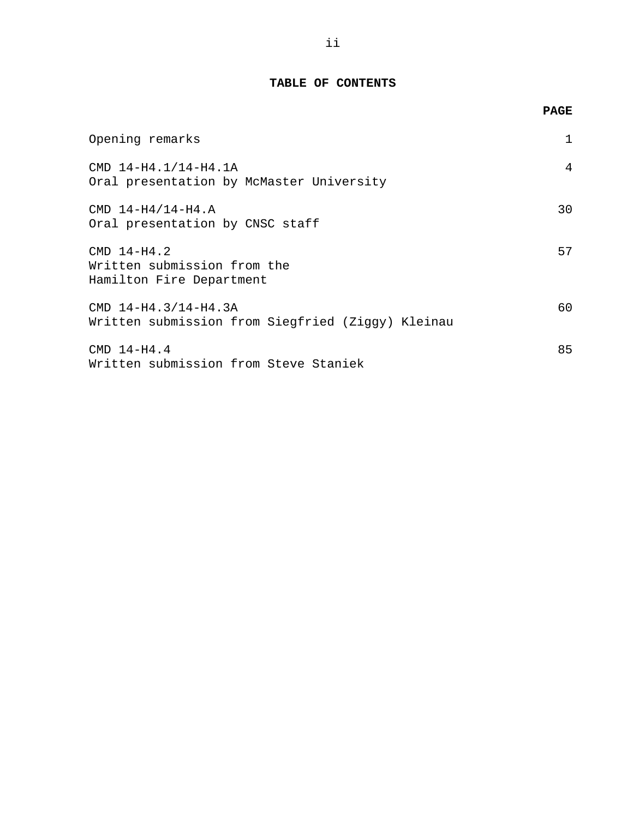#### **TABLE OF CONTENTS**

|                                                                           | <b>PAGE</b> |
|---------------------------------------------------------------------------|-------------|
| Opening remarks                                                           | 1           |
| CMD 14-H4.1/14-H4.1A<br>Oral presentation by McMaster University          | 4           |
| $CMD 14-H4/14-H4.A$<br>Oral presentation by CNSC staff                    | 30          |
| $CMD 14-H4.2$<br>Written submission from the<br>Hamilton Fire Department  | 57          |
| CMD 14-H4.3/14-H4.3A<br>Written submission from Siegfried (Ziggy) Kleinau | 60          |
| $CMD 14-H4.4$<br>Written submission from Steve Staniek                    | 85          |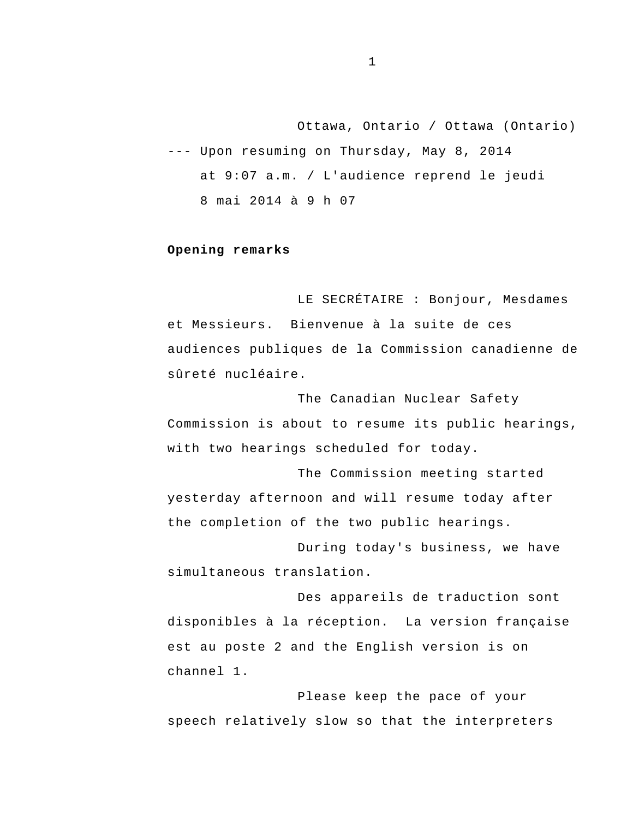<span id="page-2-0"></span>Ottawa, Ontario / Ottawa (Ontario) --- Upon resuming on Thursday, May 8, 2014 at 9:07 a.m. / L'audience reprend le jeudi 8 mai 2014 à 9 h 07

#### **Opening remarks**

 et Messieurs. Bienvenue à la suite de ces LE SECRÉTAIRE : Bonjour, Mesdames audiences publiques de la Commission canadienne de sûreté nucléaire.

The Canadian Nuclear Safety Commission is about to resume its public hearings, with two hearings scheduled for today.

The Commission meeting started yesterday afternoon and will resume today after the completion of the two public hearings.

During today's business, we have simultaneous translation.

Des appareils de traduction sont disponibles à la réception. La version française est au poste 2 and the English version is on channel 1.

Please keep the pace of your speech relatively slow so that the interpreters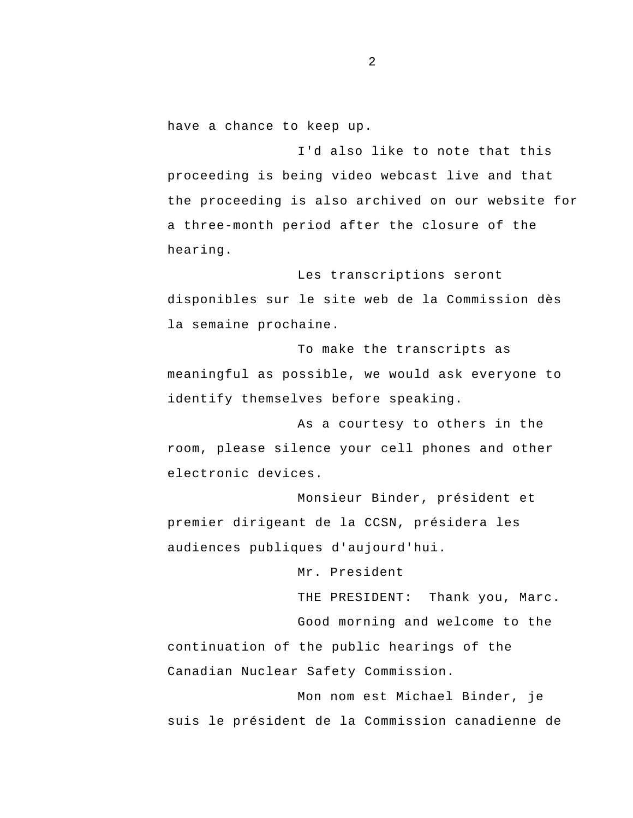have a chance to keep up.

I'd also like to note that this proceeding is being video webcast live and that the proceeding is also archived on our website for a three-month period after the closure of the hearing.

Les transcriptions seront disponibles sur le site web de la Commission dès la semaine prochaine.

To make the transcripts as meaningful as possible, we would ask everyone to identify themselves before speaking.

As a courtesy to others in the room, please silence your cell phones and other electronic devices.

Monsieur Binder, président et premier dirigeant de la CCSN, présidera les audiences publiques d'aujourd'hui.

Mr. President

THE PRESIDENT: Thank you, Marc.

Good morning and welcome to the continuation of the public hearings of the Canadian Nuclear Safety Commission.

Mon nom est Michael Binder, je suis le président de la Commission canadienne de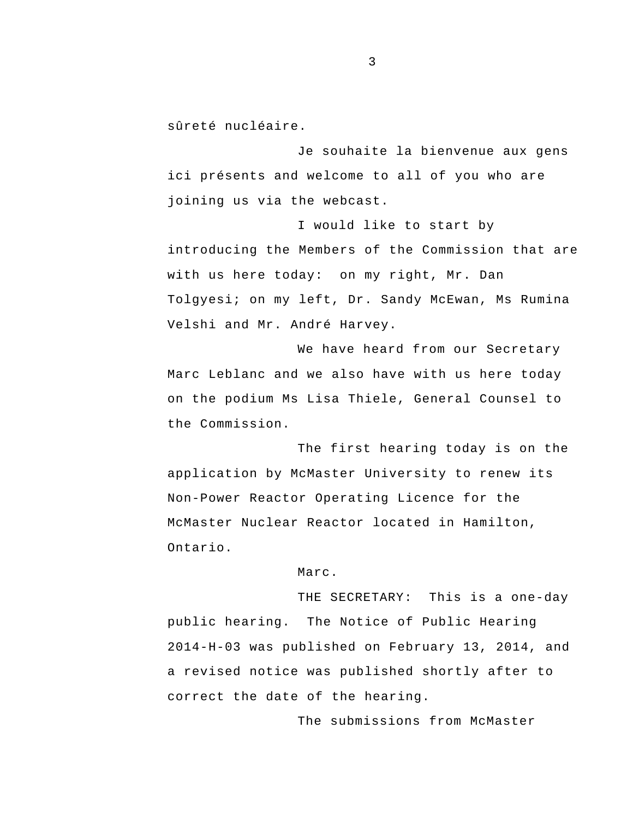sûreté nucléaire.

Je souhaite la bienvenue aux gens ici présents and welcome to all of you who are joining us via the webcast.

I would like to start by introducing the Members of the Commission that are with us here today: on my right, Mr. Dan Tolgyesi; on my left, Dr. Sandy McEwan, Ms Rumina Velshi and Mr. André Harvey.

We have heard from our Secretary Marc Leblanc and we also have with us here today on the podium Ms Lisa Thiele, General Counsel to the Commission.

The first hearing today is on the application by McMaster University to renew its Non-Power Reactor Operating Licence for the McMaster Nuclear Reactor located in Hamilton, Ontario.

Marc.

THE SECRETARY: This is a one-day public hearing. The Notice of Public Hearing 2014-H-03 was published on February 13, 2014, and a revised notice was published shortly after to correct the date of the hearing.

The submissions from McMaster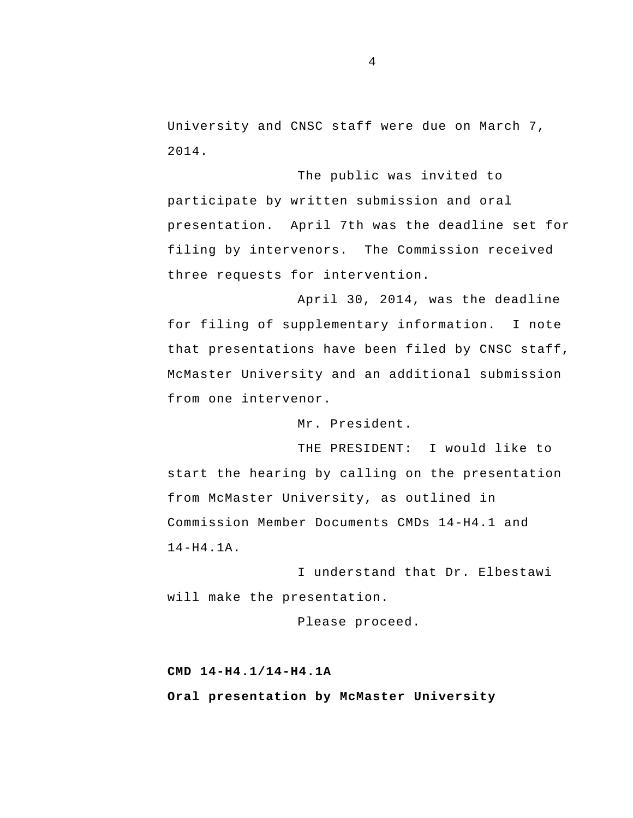University and CNSC staff were due on March 7, 2014.

 presentation. April 7th was the deadline set for The public was invited to participate by written submission and oral filing by intervenors. The Commission received three requests for intervention.

April 30, 2014, was the deadline for filing of supplementary information. I note that presentations have been filed by CNSC staff, McMaster University and an additional submission from one intervenor.

Mr. President.

THE PRESIDENT: I would like to start the hearing by calling on the presentation from McMaster University, as outlined in Commission Member Documents CMDs 14-H4.1 and 14-H4.1A.

I understand that Dr. Elbestawi will make the presentation.

Please proceed.

#### **CMD 14-H4.1/14-H4.1A**

**Oral presentation by McMaster University**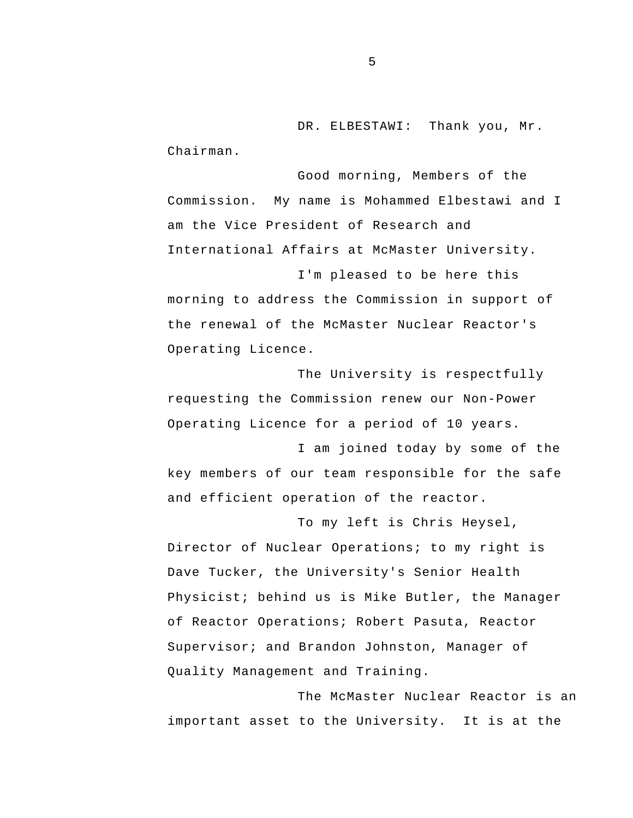DR. ELBESTAWI: Thank you, Mr. Chairman.

Good morning, Members of the Commission. My name is Mohammed Elbestawi and I am the Vice President of Research and International Affairs at McMaster University.

I'm pleased to be here this morning to address the Commission in support of the renewal of the McMaster Nuclear Reactor's Operating Licence.

The University is respectfully requesting the Commission renew our Non-Power Operating Licence for a period of 10 years.

I am joined today by some of the key members of our team responsible for the safe and efficient operation of the reactor.

To my left is Chris Heysel, Director of Nuclear Operations; to my right is Dave Tucker, the University's Senior Health Physicist; behind us is Mike Butler, the Manager of Reactor Operations; Robert Pasuta, Reactor Supervisor; and Brandon Johnston, Manager of Quality Management and Training.

The McMaster Nuclear Reactor is an important asset to the University. It is at the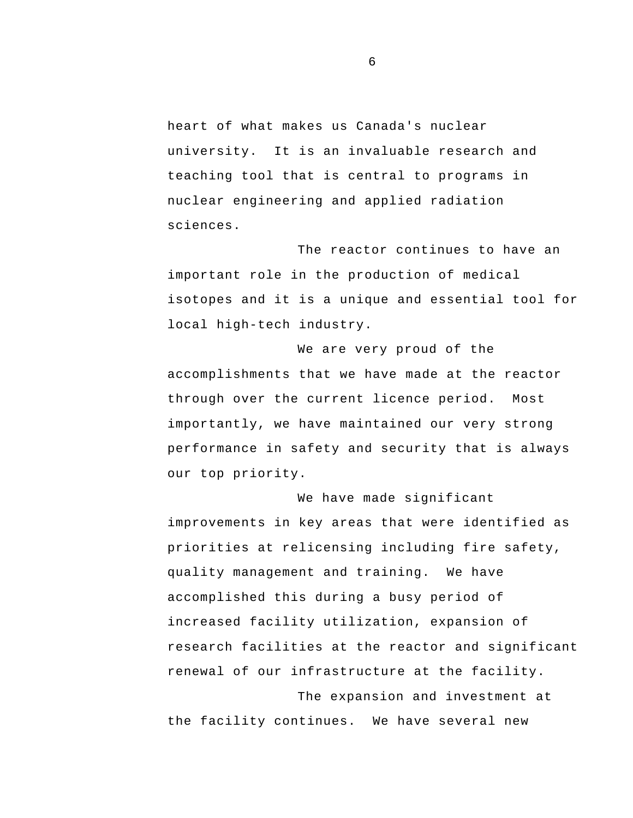heart of what makes us Canada's nuclear university. It is an invaluable research and teaching tool that is central to programs in nuclear engineering and applied radiation sciences.

The reactor continues to have an important role in the production of medical isotopes and it is a unique and essential tool for local high-tech industry.

We are very proud of the accomplishments that we have made at the reactor through over the current licence period. Most importantly, we have maintained our very strong performance in safety and security that is always our top priority.

We have made significant improvements in key areas that were identified as priorities at relicensing including fire safety, quality management and training. We have accomplished this during a busy period of increased facility utilization, expansion of research facilities at the reactor and significant renewal of our infrastructure at the facility.

The expansion and investment at the facility continues. We have several new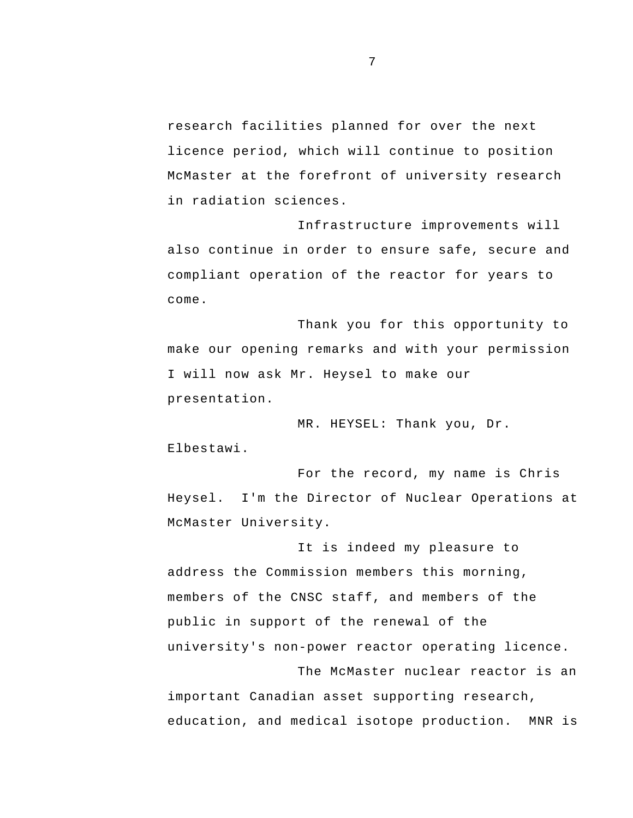research facilities planned for over the next licence period, which will continue to position McMaster at the forefront of university research in radiation sciences.

Infrastructure improvements will also continue in order to ensure safe, secure and compliant operation of the reactor for years to come.

Thank you for this opportunity to make our opening remarks and with your permission I will now ask Mr. Heysel to make our presentation.

MR. HEYSEL: Thank you, Dr. Elbestawi.

For the record, my name is Chris Heysel. I'm the Director of Nuclear Operations at McMaster University.

It is indeed my pleasure to address the Commission members this morning, members of the CNSC staff, and members of the public in support of the renewal of the university's non-power reactor operating licence. The McMaster nuclear reactor is an

important Canadian asset supporting research, education, and medical isotope production. MNR is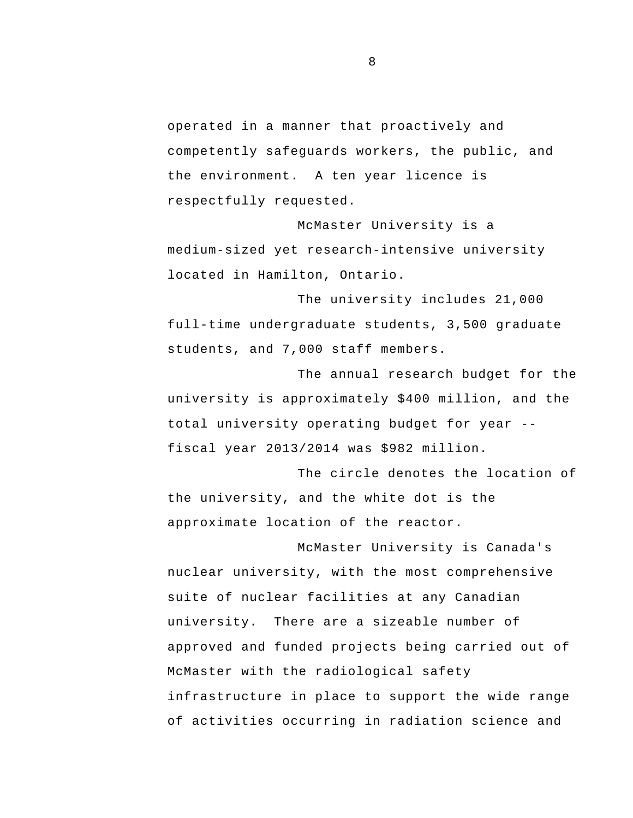operated in a manner that proactively and competently safeguards workers, the public, and the environment. A ten year licence is respectfully requested.

McMaster University is a medium-sized yet research-intensive university located in Hamilton, Ontario.

The university includes 21,000 full-time undergraduate students, 3,500 graduate students, and 7,000 staff members.

 total university operating budget for year - The annual research budget for the university is approximately \$400 million, and the fiscal year 2013/2014 was \$982 million.

The circle denotes the location of the university, and the white dot is the approximate location of the reactor.

McMaster University is Canada's nuclear university, with the most comprehensive suite of nuclear facilities at any Canadian university. There are a sizeable number of approved and funded projects being carried out of McMaster with the radiological safety infrastructure in place to support the wide range of activities occurring in radiation science and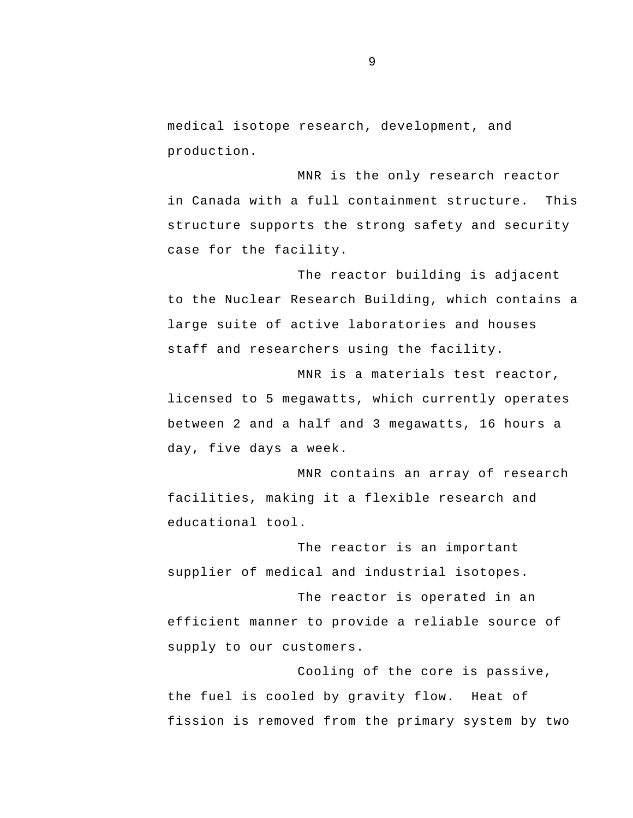medical isotope research, development, and production.

MNR is the only research reactor in Canada with a full containment structure. This structure supports the strong safety and security case for the facility.

The reactor building is adjacent to the Nuclear Research Building, which contains a large suite of active laboratories and houses staff and researchers using the facility.

MNR is a materials test reactor, licensed to 5 megawatts, which currently operates between 2 and a half and 3 megawatts, 16 hours a day, five days a week.

MNR contains an array of research facilities, making it a flexible research and educational tool.

The reactor is an important supplier of medical and industrial isotopes.

The reactor is operated in an efficient manner to provide a reliable source of supply to our customers.

Cooling of the core is passive, the fuel is cooled by gravity flow. Heat of fission is removed from the primary system by two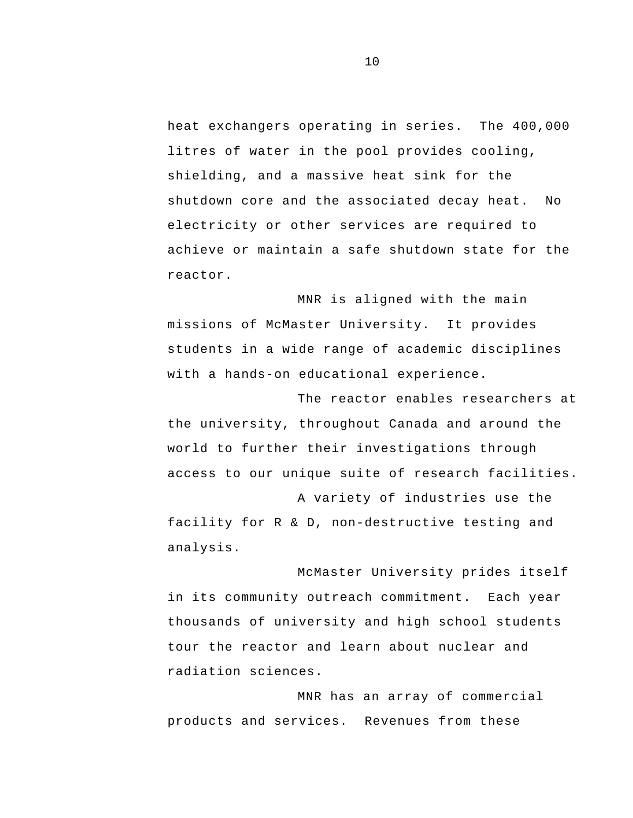heat exchangers operating in series. The 400,000 litres of water in the pool provides cooling, shielding, and a massive heat sink for the shutdown core and the associated decay heat. No electricity or other services are required to achieve or maintain a safe shutdown state for the reactor.

MNR is aligned with the main missions of McMaster University. It provides students in a wide range of academic disciplines with a hands-on educational experience.

The reactor enables researchers at the university, throughout Canada and around the world to further their investigations through access to our unique suite of research facilities.

A variety of industries use the facility for R & D, non-destructive testing and analysis.

McMaster University prides itself in its community outreach commitment. Each year thousands of university and high school students tour the reactor and learn about nuclear and radiation sciences.

MNR has an array of commercial products and services. Revenues from these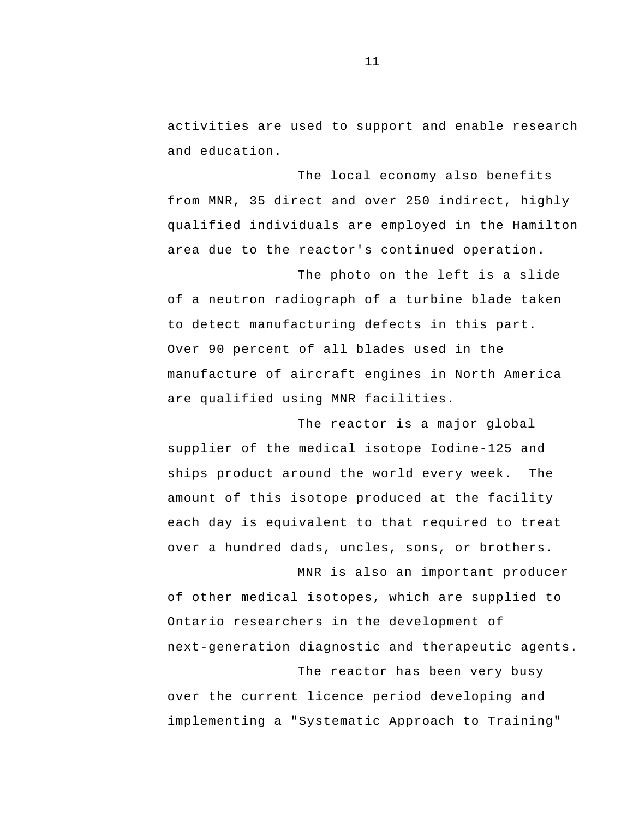activities are used to support and enable research and education.

The local economy also benefits from MNR, 35 direct and over 250 indirect, highly qualified individuals are employed in the Hamilton area due to the reactor's continued operation.

The photo on the left is a slide of a neutron radiograph of a turbine blade taken to detect manufacturing defects in this part. Over 90 percent of all blades used in the manufacture of aircraft engines in North America are qualified using MNR facilities.

The reactor is a major global supplier of the medical isotope Iodine-125 and ships product around the world every week. The amount of this isotope produced at the facility each day is equivalent to that required to treat over a hundred dads, uncles, sons, or brothers.

MNR is also an important producer of other medical isotopes, which are supplied to Ontario researchers in the development of next-generation diagnostic and therapeutic agents.

The reactor has been very busy over the current licence period developing and implementing a "Systematic Approach to Training"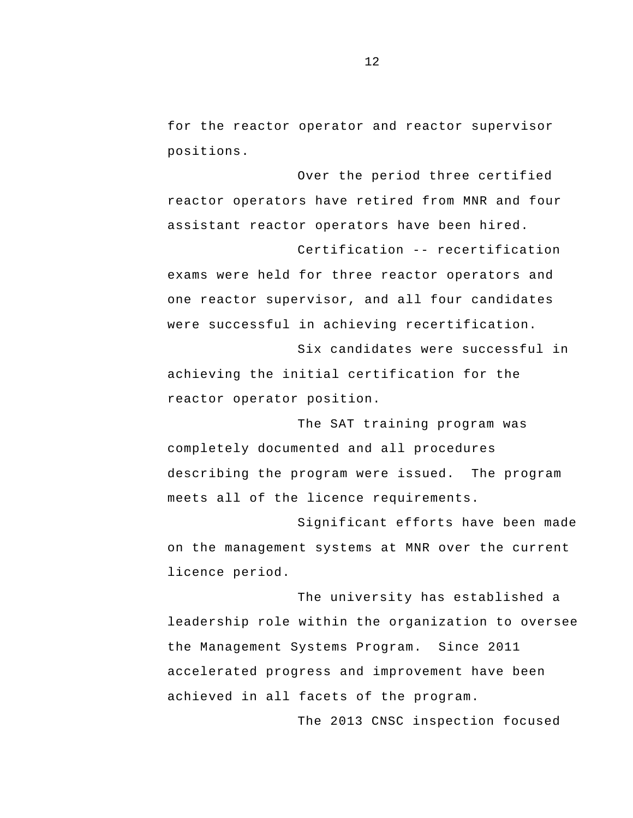for the reactor operator and reactor supervisor positions.

Over the period three certified reactor operators have retired from MNR and four assistant reactor operators have been hired.

 Certification -- recertification exams were held for three reactor operators and one reactor supervisor, and all four candidates were successful in achieving recertification.

Six candidates were successful in achieving the initial certification for the reactor operator position.

The SAT training program was completely documented and all procedures describing the program were issued. The program meets all of the licence requirements.

Significant efforts have been made on the management systems at MNR over the current licence period.

The university has established a leadership role within the organization to oversee the Management Systems Program. Since 2011 accelerated progress and improvement have been achieved in all facets of the program.

The 2013 CNSC inspection focused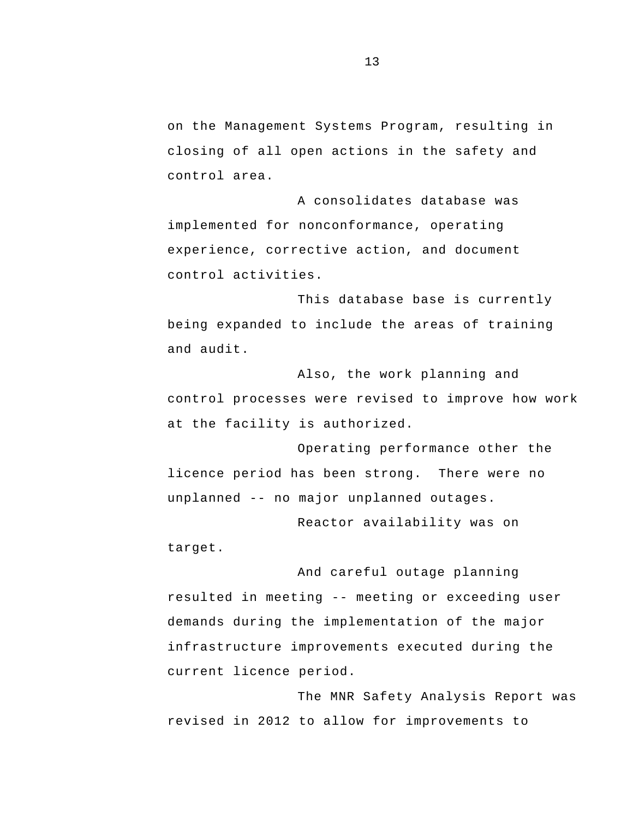on the Management Systems Program, resulting in closing of all open actions in the safety and control area.

A consolidates database was implemented for nonconformance, operating experience, corrective action, and document control activities.

This database base is currently being expanded to include the areas of training and audit.

Also, the work planning and control processes were revised to improve how work at the facility is authorized.

 unplanned -- no major unplanned outages. Operating performance other the licence period has been strong. There were no

Reactor availability was on target.

 resulted in meeting -- meeting or exceeding user And careful outage planning demands during the implementation of the major infrastructure improvements executed during the current licence period.

The MNR Safety Analysis Report was revised in 2012 to allow for improvements to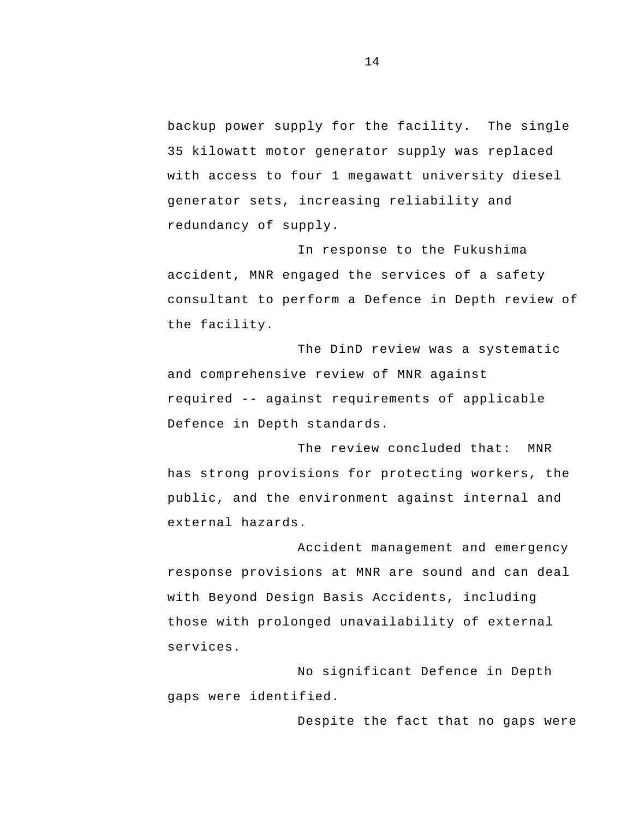backup power supply for the facility. The single 35 kilowatt motor generator supply was replaced with access to four 1 megawatt university diesel generator sets, increasing reliability and redundancy of supply.

In response to the Fukushima accident, MNR engaged the services of a safety consultant to perform a Defence in Depth review of the facility.

 required -- against requirements of applicable The DinD review was a systematic and comprehensive review of MNR against Defence in Depth standards.

The review concluded that: MNR has strong provisions for protecting workers, the public, and the environment against internal and external hazards.

Accident management and emergency response provisions at MNR are sound and can deal with Beyond Design Basis Accidents, including those with prolonged unavailability of external services.

No significant Defence in Depth gaps were identified.

Despite the fact that no gaps were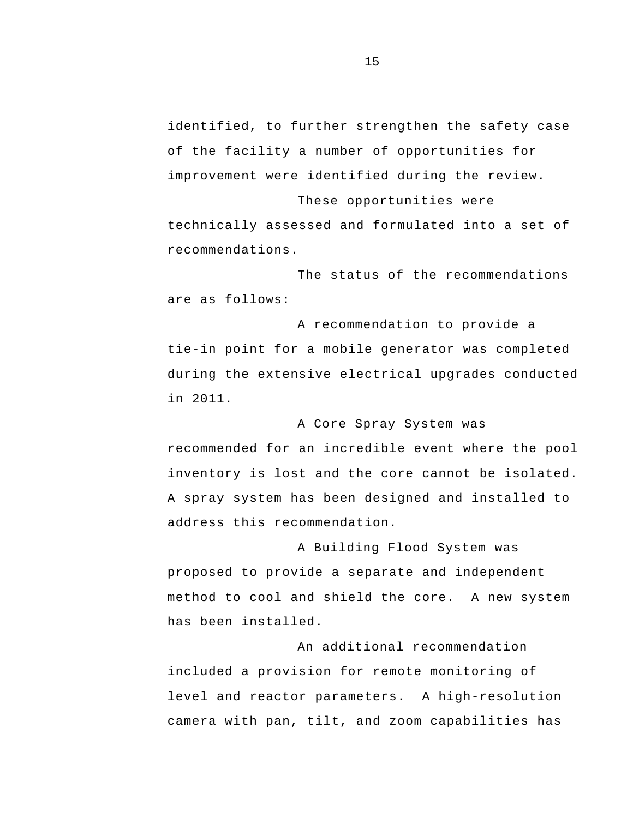identified, to further strengthen the safety case of the facility a number of opportunities for improvement were identified during the review.

These opportunities were technically assessed and formulated into a set of recommendations.

The status of the recommendations are as follows:

A recommendation to provide a tie-in point for a mobile generator was completed during the extensive electrical upgrades conducted in 2011.

A Core Spray System was recommended for an incredible event where the pool inventory is lost and the core cannot be isolated. A spray system has been designed and installed to address this recommendation.

A Building Flood System was proposed to provide a separate and independent method to cool and shield the core. A new system has been installed.

An additional recommendation included a provision for remote monitoring of level and reactor parameters. A high-resolution camera with pan, tilt, and zoom capabilities has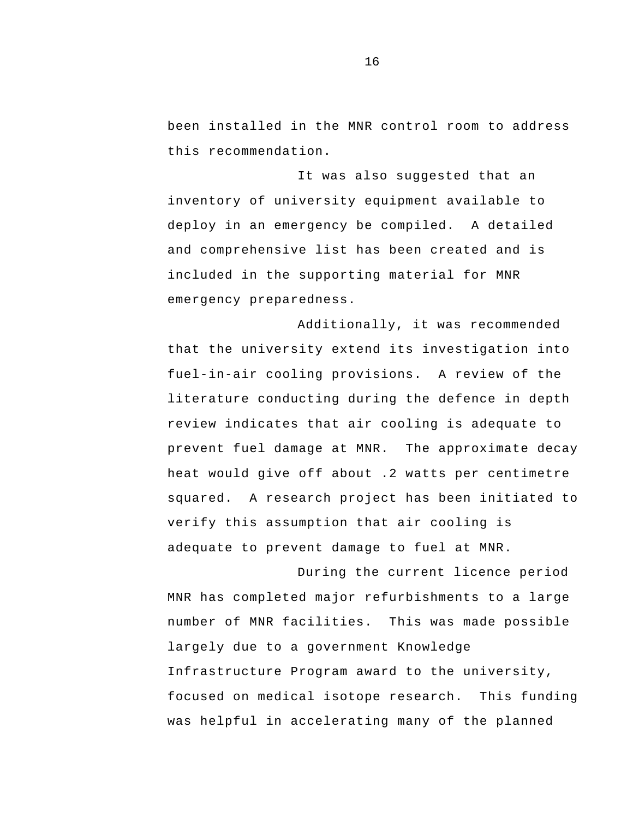been installed in the MNR control room to address this recommendation.

It was also suggested that an inventory of university equipment available to deploy in an emergency be compiled. A detailed and comprehensive list has been created and is included in the supporting material for MNR emergency preparedness.

Additionally, it was recommended that the university extend its investigation into fuel-in-air cooling provisions. A review of the literature conducting during the defence in depth review indicates that air cooling is adequate to prevent fuel damage at MNR. The approximate decay heat would give off about .2 watts per centimetre squared. A research project has been initiated to verify this assumption that air cooling is adequate to prevent damage to fuel at MNR.

During the current licence period MNR has completed major refurbishments to a large number of MNR facilities. This was made possible largely due to a government Knowledge Infrastructure Program award to the university, focused on medical isotope research. This funding was helpful in accelerating many of the planned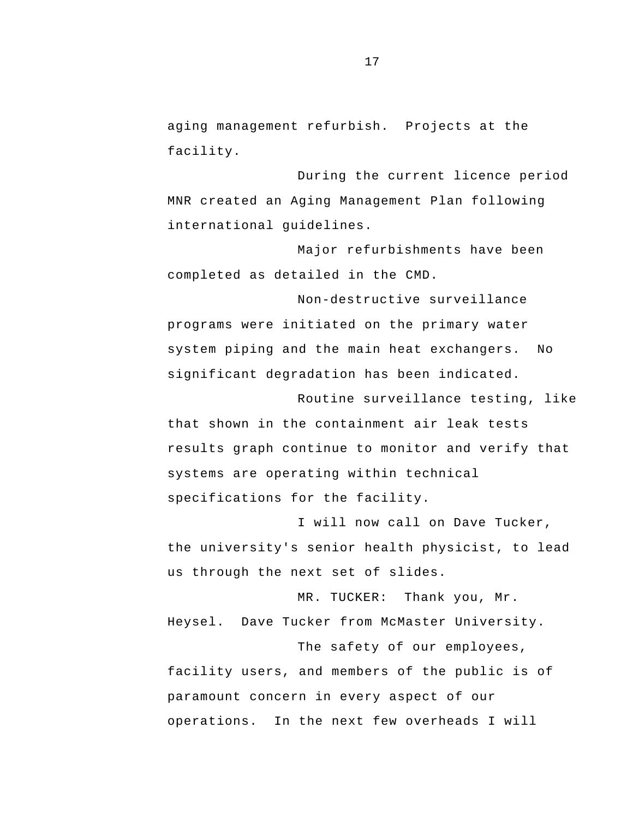aging management refurbish. Projects at the facility.

During the current licence period MNR created an Aging Management Plan following international guidelines.

Major refurbishments have been completed as detailed in the CMD.

 system piping and the main heat exchangers. No Non-destructive surveillance programs were initiated on the primary water significant degradation has been indicated.

Routine surveillance testing, like that shown in the containment air leak tests results graph continue to monitor and verify that systems are operating within technical specifications for the facility.

I will now call on Dave Tucker, the university's senior health physicist, to lead us through the next set of slides.

MR. TUCKER: Thank you, Mr. Heysel. Dave Tucker from McMaster University. The safety of our employees,

facility users, and members of the public is of paramount concern in every aspect of our operations. In the next few overheads I will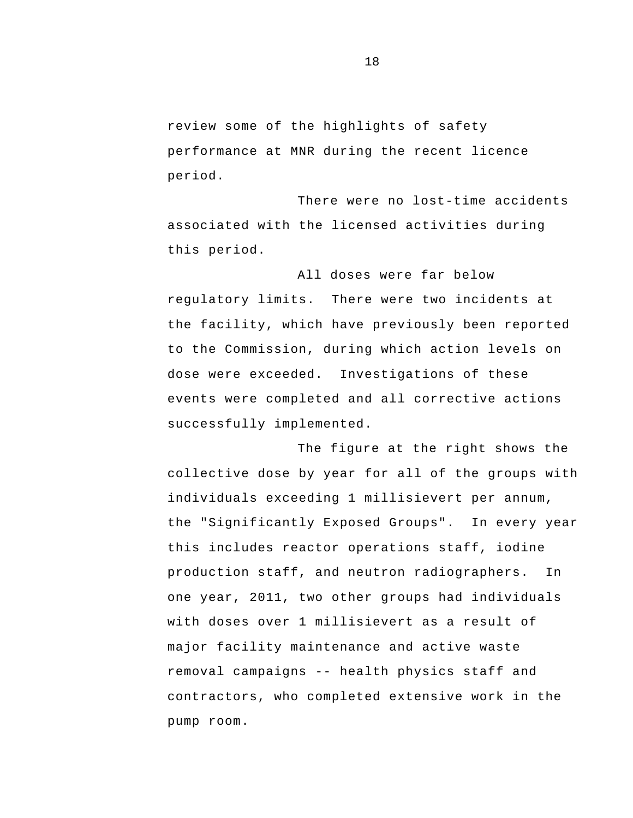review some of the highlights of safety performance at MNR during the recent licence period.

There were no lost-time accidents associated with the licensed activities during this period.

All doses were far below regulatory limits. There were two incidents at the facility, which have previously been reported to the Commission, during which action levels on dose were exceeded. Investigations of these events were completed and all corrective actions successfully implemented.

 removal campaigns -- health physics staff and The figure at the right shows the collective dose by year for all of the groups with individuals exceeding 1 millisievert per annum, the "Significantly Exposed Groups". In every year this includes reactor operations staff, iodine production staff, and neutron radiographers. In one year, 2011, two other groups had individuals with doses over 1 millisievert as a result of major facility maintenance and active waste contractors, who completed extensive work in the pump room.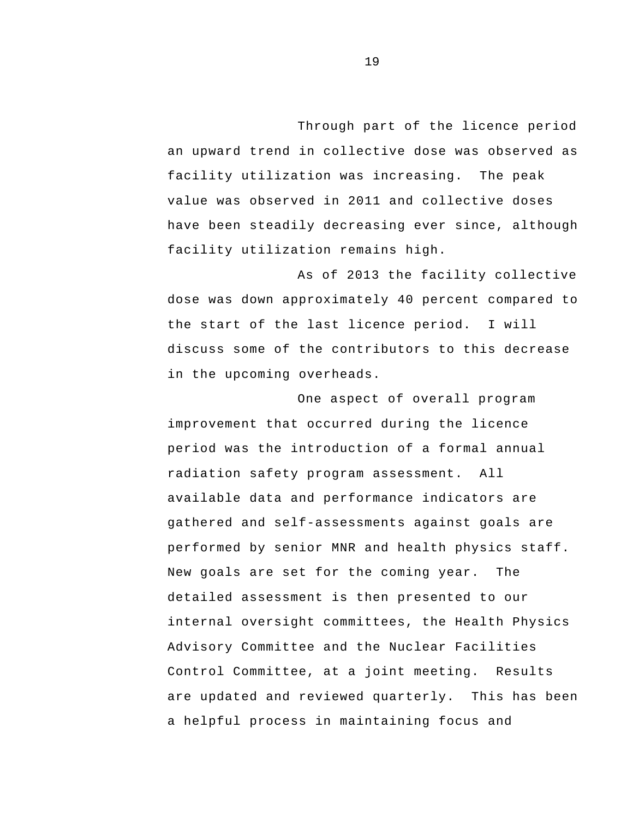Through part of the licence period an upward trend in collective dose was observed as facility utilization was increasing. The peak value was observed in 2011 and collective doses have been steadily decreasing ever since, although facility utilization remains high.

As of 2013 the facility collective dose was down approximately 40 percent compared to the start of the last licence period. I will discuss some of the contributors to this decrease in the upcoming overheads.

One aspect of overall program improvement that occurred during the licence period was the introduction of a formal annual radiation safety program assessment. All available data and performance indicators are gathered and self-assessments against goals are performed by senior MNR and health physics staff. New goals are set for the coming year. The detailed assessment is then presented to our internal oversight committees, the Health Physics Advisory Committee and the Nuclear Facilities Control Committee, at a joint meeting. Results are updated and reviewed quarterly. This has been a helpful process in maintaining focus and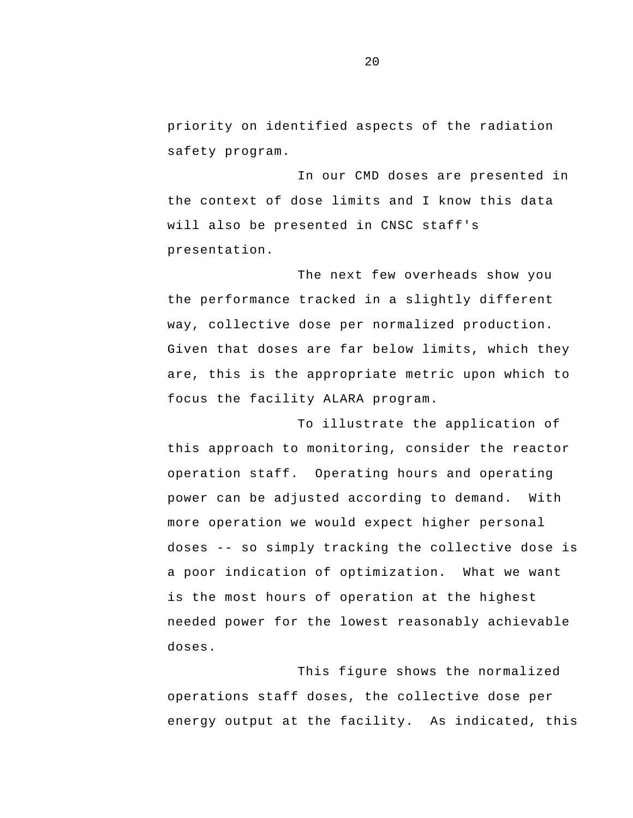priority on identified aspects of the radiation safety program.

In our CMD doses are presented in the context of dose limits and I know this data will also be presented in CNSC staff's presentation.

The next few overheads show you the performance tracked in a slightly different way, collective dose per normalized production. Given that doses are far below limits, which they are, this is the appropriate metric upon which to focus the facility ALARA program.

 doses -- so simply tracking the collective dose is To illustrate the application of this approach to monitoring, consider the reactor operation staff. Operating hours and operating power can be adjusted according to demand. With more operation we would expect higher personal a poor indication of optimization. What we want is the most hours of operation at the highest needed power for the lowest reasonably achievable doses.

This figure shows the normalized operations staff doses, the collective dose per energy output at the facility. As indicated, this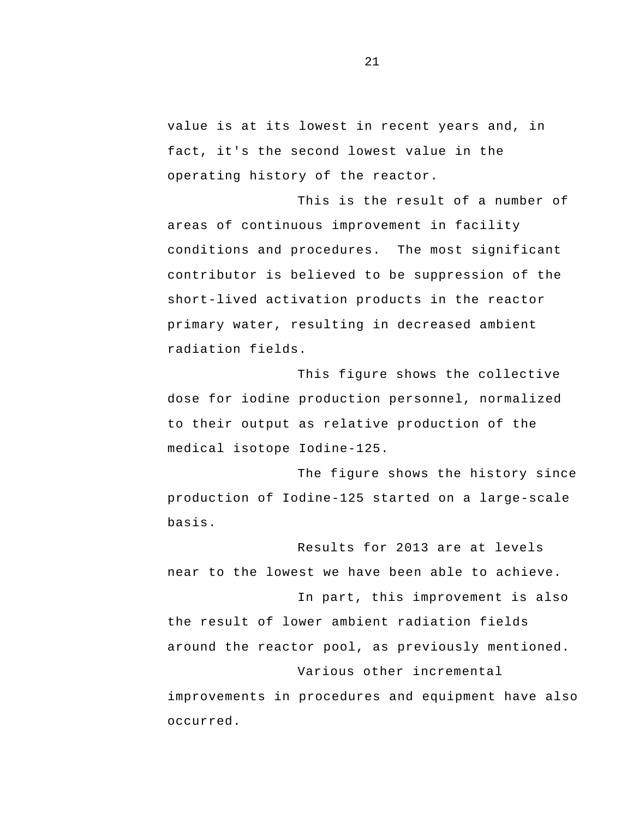value is at its lowest in recent years and, in fact, it's the second lowest value in the operating history of the reactor.

This is the result of a number of areas of continuous improvement in facility conditions and procedures. The most significant contributor is believed to be suppression of the short-lived activation products in the reactor primary water, resulting in decreased ambient radiation fields.

This figure shows the collective dose for iodine production personnel, normalized to their output as relative production of the medical isotope Iodine-125.

The figure shows the history since production of Iodine-125 started on a large-scale basis.

Results for 2013 are at levels near to the lowest we have been able to achieve. In part, this improvement is also the result of lower ambient radiation fields around the reactor pool, as previously mentioned. Various other incremental improvements in procedures and equipment have also occurred.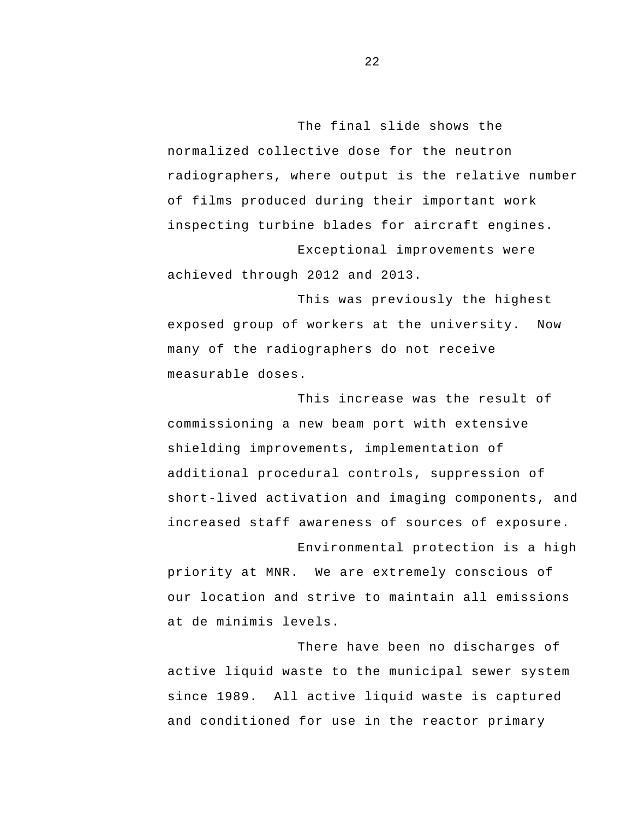The final slide shows the normalized collective dose for the neutron radiographers, where output is the relative number of films produced during their important work inspecting turbine blades for aircraft engines. Exceptional improvements were

achieved through 2012 and 2013.

 exposed group of workers at the university. Now This was previously the highest many of the radiographers do not receive measurable doses.

This increase was the result of commissioning a new beam port with extensive shielding improvements, implementation of additional procedural controls, suppression of short-lived activation and imaging components, and increased staff awareness of sources of exposure. Environmental protection is a high

priority at MNR. We are extremely conscious of our location and strive to maintain all emissions at de minimis levels.

There have been no discharges of active liquid waste to the municipal sewer system since 1989. All active liquid waste is captured and conditioned for use in the reactor primary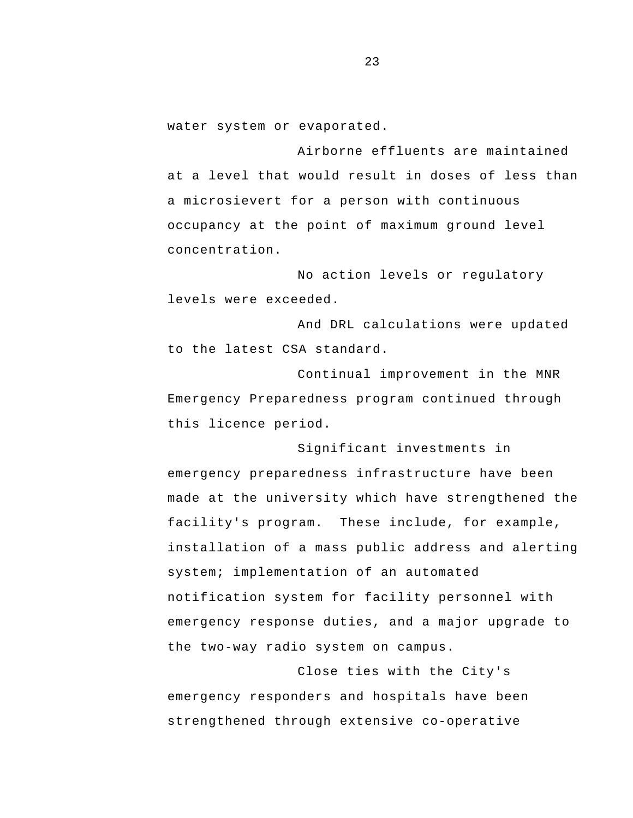water system or evaporated.

Airborne effluents are maintained at a level that would result in doses of less than a microsievert for a person with continuous occupancy at the point of maximum ground level concentration.

No action levels or regulatory levels were exceeded.

And DRL calculations were updated to the latest CSA standard.

Continual improvement in the MNR Emergency Preparedness program continued through this licence period.

Significant investments in emergency preparedness infrastructure have been made at the university which have strengthened the facility's program. These include, for example, installation of a mass public address and alerting system; implementation of an automated notification system for facility personnel with emergency response duties, and a major upgrade to the two-way radio system on campus.

Close ties with the City's emergency responders and hospitals have been strengthened through extensive co-operative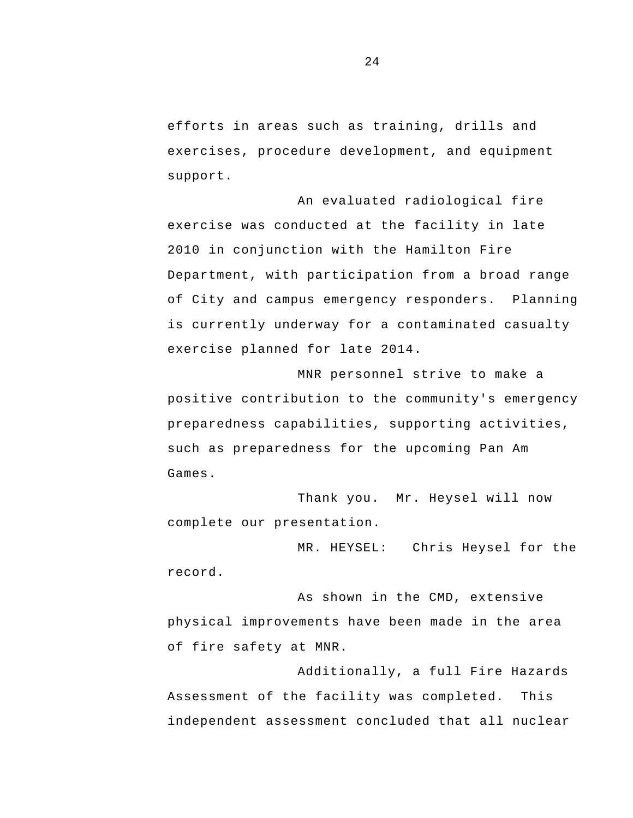efforts in areas such as training, drills and exercises, procedure development, and equipment support.

 of City and campus emergency responders. Planning An evaluated radiological fire exercise was conducted at the facility in late 2010 in conjunction with the Hamilton Fire Department, with participation from a broad range is currently underway for a contaminated casualty exercise planned for late 2014.

MNR personnel strive to make a positive contribution to the community's emergency preparedness capabilities, supporting activities, such as preparedness for the upcoming Pan Am Games.

Thank you. Mr. Heysel will now complete our presentation.

MR. HEYSEL: Chris Heysel for the record.

As shown in the CMD, extensive physical improvements have been made in the area of fire safety at MNR.

Additionally, a full Fire Hazards Assessment of the facility was completed. This independent assessment concluded that all nuclear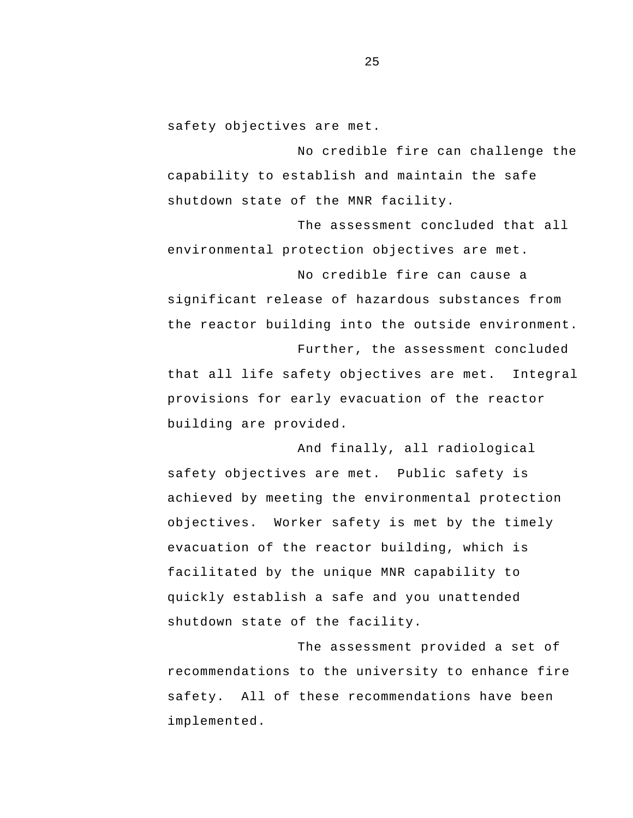safety objectives are met.

No credible fire can challenge the capability to establish and maintain the safe shutdown state of the MNR facility.

The assessment concluded that all environmental protection objectives are met.

No credible fire can cause a significant release of hazardous substances from the reactor building into the outside environment.

Further, the assessment concluded that all life safety objectives are met. Integral provisions for early evacuation of the reactor building are provided.

And finally, all radiological safety objectives are met. Public safety is achieved by meeting the environmental protection objectives. Worker safety is met by the timely evacuation of the reactor building, which is facilitated by the unique MNR capability to quickly establish a safe and you unattended shutdown state of the facility.

The assessment provided a set of recommendations to the university to enhance fire safety. All of these recommendations have been implemented.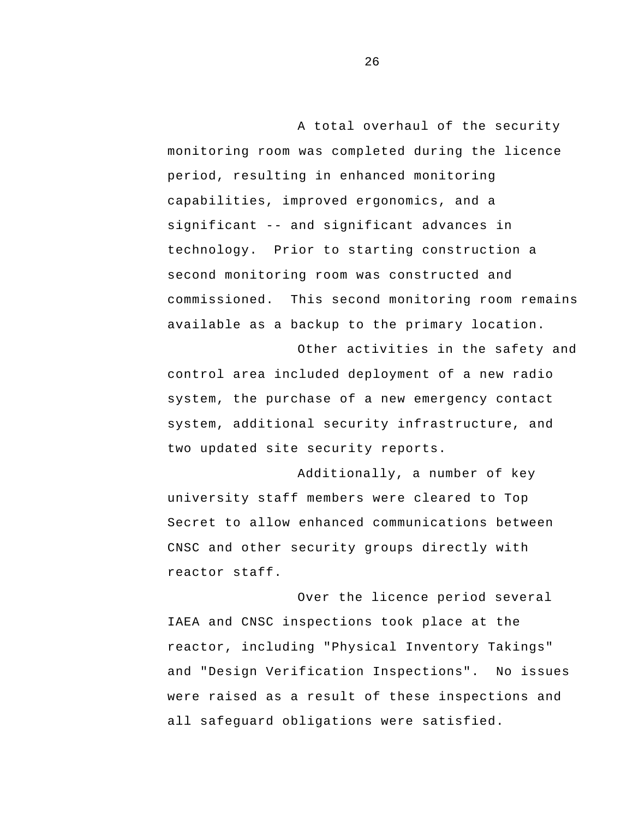significant -- and significant advances in commissioned. This second monitoring room remains A total overhaul of the security monitoring room was completed during the licence period, resulting in enhanced monitoring capabilities, improved ergonomics, and a technology. Prior to starting construction a second monitoring room was constructed and available as a backup to the primary location.

Other activities in the safety and control area included deployment of a new radio system, the purchase of a new emergency contact system, additional security infrastructure, and two updated site security reports.

Additionally, a number of key university staff members were cleared to Top Secret to allow enhanced communications between CNSC and other security groups directly with reactor staff.

Over the licence period several IAEA and CNSC inspections took place at the reactor, including "Physical Inventory Takings" and "Design Verification Inspections". No issues were raised as a result of these inspections and all safeguard obligations were satisfied.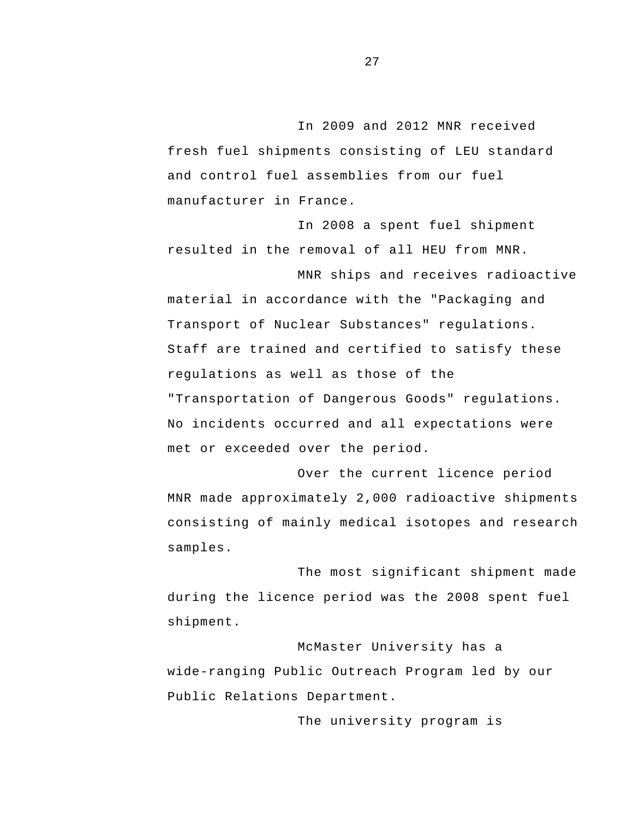In 2009 and 2012 MNR received fresh fuel shipments consisting of LEU standard and control fuel assemblies from our fuel manufacturer in France.

In 2008 a spent fuel shipment resulted in the removal of all HEU from MNR.

MNR ships and receives radioactive material in accordance with the "Packaging and Transport of Nuclear Substances" regulations.<br>Staff are trained and certified to satisfy these regulations as well as those of the "Transportation of Dangerous Goods" regulations. No incidents occurred and all expectations were met or exceeded over the period.

Over the current licence period MNR made approximately 2,000 radioactive shipments consisting of mainly medical isotopes and research samples.

The most significant shipment made during the licence period was the 2008 spent fuel shipment.

McMaster University has a wide-ranging Public Outreach Program led by our Public Relations Department.

The university program is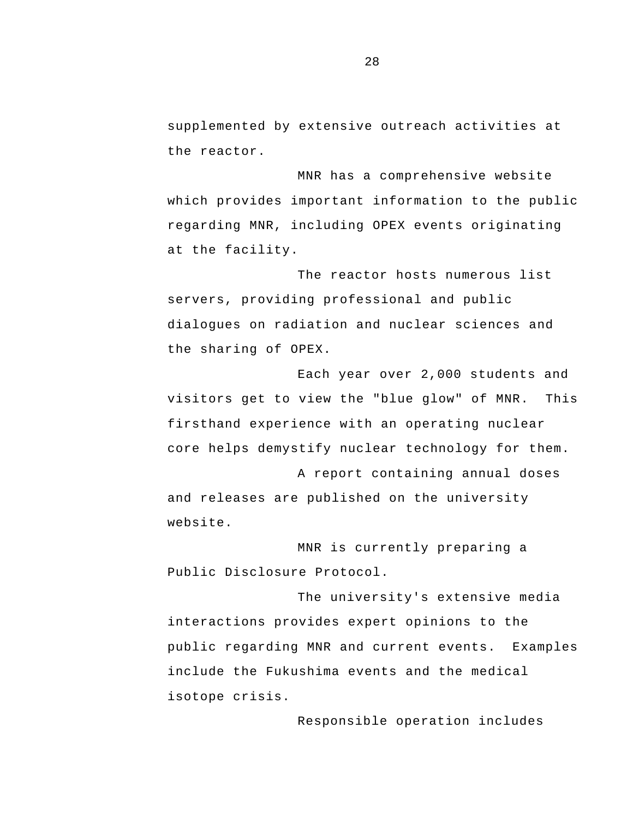supplemented by extensive outreach activities at the reactor.

MNR has a comprehensive website which provides important information to the public regarding MNR, including OPEX events originating at the facility.

The reactor hosts numerous list servers, providing professional and public dialogues on radiation and nuclear sciences and the sharing of OPEX.

Each year over 2,000 students and visitors get to view the "blue glow" of MNR. This firsthand experience with an operating nuclear core helps demystify nuclear technology for them.

A report containing annual doses and releases are published on the university website.

MNR is currently preparing a Public Disclosure Protocol.

The university's extensive media interactions provides expert opinions to the public regarding MNR and current events. Examples include the Fukushima events and the medical isotope crisis.

Responsible operation includes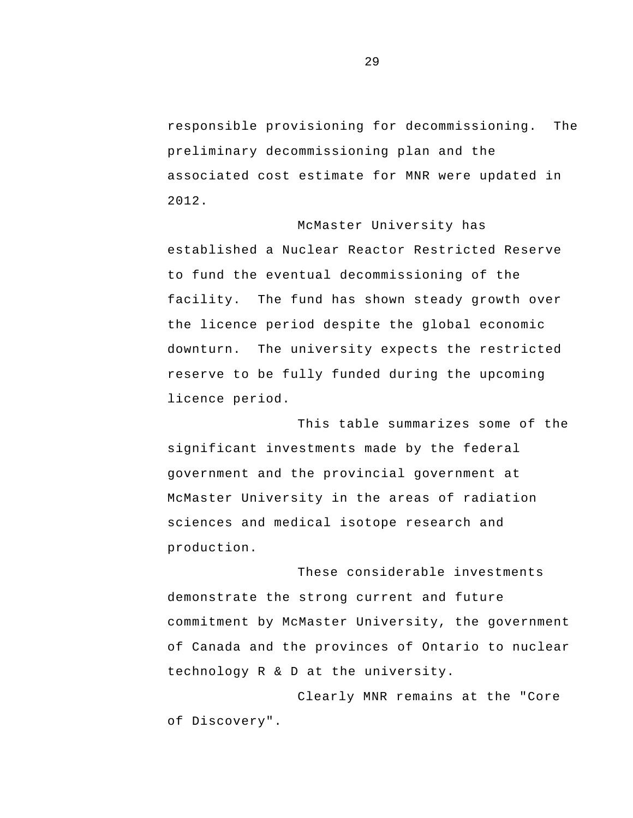responsible provisioning for decommissioning. The preliminary decommissioning plan and the associated cost estimate for MNR were updated in 2012.

McMaster University has established a Nuclear Reactor Restricted Reserve to fund the eventual decommissioning of the facility. The fund has shown steady growth over the licence period despite the global economic downturn. The university expects the restricted reserve to be fully funded during the upcoming licence period.

This table summarizes some of the significant investments made by the federal government and the provincial government at McMaster University in the areas of radiation sciences and medical isotope research and production.

These considerable investments demonstrate the strong current and future commitment by McMaster University, the government of Canada and the provinces of Ontario to nuclear technology R & D at the university.

Clearly MNR remains at the "Core of Discovery".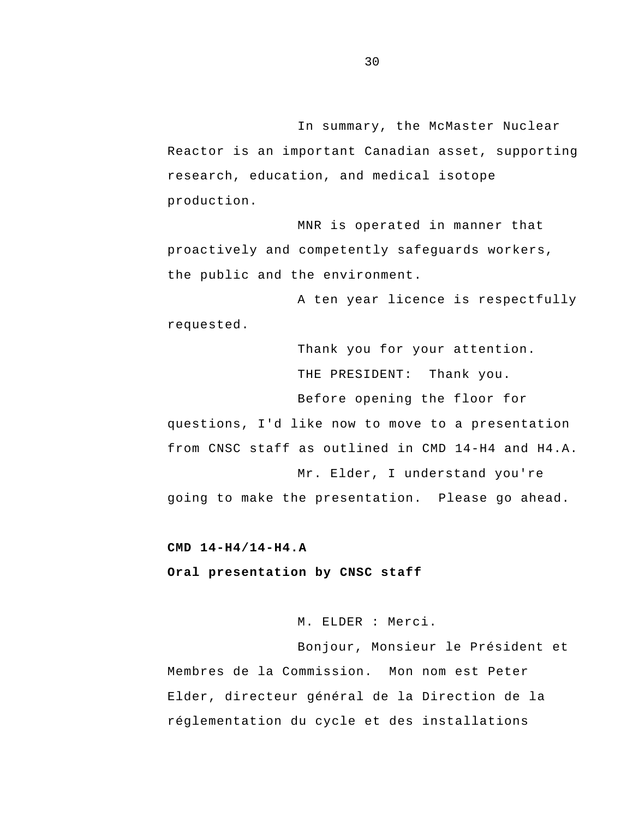<span id="page-31-0"></span>In summary, the McMaster Nuclear Reactor is an important Canadian asset, supporting research, education, and medical isotope production.

MNR is operated in manner that proactively and competently safeguards workers, the public and the environment.

A ten year licence is respectfully requested.

> Thank you for your attention. THE PRESIDENT: Thank you. Before opening the floor for

questions, I'd like now to move to a presentation from CNSC staff as outlined in CMD 14-H4 and H4.A. Mr. Elder, I understand you're going to make the presentation. Please go ahead.

**CMD 14-H4/14-H4.A** 

**Oral presentation by CNSC staff** 

M. ELDER : Merci.

Bonjour, Monsieur le Président et Membres de la Commission. Mon nom est Peter Elder, directeur général de la Direction de la réglementation du cycle et des installations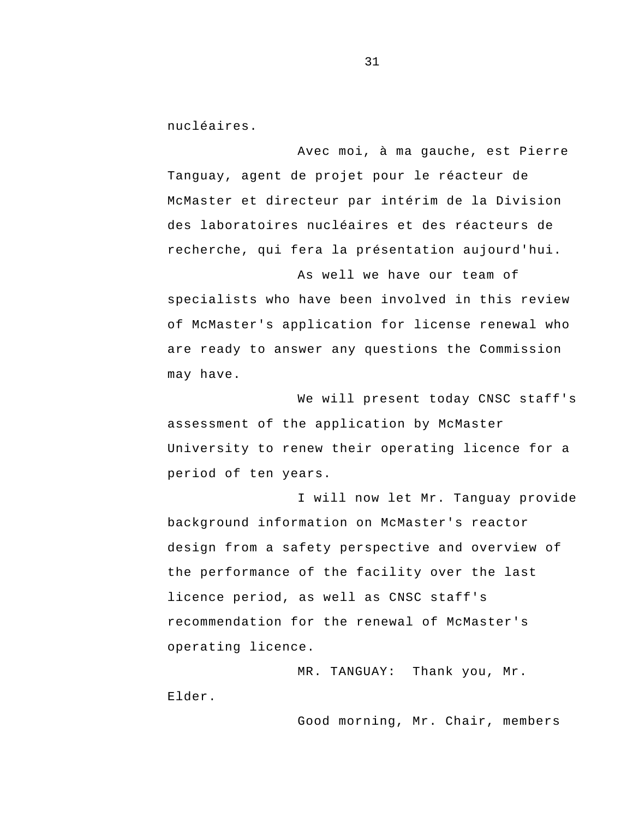nucléaires.

Avec moi, à ma gauche, est Pierre Tanguay, agent de projet pour le réacteur de McMaster et directeur par intérim de la Division des laboratoires nucléaires et des réacteurs de recherche, qui fera la présentation aujourd'hui.

As well we have our team of specialists who have been involved in this review of McMaster's application for license renewal who are ready to answer any questions the Commission may have.

We will present today CNSC staff's assessment of the application by McMaster University to renew their operating licence for a period of ten years.

I will now let Mr. Tanguay provide background information on McMaster's reactor design from a safety perspective and overview of the performance of the facility over the last licence period, as well as CNSC staff's recommendation for the renewal of McMaster's operating licence.

MR. TANGUAY: Thank you, Mr. Elder.

Good morning, Mr. Chair, members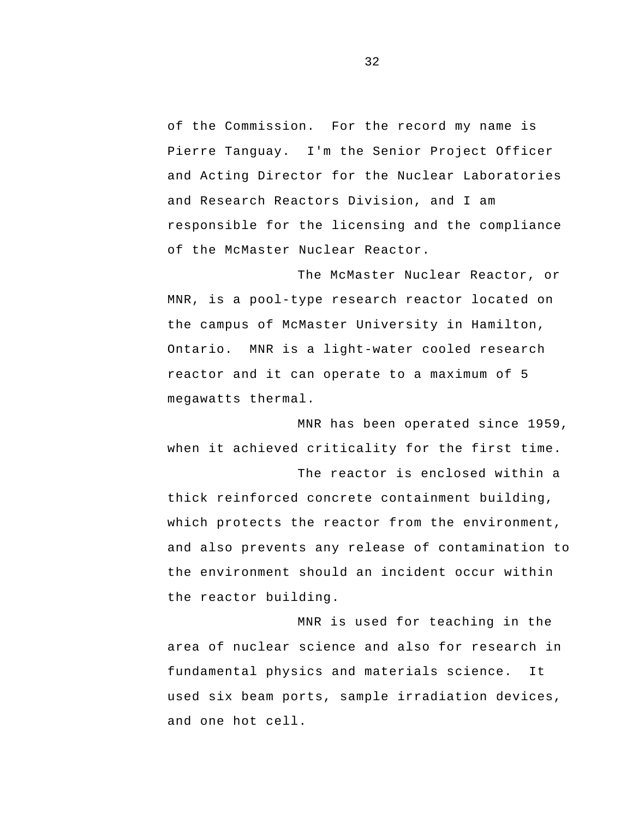of the Commission. For the record my name is Pierre Tanguay. I'm the Senior Project Officer and Acting Director for the Nuclear Laboratories and Research Reactors Division, and I am responsible for the licensing and the compliance of the McMaster Nuclear Reactor.

The McMaster Nuclear Reactor, or MNR, is a pool-type research reactor located on the campus of McMaster University in Hamilton, Ontario. MNR is a light-water cooled research reactor and it can operate to a maximum of 5 megawatts thermal.

MNR has been operated since 1959, when it achieved criticality for the first time. The reactor is enclosed within a

thick reinforced concrete containment building, which protects the reactor from the environment, and also prevents any release of contamination to the environment should an incident occur within the reactor building.

MNR is used for teaching in the area of nuclear science and also for research in fundamental physics and materials science. It used six beam ports, sample irradiation devices, and one hot cell.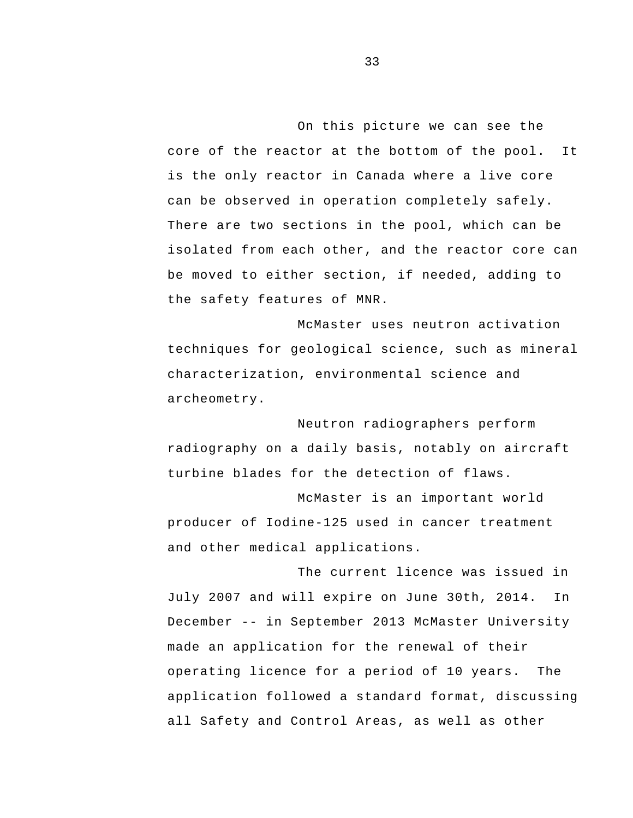On this picture we can see the core of the reactor at the bottom of the pool. It is the only reactor in Canada where a live core can be observed in operation completely safely. There are two sections in the pool, which can be isolated from each other, and the reactor core can be moved to either section, if needed, adding to the safety features of MNR.

McMaster uses neutron activation techniques for geological science, such as mineral characterization, environmental science and archeometry.

Neutron radiographers perform radiography on a daily basis, notably on aircraft turbine blades for the detection of flaws.

McMaster is an important world producer of Iodine-125 used in cancer treatment and other medical applications.

 December -- in September 2013 McMaster University operating licence for a period of 10 years. The The current licence was issued in July 2007 and will expire on June 30th, 2014. In made an application for the renewal of their application followed a standard format, discussing all Safety and Control Areas, as well as other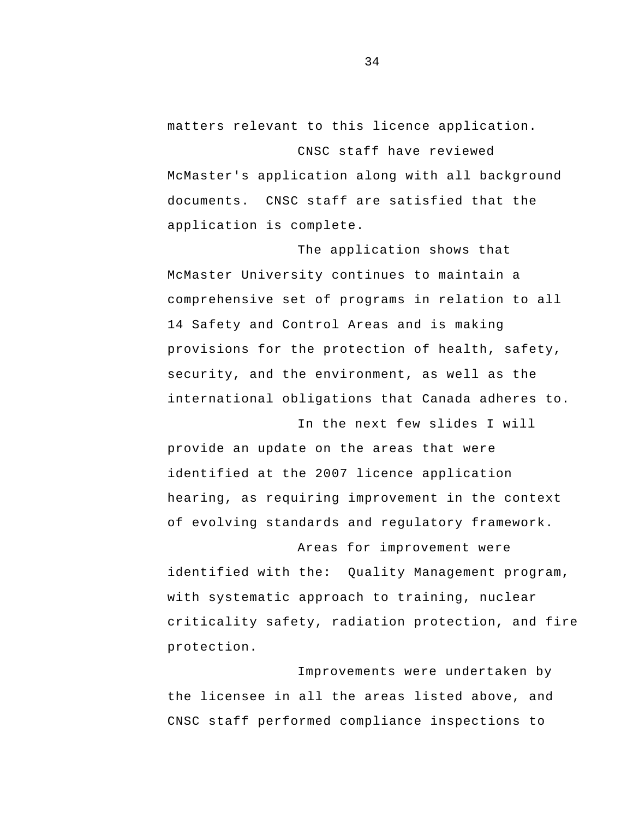matters relevant to this licence application.

CNSC staff have reviewed McMaster's application along with all background documents. CNSC staff are satisfied that the application is complete.

The application shows that McMaster University continues to maintain a comprehensive set of programs in relation to all 14 Safety and Control Areas and is making provisions for the protection of health, safety, security, and the environment, as well as the international obligations that Canada adheres to.

In the next few slides I will provide an update on the areas that were identified at the 2007 licence application hearing, as requiring improvement in the context of evolving standards and regulatory framework.

Areas for improvement were identified with the: Quality Management program, with systematic approach to training, nuclear criticality safety, radiation protection, and fire protection.

Improvements were undertaken by the licensee in all the areas listed above, and CNSC staff performed compliance inspections to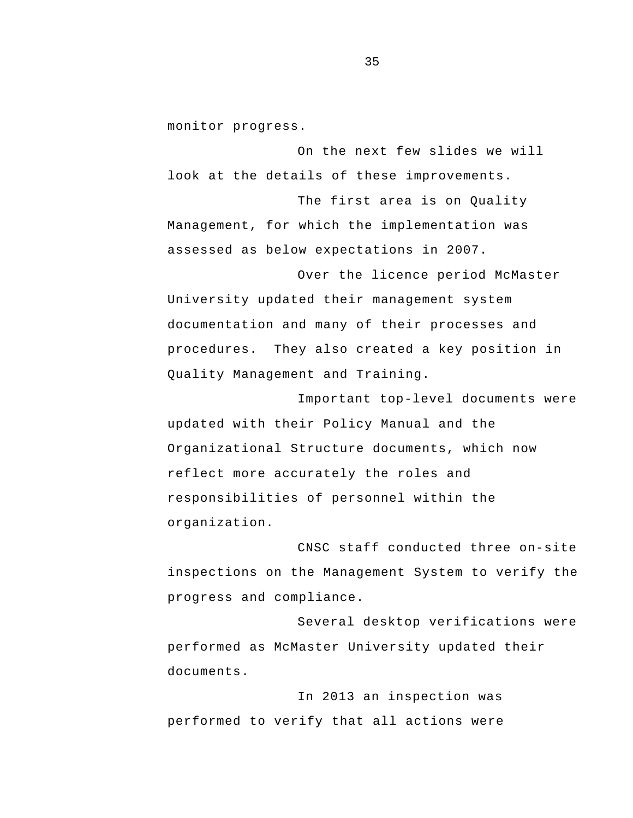monitor progress.

On the next few slides we will look at the details of these improvements.

The first area is on Quality Management, for which the implementation was assessed as below expectations in 2007.

Over the licence period McMaster University updated their management system documentation and many of their processes and procedures. They also created a key position in Quality Management and Training.

Important top-level documents were updated with their Policy Manual and the Organizational Structure documents, which now reflect more accurately the roles and responsibilities of personnel within the organization.

CNSC staff conducted three on-site inspections on the Management System to verify the progress and compliance.

Several desktop verifications were performed as McMaster University updated their documents.

In 2013 an inspection was performed to verify that all actions were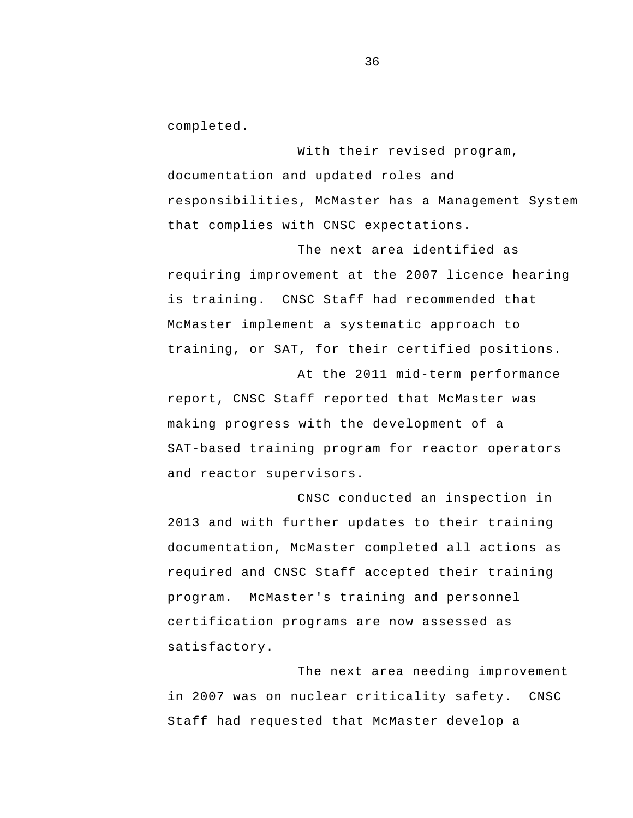completed.

With their revised program, documentation and updated roles and responsibilities, McMaster has a Management System that complies with CNSC expectations.

The next area identified as requiring improvement at the 2007 licence hearing is training. CNSC Staff had recommended that McMaster implement a systematic approach to training, or SAT, for their certified positions.

At the 2011 mid-term performance report, CNSC Staff reported that McMaster was making progress with the development of a SAT-based training program for reactor operators and reactor supervisors.

CNSC conducted an inspection in 2013 and with further updates to their training documentation, McMaster completed all actions as required and CNSC Staff accepted their training program. McMaster's training and personnel certification programs are now assessed as satisfactory.

The next area needing improvement in 2007 was on nuclear criticality safety. CNSC Staff had requested that McMaster develop a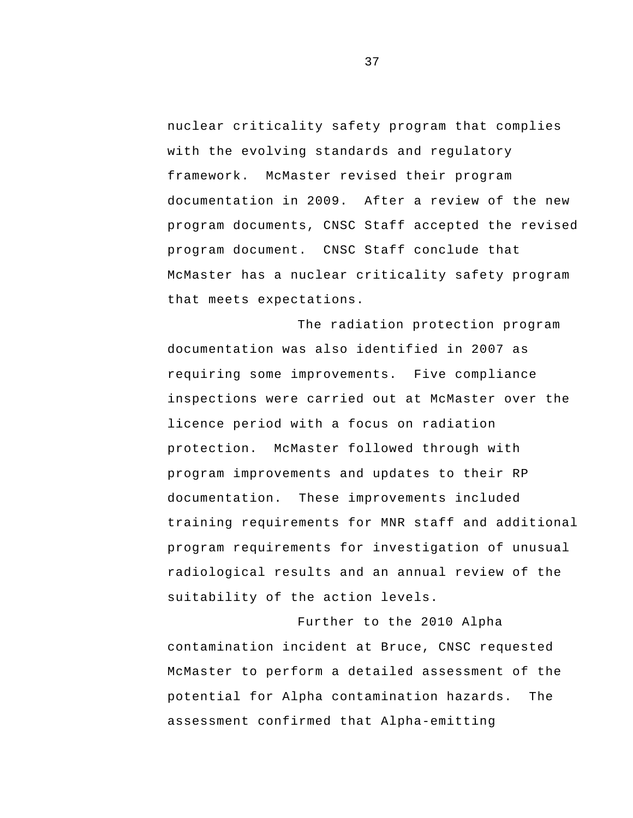program document. CNSC Staff conclude that nuclear criticality safety program that complies with the evolving standards and regulatory framework. McMaster revised their program documentation in 2009. After a review of the new program documents, CNSC Staff accepted the revised McMaster has a nuclear criticality safety program that meets expectations.

 radiological results and an annual review of the The radiation protection program documentation was also identified in 2007 as requiring some improvements. Five compliance inspections were carried out at McMaster over the licence period with a focus on radiation protection. McMaster followed through with program improvements and updates to their RP documentation. These improvements included training requirements for MNR staff and additional program requirements for investigation of unusual suitability of the action levels.

Further to the 2010 Alpha contamination incident at Bruce, CNSC requested McMaster to perform a detailed assessment of the potential for Alpha contamination hazards. The assessment confirmed that Alpha-emitting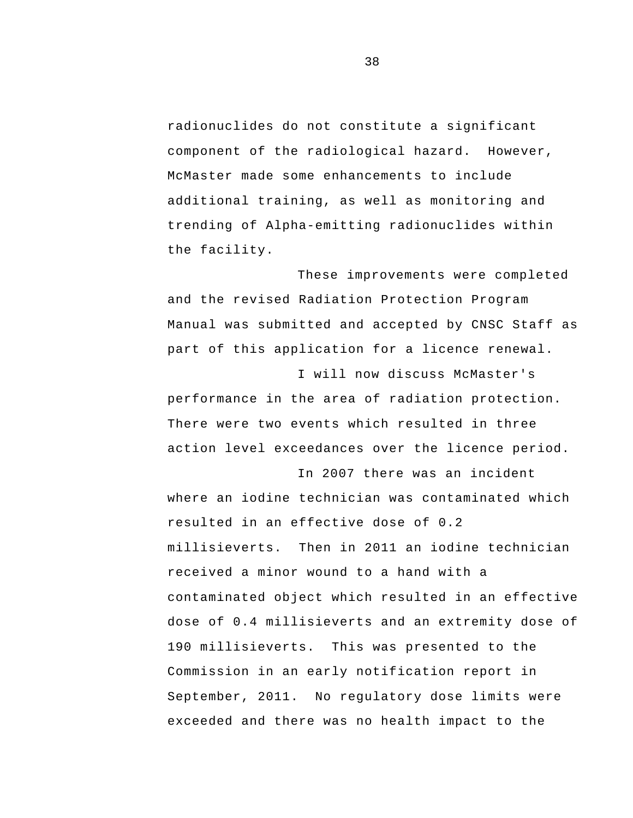radionuclides do not constitute a significant component of the radiological hazard. However, McMaster made some enhancements to include additional training, as well as monitoring and trending of Alpha-emitting radionuclides within the facility.

These improvements were completed and the revised Radiation Protection Program Manual was submitted and accepted by CNSC Staff as part of this application for a licence renewal.

I will now discuss McMaster's performance in the area of radiation protection. There were two events which resulted in three action level exceedances over the licence period.

In 2007 there was an incident where an iodine technician was contaminated which resulted in an effective dose of 0.2 millisieverts. Then in 2011 an iodine technician received a minor wound to a hand with a contaminated object which resulted in an effective dose of 0.4 millisieverts and an extremity dose of 190 millisieverts. This was presented to the Commission in an early notification report in September, 2011. No regulatory dose limits were exceeded and there was no health impact to the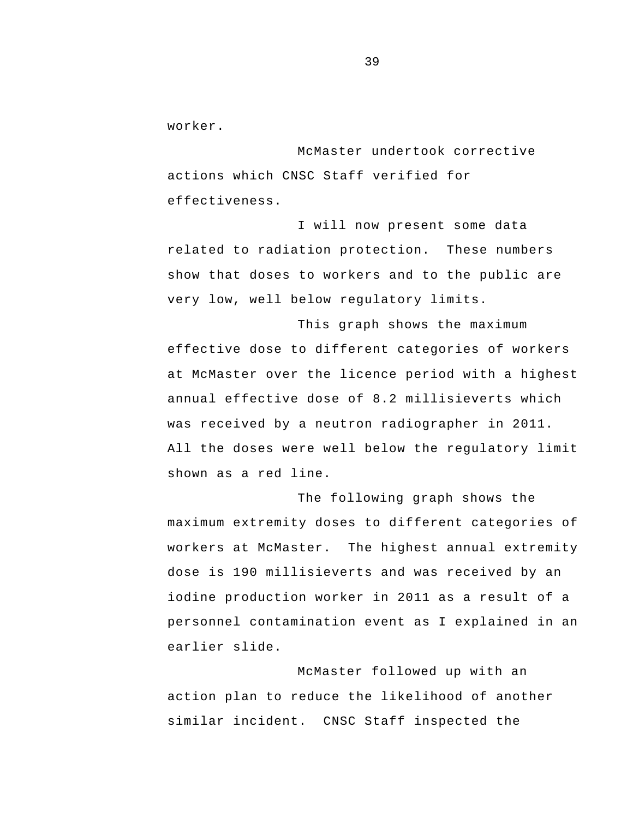worker.

McMaster undertook corrective actions which CNSC Staff verified for effectiveness.

I will now present some data related to radiation protection. These numbers show that doses to workers and to the public are very low, well below regulatory limits.

This graph shows the maximum effective dose to different categories of workers at McMaster over the licence period with a highest annual effective dose of 8.2 millisieverts which was received by a neutron radiographer in 2011. All the doses were well below the regulatory limit shown as a red line.

The following graph shows the maximum extremity doses to different categories of workers at McMaster. The highest annual extremity dose is 190 millisieverts and was received by an iodine production worker in 2011 as a result of a personnel contamination event as I explained in an earlier slide.

McMaster followed up with an action plan to reduce the likelihood of another similar incident. CNSC Staff inspected the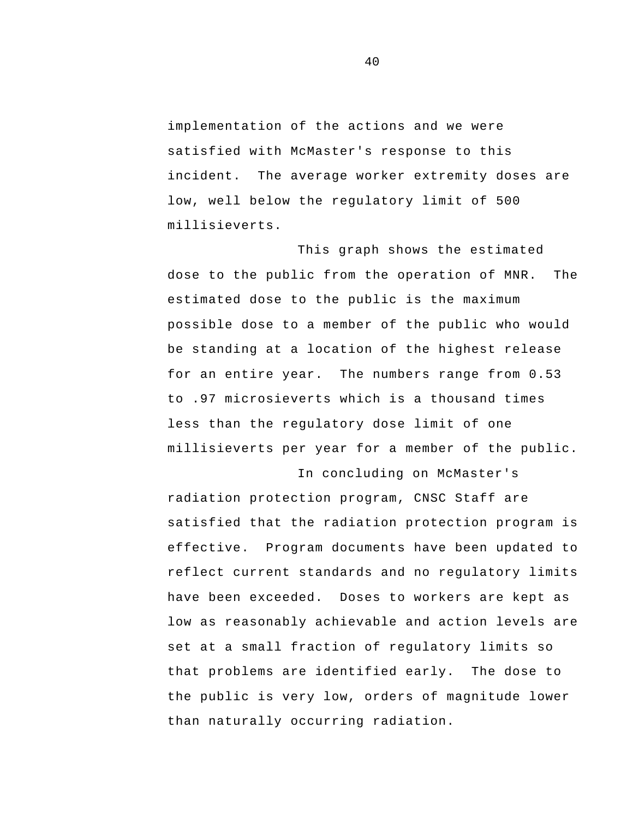implementation of the actions and we were satisfied with McMaster's response to this incident. The average worker extremity doses are low, well below the regulatory limit of 500 millisieverts.

This graph shows the estimated dose to the public from the operation of MNR. The estimated dose to the public is the maximum possible dose to a member of the public who would be standing at a location of the highest release for an entire year. The numbers range from 0.53 to .97 microsieverts which is a thousand times less than the regulatory dose limit of one millisieverts per year for a member of the public.

In concluding on McMaster's radiation protection program, CNSC Staff are satisfied that the radiation protection program is effective. Program documents have been updated to reflect current standards and no regulatory limits have been exceeded. Doses to workers are kept as low as reasonably achievable and action levels are set at a small fraction of regulatory limits so that problems are identified early. The dose to the public is very low, orders of magnitude lower than naturally occurring radiation.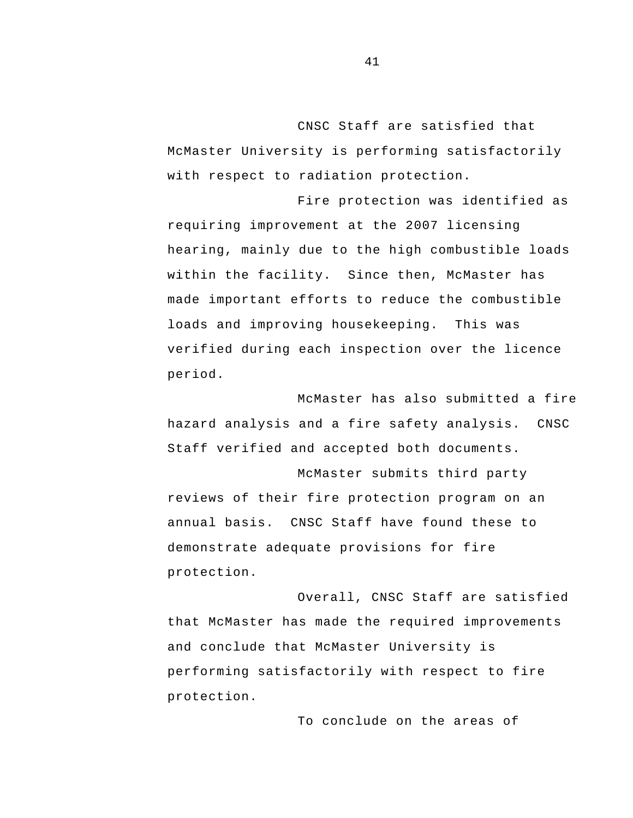CNSC Staff are satisfied that McMaster University is performing satisfactorily with respect to radiation protection.

Fire protection was identified as requiring improvement at the 2007 licensing hearing, mainly due to the high combustible loads within the facility. Since then, McMaster has made important efforts to reduce the combustible loads and improving housekeeping. This was verified during each inspection over the licence period.

 hazard analysis and a fire safety analysis. CNSC McMaster has also submitted a fire Staff verified and accepted both documents.

 annual basis. CNSC Staff have found these to McMaster submits third party reviews of their fire protection program on an demonstrate adequate provisions for fire protection.

Overall, CNSC Staff are satisfied that McMaster has made the required improvements and conclude that McMaster University is performing satisfactorily with respect to fire protection.

To conclude on the areas of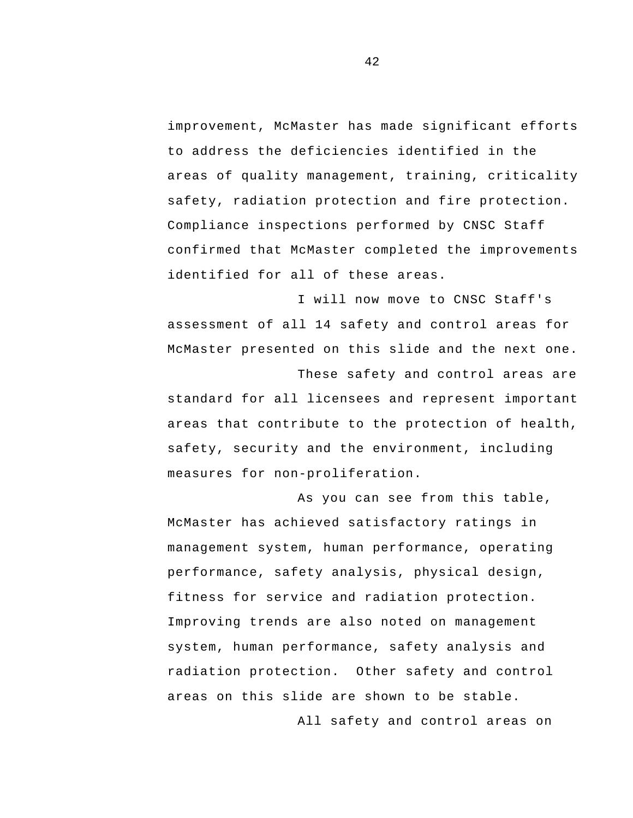improvement, McMaster has made significant efforts to address the deficiencies identified in the areas of quality management, training, criticality safety, radiation protection and fire protection. Compliance inspections performed by CNSC Staff confirmed that McMaster completed the improvements identified for all of these areas.

I will now move to CNSC Staff's assessment of all 14 safety and control areas for McMaster presented on this slide and the next one.

These safety and control areas are standard for all licensees and represent important areas that contribute to the protection of health, safety, security and the environment, including measures for non-proliferation.

As you can see from this table, McMaster has achieved satisfactory ratings in management system, human performance, operating performance, safety analysis, physical design, fitness for service and radiation protection. Improving trends are also noted on management system, human performance, safety analysis and radiation protection. Other safety and control areas on this slide are shown to be stable.

All safety and control areas on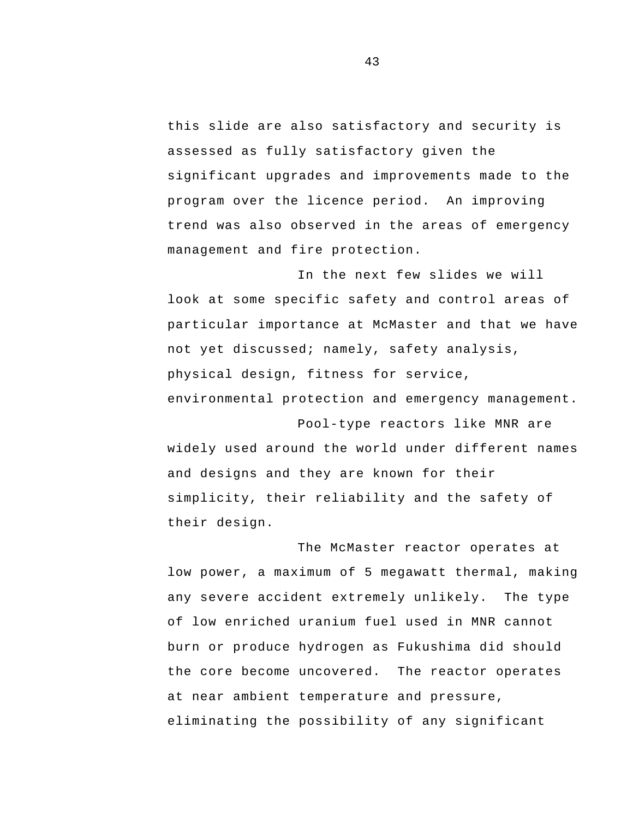this slide are also satisfactory and security is assessed as fully satisfactory given the significant upgrades and improvements made to the program over the licence period. An improving trend was also observed in the areas of emergency management and fire protection.

In the next few slides we will look at some specific safety and control areas of particular importance at McMaster and that we have not yet discussed; namely, safety analysis, physical design, fitness for service, environmental protection and emergency management.

Pool-type reactors like MNR are widely used around the world under different names and designs and they are known for their simplicity, their reliability and the safety of their design.

The McMaster reactor operates at low power, a maximum of 5 megawatt thermal, making any severe accident extremely unlikely. The type of low enriched uranium fuel used in MNR cannot burn or produce hydrogen as Fukushima did should the core become uncovered. The reactor operates at near ambient temperature and pressure, eliminating the possibility of any significant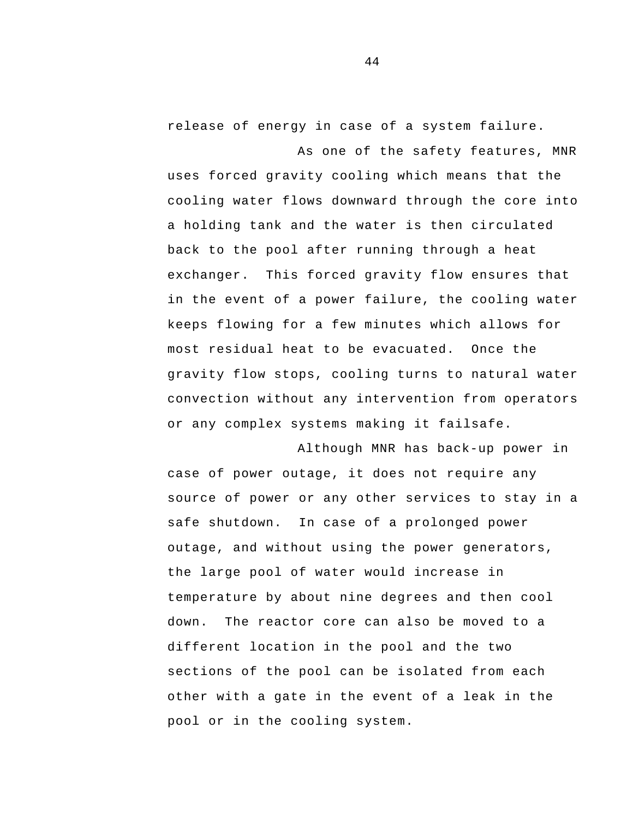release of energy in case of a system failure.

As one of the safety features, MNR uses forced gravity cooling which means that the cooling water flows downward through the core into a holding tank and the water is then circulated back to the pool after running through a heat exchanger. This forced gravity flow ensures that in the event of a power failure, the cooling water keeps flowing for a few minutes which allows for most residual heat to be evacuated. Once the gravity flow stops, cooling turns to natural water convection without any intervention from operators or any complex systems making it failsafe.

Although MNR has back-up power in case of power outage, it does not require any source of power or any other services to stay in a safe shutdown. In case of a prolonged power outage, and without using the power generators, the large pool of water would increase in temperature by about nine degrees and then cool down. The reactor core can also be moved to a different location in the pool and the two sections of the pool can be isolated from each other with a gate in the event of a leak in the pool or in the cooling system.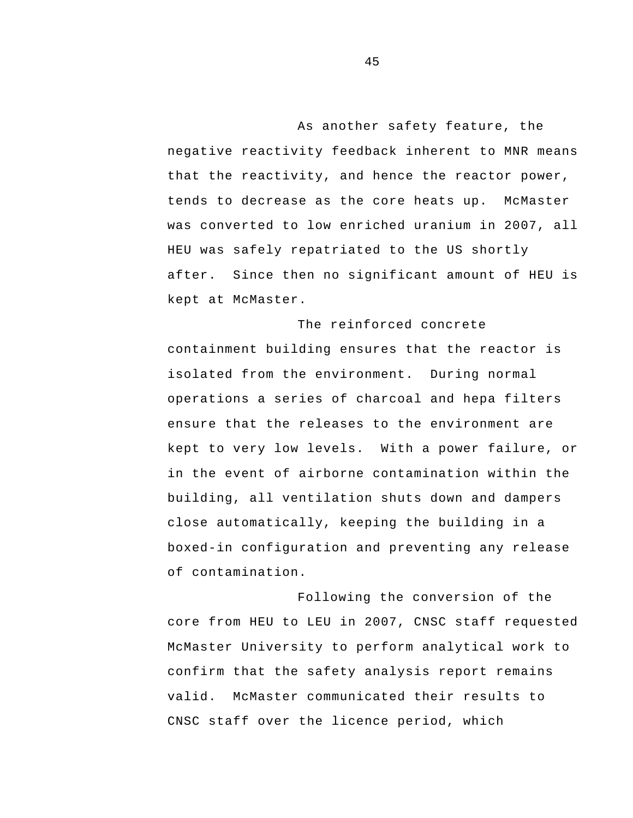that the reactivity, and hence the reactor power, As another safety feature, the negative reactivity feedback inherent to MNR means tends to decrease as the core heats up. McMaster was converted to low enriched uranium in 2007, all HEU was safely repatriated to the US shortly after. Since then no significant amount of HEU is kept at McMaster.

The reinforced concrete containment building ensures that the reactor is isolated from the environment. During normal operations a series of charcoal and hepa filters ensure that the releases to the environment are kept to very low levels. With a power failure, or in the event of airborne contamination within the building, all ventilation shuts down and dampers close automatically, keeping the building in a boxed-in configuration and preventing any release of contamination.

Following the conversion of the core from HEU to LEU in 2007, CNSC staff requested McMaster University to perform analytical work to confirm that the safety analysis report remains valid. McMaster communicated their results to CNSC staff over the licence period, which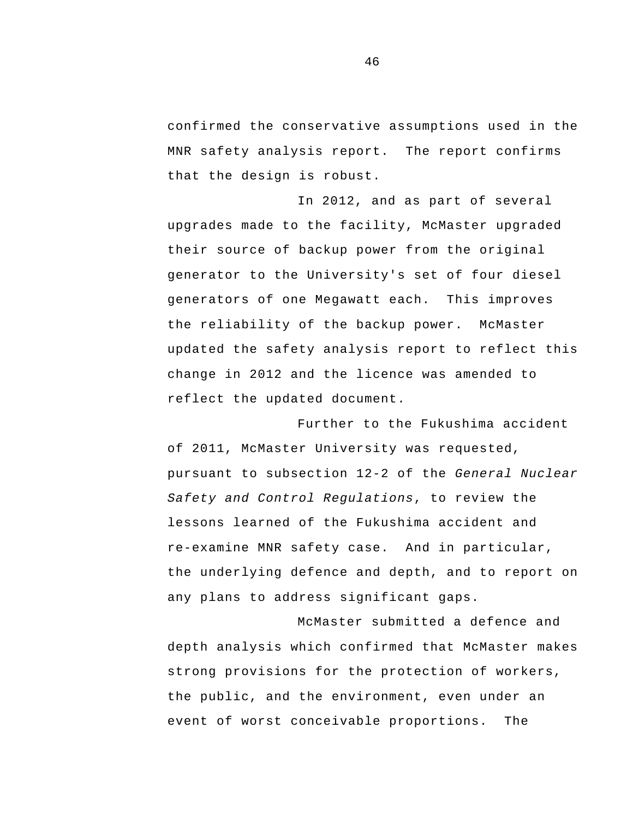confirmed the conservative assumptions used in the MNR safety analysis report. The report confirms that the design is robust.

In 2012, and as part of several upgrades made to the facility, McMaster upgraded their source of backup power from the original generator to the University's set of four diesel generators of one Megawatt each. This improves the reliability of the backup power. McMaster updated the safety analysis report to reflect this change in 2012 and the licence was amended to reflect the updated document.

Further to the Fukushima accident of 2011, McMaster University was requested, pursuant to subsection 12-2 of the *General Nuclear Safety and Control Regulations*, to review the lessons learned of the Fukushima accident and re-examine MNR safety case. And in particular, the underlying defence and depth, and to report on any plans to address significant gaps.

McMaster submitted a defence and depth analysis which confirmed that McMaster makes strong provisions for the protection of workers, the public, and the environment, even under an event of worst conceivable proportions. The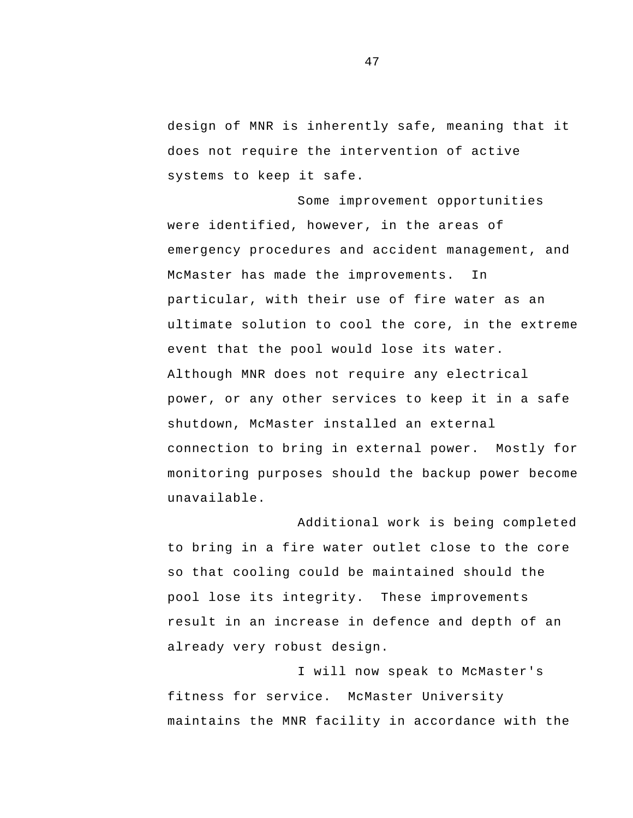design of MNR is inherently safe, meaning that it does not require the intervention of active systems to keep it safe.

Some improvement opportunities were identified, however, in the areas of emergency procedures and accident management, and McMaster has made the improvements. In particular, with their use of fire water as an ultimate solution to cool the core, in the extreme event that the pool would lose its water. Although MNR does not require any electrical power, or any other services to keep it in a safe shutdown, McMaster installed an external connection to bring in external power. Mostly for monitoring purposes should the backup power become unavailable.

Additional work is being completed to bring in a fire water outlet close to the core so that cooling could be maintained should the pool lose its integrity. These improvements result in an increase in defence and depth of an already very robust design.

I will now speak to McMaster's fitness for service. McMaster University maintains the MNR facility in accordance with the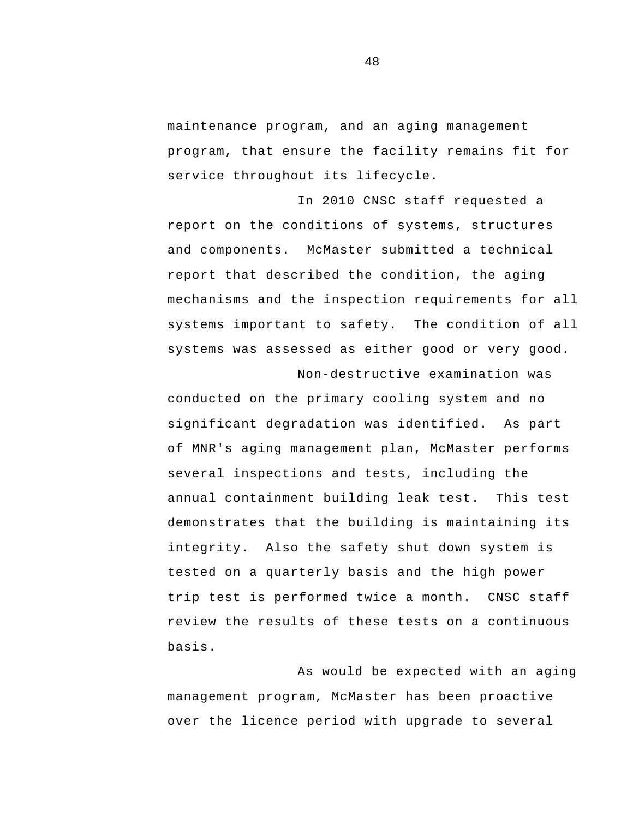maintenance program, and an aging management program, that ensure the facility remains fit for service throughout its lifecycle.

 systems important to safety. The condition of all In 2010 CNSC staff requested a report on the conditions of systems, structures and components. McMaster submitted a technical report that described the condition, the aging mechanisms and the inspection requirements for all systems was assessed as either good or very good. Non-destructive examination was

conducted on the primary cooling system and no significant degradation was identified. As part of MNR's aging management plan, McMaster performs several inspections and tests, including the annual containment building leak test. This test demonstrates that the building is maintaining its integrity. Also the safety shut down system is tested on a quarterly basis and the high power trip test is performed twice a month. CNSC staff review the results of these tests on a continuous basis.

As would be expected with an aging management program, McMaster has been proactive over the licence period with upgrade to several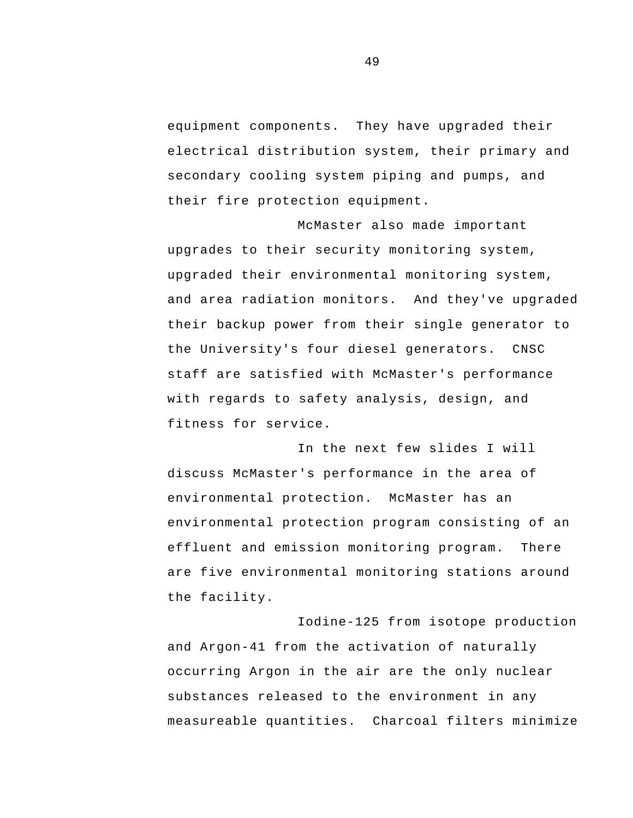equipment components. They have upgraded their electrical distribution system, their primary and secondary cooling system piping and pumps, and their fire protection equipment.

 and area radiation monitors. And they've upgraded McMaster also made important upgrades to their security monitoring system, upgraded their environmental monitoring system, their backup power from their single generator to the University's four diesel generators. CNSC staff are satisfied with McMaster's performance with regards to safety analysis, design, and fitness for service.

In the next few slides I will discuss McMaster's performance in the area of environmental protection. McMaster has an environmental protection program consisting of an effluent and emission monitoring program. There are five environmental monitoring stations around the facility.

Iodine-125 from isotope production and Argon-41 from the activation of naturally occurring Argon in the air are the only nuclear substances released to the environment in any measureable quantities. Charcoal filters minimize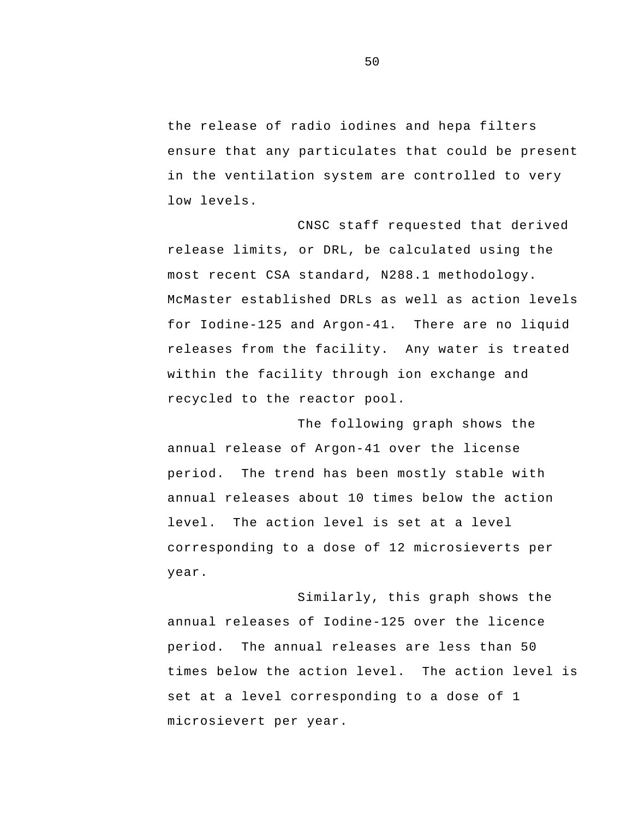the release of radio iodines and hepa filters ensure that any particulates that could be present in the ventilation system are controlled to very low levels.

 for Iodine-125 and Argon-41. There are no liquid CNSC staff requested that derived release limits, or DRL, be calculated using the most recent CSA standard, N288.1 methodology. McMaster established DRLs as well as action levels releases from the facility. Any water is treated within the facility through ion exchange and recycled to the reactor pool.

The following graph shows the annual release of Argon-41 over the license period. The trend has been mostly stable with annual releases about 10 times below the action level. The action level is set at a level corresponding to a dose of 12 microsieverts per year.

Similarly, this graph shows the annual releases of Iodine-125 over the licence period. The annual releases are less than 50 times below the action level. The action level is set at a level corresponding to a dose of 1 microsievert per year.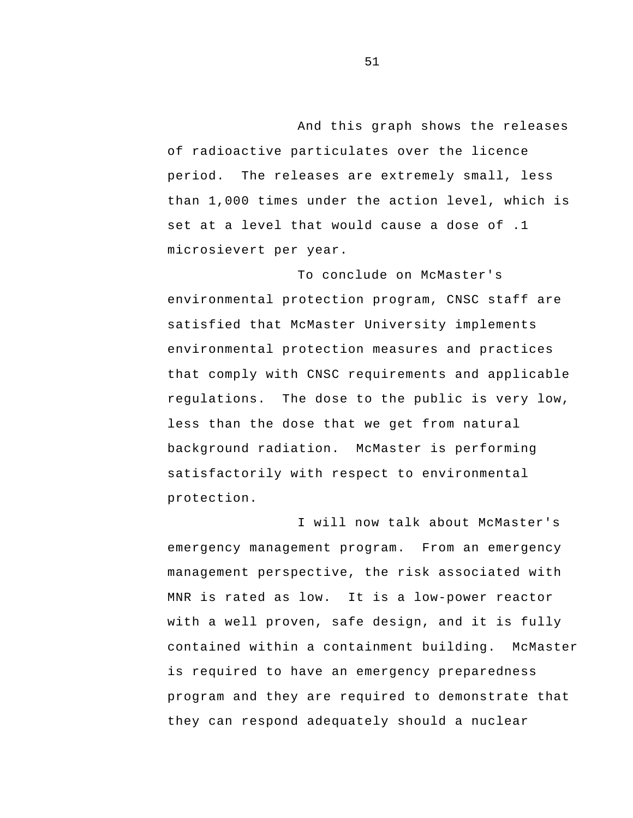And this graph shows the releases of radioactive particulates over the licence period. The releases are extremely small, less than 1,000 times under the action level, which is set at a level that would cause a dose of .1 microsievert per year.

To conclude on McMaster's environmental protection program, CNSC staff are satisfied that McMaster University implements environmental protection measures and practices that comply with CNSC requirements and applicable regulations. The dose to the public is very low, less than the dose that we get from natural background radiation. McMaster is performing satisfactorily with respect to environmental protection.

I will now talk about McMaster's emergency management program. From an emergency management perspective, the risk associated with MNR is rated as low. It is a low-power reactor with a well proven, safe design, and it is fully contained within a containment building. McMaster is required to have an emergency preparedness program and they are required to demonstrate that they can respond adequately should a nuclear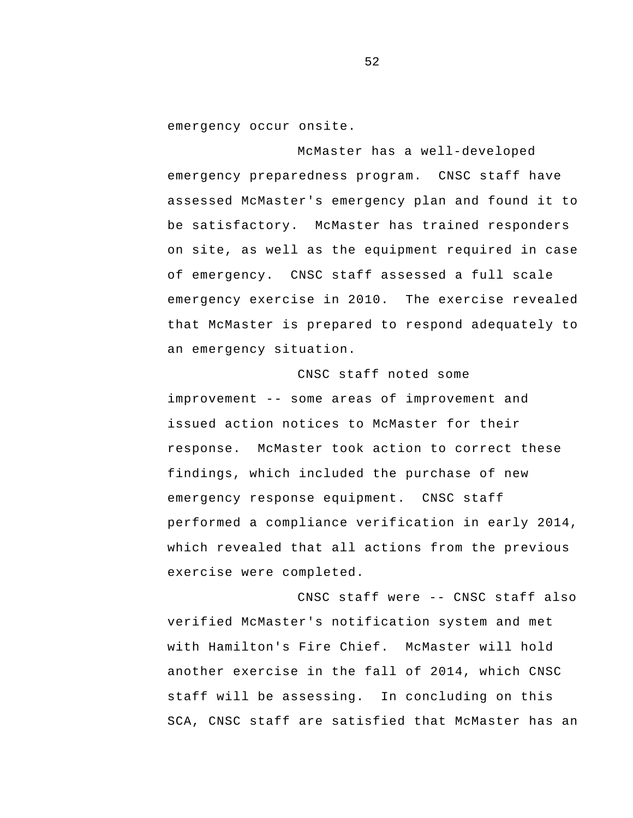emergency occur onsite.

 of emergency. CNSC staff assessed a full scale McMaster has a well-developed emergency preparedness program. CNSC staff have assessed McMaster's emergency plan and found it to be satisfactory. McMaster has trained responders on site, as well as the equipment required in case emergency exercise in 2010. The exercise revealed that McMaster is prepared to respond adequately to an emergency situation.

 improvement -- some areas of improvement and CNSC staff noted some issued action notices to McMaster for their response. McMaster took action to correct these findings, which included the purchase of new emergency response equipment. CNSC staff performed a compliance verification in early 2014, which revealed that all actions from the previous exercise were completed.

 CNSC staff were -- CNSC staff also verified McMaster's notification system and met with Hamilton's Fire Chief. McMaster will hold another exercise in the fall of 2014, which CNSC staff will be assessing. In concluding on this SCA, CNSC staff are satisfied that McMaster has an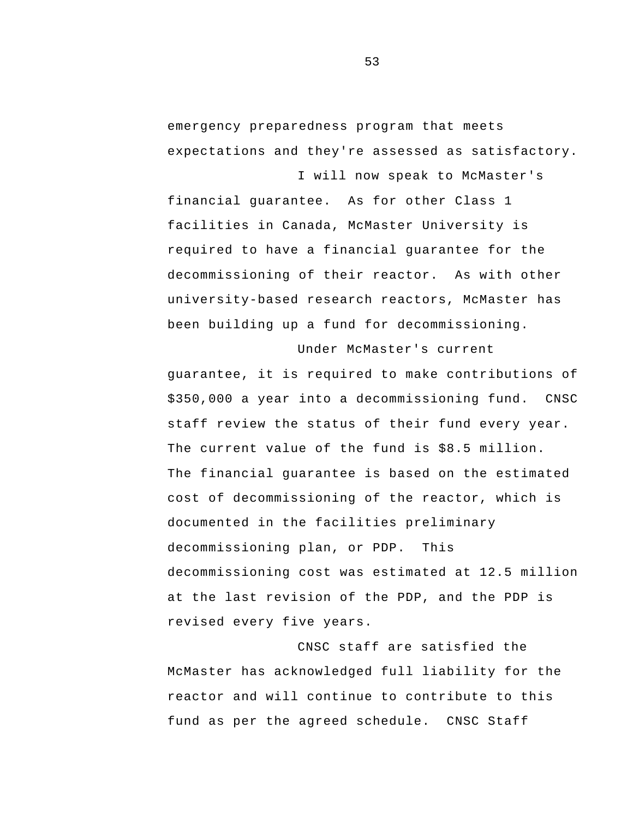emergency preparedness program that meets expectations and they're assessed as satisfactory.

I will now speak to McMaster's

financial guarantee. As for other Class 1 facilities in Canada, McMaster University is required to have a financial guarantee for the decommissioning of their reactor. As with other university-based research reactors, McMaster has been building up a fund for decommissioning.

 decommissioning plan, or PDP. This Under McMaster's current guarantee, it is required to make contributions of \$350,000 a year into a decommissioning fund. CNSC staff review the status of their fund every year. The current value of the fund is \$8.5 million. The financial guarantee is based on the estimated cost of decommissioning of the reactor, which is documented in the facilities preliminary decommissioning cost was estimated at 12.5 million at the last revision of the PDP, and the PDP is revised every five years.

CNSC staff are satisfied the McMaster has acknowledged full liability for the reactor and will continue to contribute to this fund as per the agreed schedule. CNSC Staff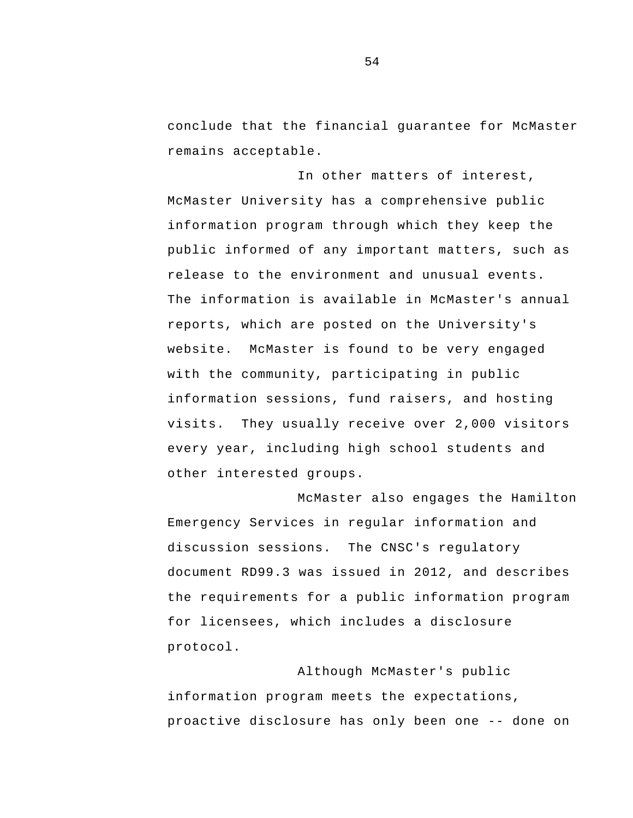conclude that the financial guarantee for McMaster remains acceptable.

In other matters of interest, McMaster University has a comprehensive public information program through which they keep the public informed of any important matters, such as release to the environment and unusual events. The information is available in McMaster's annual reports, which are posted on the University's website. McMaster is found to be very engaged with the community, participating in public information sessions, fund raisers, and hosting visits. They usually receive over 2,000 visitors every year, including high school students and other interested groups.

McMaster also engages the Hamilton Emergency Services in regular information and discussion sessions. The CNSC's regulatory document RD99.3 was issued in 2012, and describes the requirements for a public information program for licensees, which includes a disclosure protocol.

 proactive disclosure has only been one -- done on Although McMaster's public information program meets the expectations,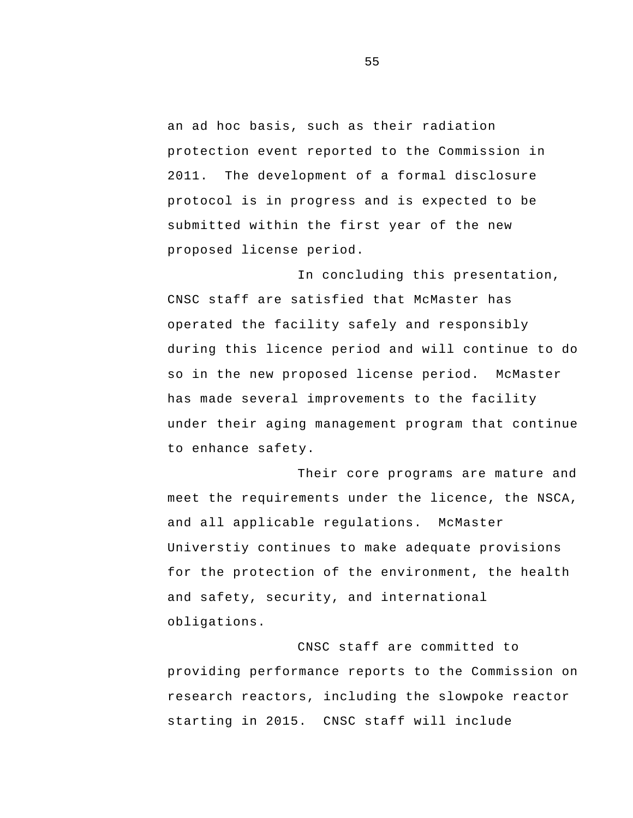protocol is in progress and is expected to be an ad hoc basis, such as their radiation protection event reported to the Commission in 2011. The development of a formal disclosure submitted within the first year of the new proposed license period.

In concluding this presentation, CNSC staff are satisfied that McMaster has operated the facility safely and responsibly during this licence period and will continue to do so in the new proposed license period. McMaster has made several improvements to the facility under their aging management program that continue to enhance safety.

Their core programs are mature and meet the requirements under the licence, the NSCA, and all applicable regulations. McMaster Universtiy continues to make adequate provisions for the protection of the environment, the health and safety, security, and international obligations.

CNSC staff are committed to providing performance reports to the Commission on research reactors, including the slowpoke reactor starting in 2015. CNSC staff will include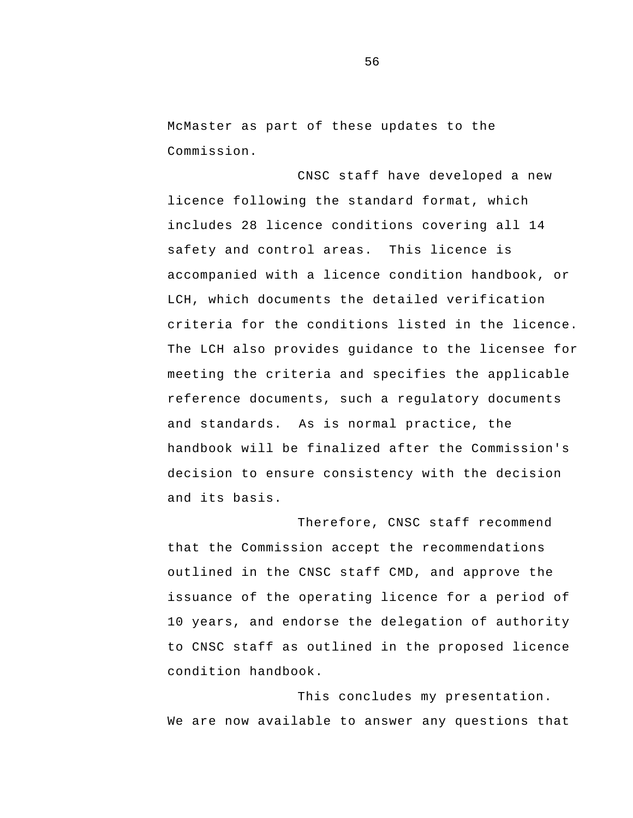McMaster as part of these updates to the Commission.

CNSC staff have developed a new licence following the standard format, which includes 28 licence conditions covering all 14 safety and control areas. This licence is accompanied with a licence condition handbook, or LCH, which documents the detailed verification criteria for the conditions listed in the licence. The LCH also provides guidance to the licensee for meeting the criteria and specifies the applicable reference documents, such a regulatory documents and standards. As is normal practice, the handbook will be finalized after the Commission's decision to ensure consistency with the decision and its basis.

Therefore, CNSC staff recommend that the Commission accept the recommendations outlined in the CNSC staff CMD, and approve the issuance of the operating licence for a period of 10 years, and endorse the delegation of authority to CNSC staff as outlined in the proposed licence condition handbook.

This concludes my presentation. We are now available to answer any questions that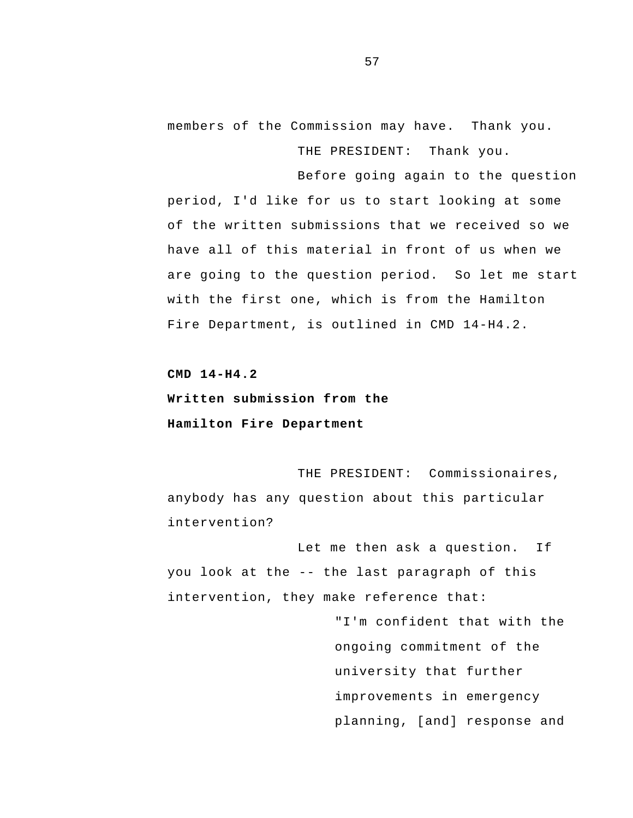members of the Commission may have. Thank you.

THE PRESIDENT: Thank you.

Before going again to the question period, I'd like for us to start looking at some of the written submissions that we received so we have all of this material in front of us when we are going to the question period. So let me start with the first one, which is from the Hamilton Fire Department, is outlined in CMD 14-H4.2.

**CMD 14-H4.2 Written submission from the Hamilton Fire Department** 

THE PRESIDENT: Commissionaires, anybody has any question about this particular intervention?

 you look at the -- the last paragraph of this Let me then ask a question. If intervention, they make reference that:

> "I'm confident that with the ongoing commitment of the university that further improvements in emergency planning, [and] response and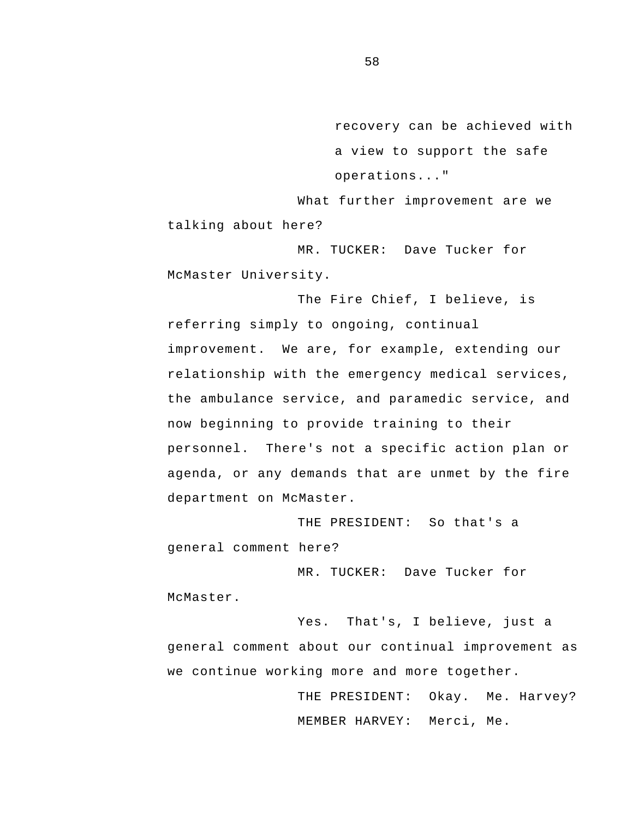recovery can be achieved with a view to support the safe operations..."

What further improvement are we talking about here?

MR. TUCKER: Dave Tucker for McMaster University.

The Fire Chief, I believe, is referring simply to ongoing, continual improvement. We are, for example, extending our relationship with the emergency medical services, the ambulance service, and paramedic service, and now beginning to provide training to their personnel. There's not a specific action plan or agenda, or any demands that are unmet by the fire department on McMaster.

THE PRESIDENT: So that's a general comment here?

MR. TUCKER: Dave Tucker for McMaster.

Yes. That's, I believe, just a general comment about our continual improvement as we continue working more and more together.

> THE PRESIDENT: Okay. Me. Harvey? MEMBER HARVEY: Merci, Me.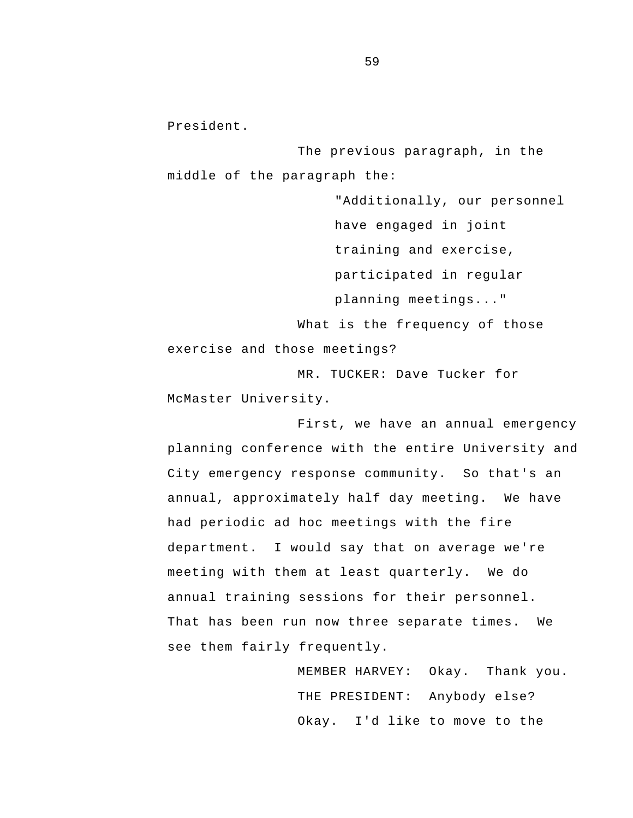President.

The previous paragraph, in the middle of the paragraph the:

"Additionally, our personnel have engaged in joint training and exercise, participated in regular planning meetings..." What is the frequency of those exercise and those meetings? MR. TUCKER: Dave Tucker for

McMaster University.

annual training sessions for their personnel.<br>That has been run now three separate times. We First, we have an annual emergency planning conference with the entire University and City emergency response community. So that's an annual, approximately half day meeting. We have had periodic ad hoc meetings with the fire department. I would say that on average we're meeting with them at least quarterly. We do see them fairly frequently.

> MEMBER HARVEY: Okay. Thank you. THE PRESIDENT: Anybody else? Okay. I'd like to move to the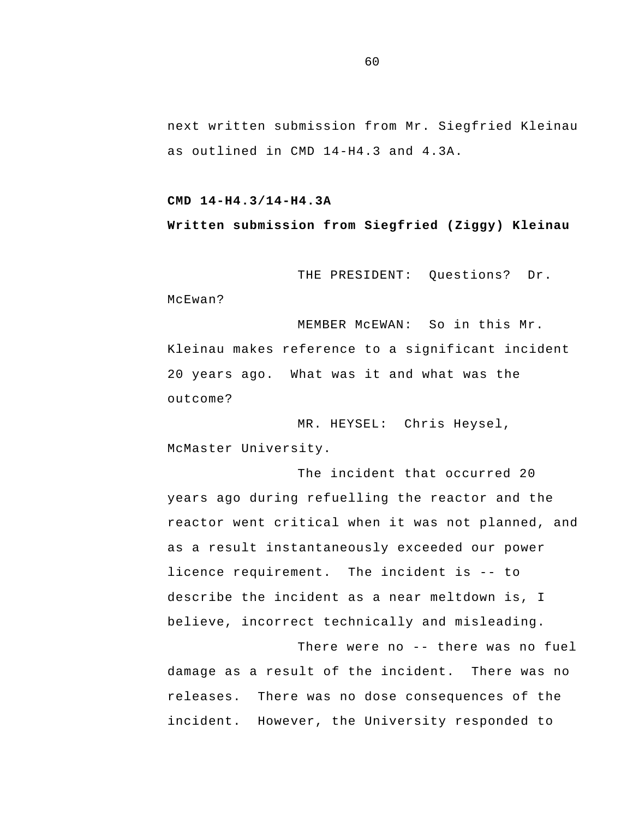next written submission from Mr. Siegfried Kleinau as outlined in CMD 14-H4.3 and 4.3A.

## **CMD 14-H4.3/14-H4.3A**

## **Written submission from Siegfried (Ziggy) Kleinau**

THE PRESIDENT: Questions? Dr.

McEwan?

 20 years ago. What was it and what was the MEMBER McEWAN: So in this Mr. Kleinau makes reference to a significant incident outcome?

MR. HEYSEL: Chris Heysel, McMaster University.

 licence requirement. The incident is -- to The incident that occurred 20 years ago during refuelling the reactor and the reactor went critical when it was not planned, and as a result instantaneously exceeded our power describe the incident as a near meltdown is, I believe, incorrect technically and misleading.

 There were no -- there was no fuel incident. However, the University responded to damage as a result of the incident. There was no releases. There was no dose consequences of the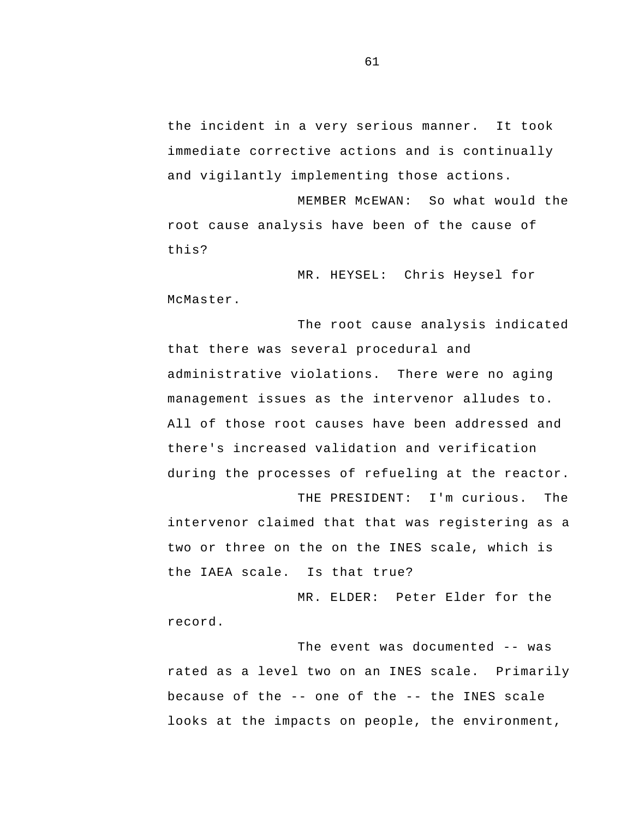the incident in a very serious manner. It took immediate corrective actions and is continually and vigilantly implementing those actions.

MEMBER McEWAN: So what would the root cause analysis have been of the cause of this?

MR. HEYSEL: Chris Heysel for McMaster.

The root cause analysis indicated that there was several procedural and administrative violations. There were no aging management issues as the intervenor alludes to. All of those root causes have been addressed and there's increased validation and verification during the processes of refueling at the reactor.

 THE PRESIDENT: I'm curious. The intervenor claimed that that was registering as a two or three on the on the INES scale, which is the IAEA scale. Is that true?

MR. ELDER: Peter Elder for the record.

 The event was documented -- was because of the -- one of the -- the INES scale rated as a level two on an INES scale. Primarily looks at the impacts on people, the environment,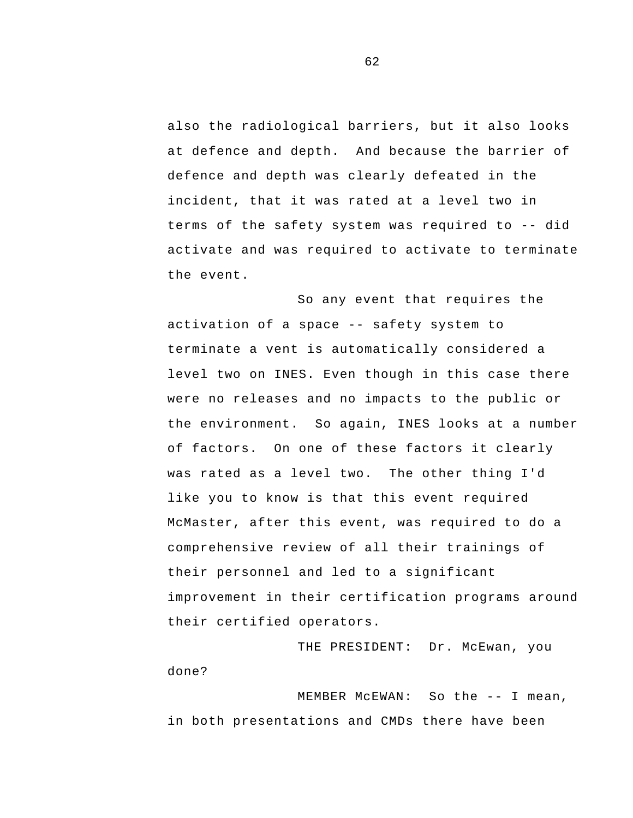terms of the safety system was required to -- did also the radiological barriers, but it also looks at defence and depth. And because the barrier of defence and depth was clearly defeated in the incident, that it was rated at a level two in activate and was required to activate to terminate the event.

 activation of a space -- safety system to So any event that requires the terminate a vent is automatically considered a level two on INES. Even though in this case there were no releases and no impacts to the public or the environment. So again, INES looks at a number of factors. On one of these factors it clearly was rated as a level two. The other thing I'd like you to know is that this event required McMaster, after this event, was required to do a comprehensive review of all their trainings of their personnel and led to a significant improvement in their certification programs around their certified operators.

THE PRESIDENT: Dr. McEwan, you done?

 MEMBER McEWAN: So the -- I mean, in both presentations and CMDs there have been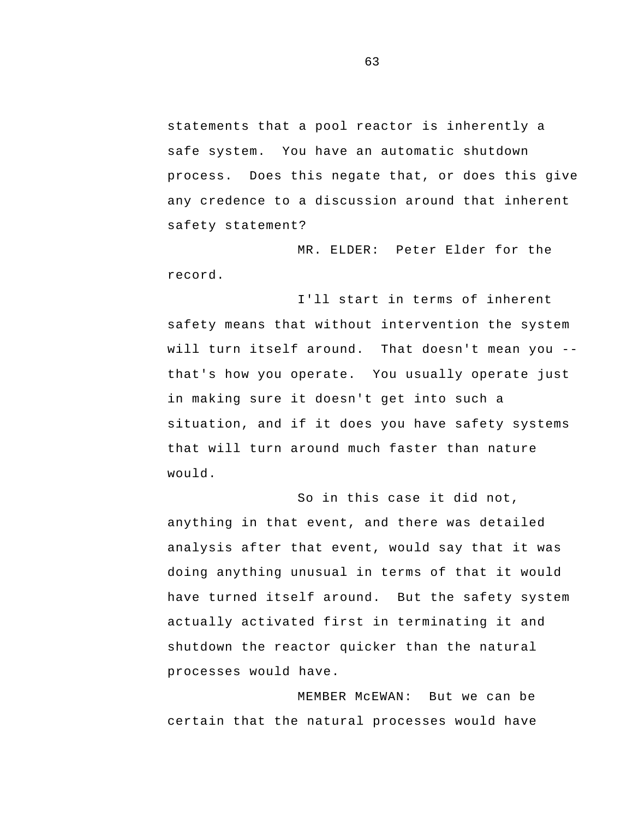statements that a pool reactor is inherently a safe system. You have an automatic shutdown process. Does this negate that, or does this give any credence to a discussion around that inherent safety statement?

MR. ELDER: Peter Elder for the record.

 will turn itself around. That doesn't mean you - I'll start in terms of inherent safety means that without intervention the system that's how you operate. You usually operate just in making sure it doesn't get into such a situation, and if it does you have safety systems that will turn around much faster than nature would.

So in this case it did not, anything in that event, and there was detailed analysis after that event, would say that it was doing anything unusual in terms of that it would have turned itself around. But the safety system actually activated first in terminating it and shutdown the reactor quicker than the natural processes would have.

MEMBER McEWAN: But we can be certain that the natural processes would have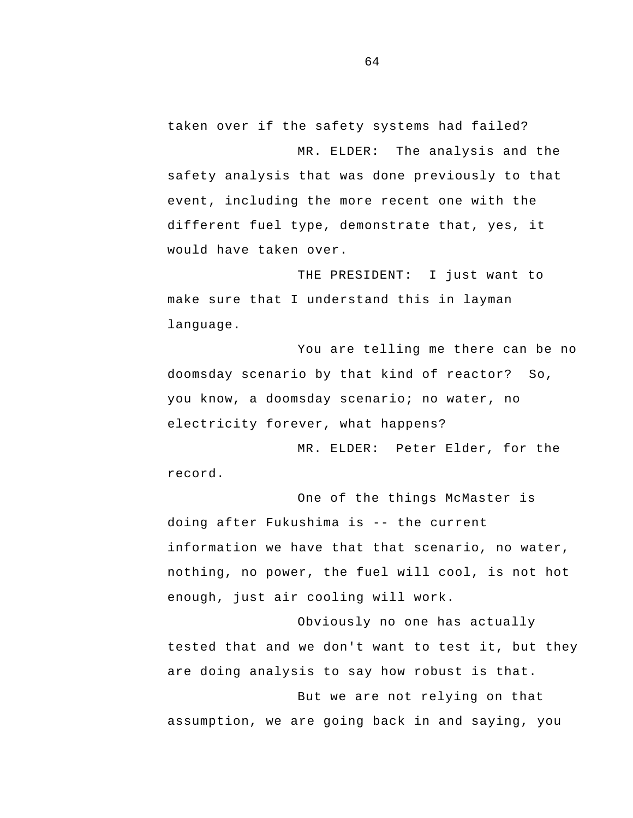taken over if the safety systems had failed?

MR. ELDER: The analysis and the safety analysis that was done previously to that event, including the more recent one with the different fuel type, demonstrate that, yes, it would have taken over.

THE PRESIDENT: I just want to make sure that I understand this in layman language.

You are telling me there can be no doomsday scenario by that kind of reactor? So, you know, a doomsday scenario; no water, no electricity forever, what happens?

MR. ELDER: Peter Elder, for the record.

 doing after Fukushima is -- the current One of the things McMaster is information we have that that scenario, no water, nothing, no power, the fuel will cool, is not hot enough, just air cooling will work.

Obviously no one has actually tested that and we don't want to test it, but they are doing analysis to say how robust is that.

But we are not relying on that assumption, we are going back in and saying, you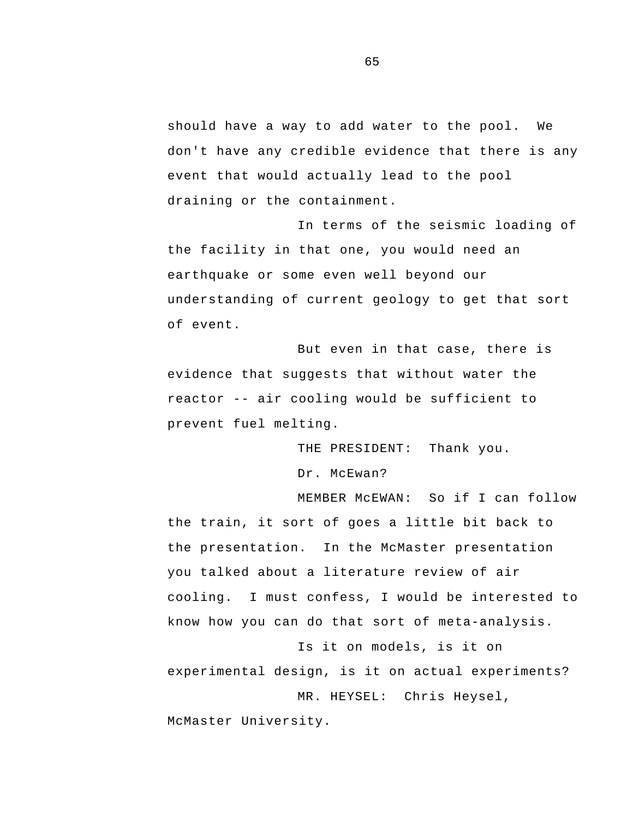should have a way to add water to the pool. We don't have any credible evidence that there is any event that would actually lead to the pool draining or the containment.

In terms of the seismic loading of the facility in that one, you would need an earthquake or some even well beyond our understanding of current geology to get that sort of event.

 reactor -- air cooling would be sufficient to But even in that case, there is evidence that suggests that without water the prevent fuel melting.

> THE PRESIDENT: Thank you. Dr. McEwan?

MEMBER McEWAN: So if I can follow the train, it sort of goes a little bit back to the presentation. In the McMaster presentation you talked about a literature review of air cooling. I must confess, I would be interested to know how you can do that sort of meta-analysis.

Is it on models, is it on experimental design, is it on actual experiments? MR. HEYSEL: Chris Heysel, McMaster University.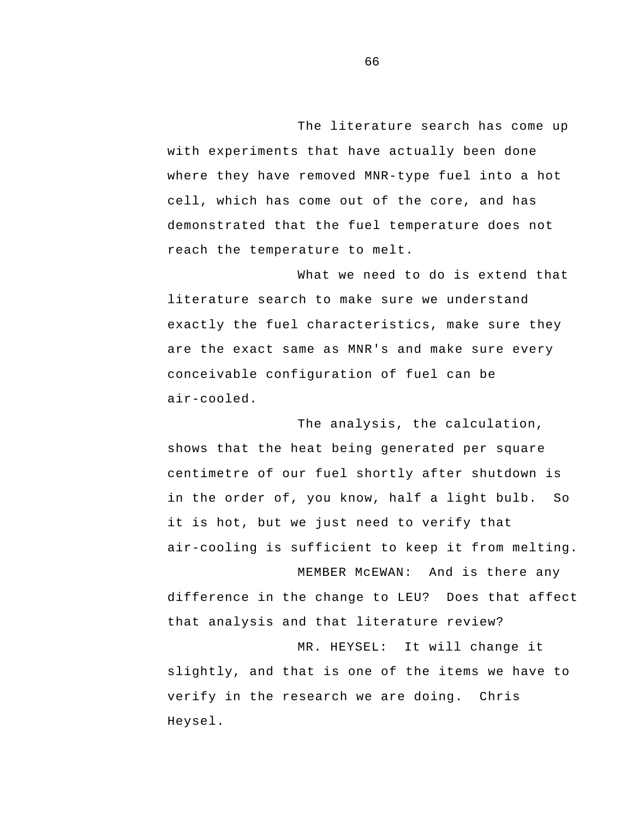The literature search has come up with experiments that have actually been done where they have removed MNR-type fuel into a hot cell, which has come out of the core, and has demonstrated that the fuel temperature does not reach the temperature to melt.

What we need to do is extend that literature search to make sure we understand exactly the fuel characteristics, make sure they are the exact same as MNR's and make sure every conceivable configuration of fuel can be air-cooled.

The analysis, the calculation, shows that the heat being generated per square centimetre of our fuel shortly after shutdown is in the order of, you know, half a light bulb. So it is hot, but we just need to verify that air-cooling is sufficient to keep it from melting.

difference in the change to LEU? Does that affect that analysis and that literature review?

MEMBER McEWAN: And is there any

MR. HEYSEL: It will change it slightly, and that is one of the items we have to verify in the research we are doing. Chris Heysel.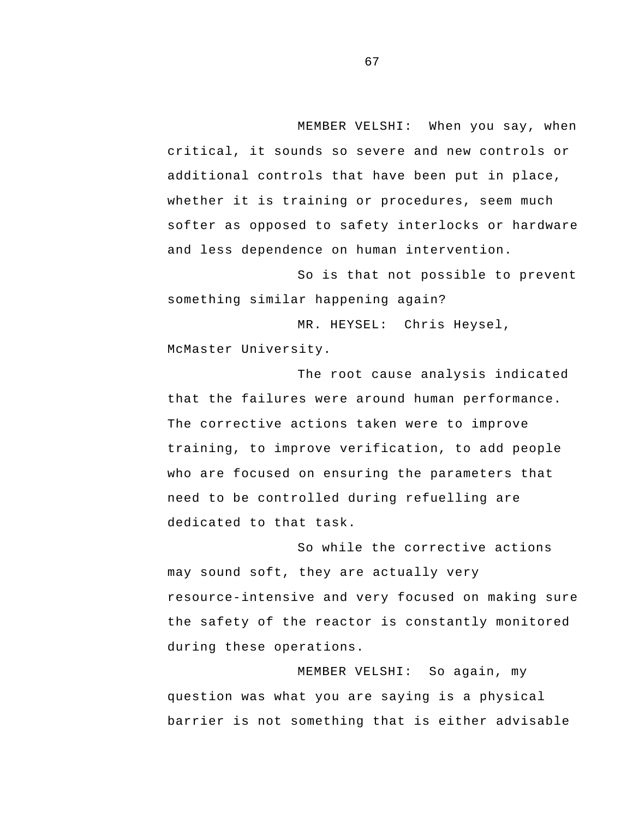MEMBER VELSHI: When you say, when critical, it sounds so severe and new controls or additional controls that have been put in place, whether it is training or procedures, seem much softer as opposed to safety interlocks or hardware and less dependence on human intervention.

 something similar happening again? So is that not possible to prevent

MR. HEYSEL: Chris Heysel, McMaster University.

The root cause analysis indicated that the failures were around human performance. The corrective actions taken were to improve training, to improve verification, to add people who are focused on ensuring the parameters that need to be controlled during refuelling are dedicated to that task.

So while the corrective actions may sound soft, they are actually very resource-intensive and very focused on making sure the safety of the reactor is constantly monitored during these operations.

MEMBER VELSHI: So again, my question was what you are saying is a physical barrier is not something that is either advisable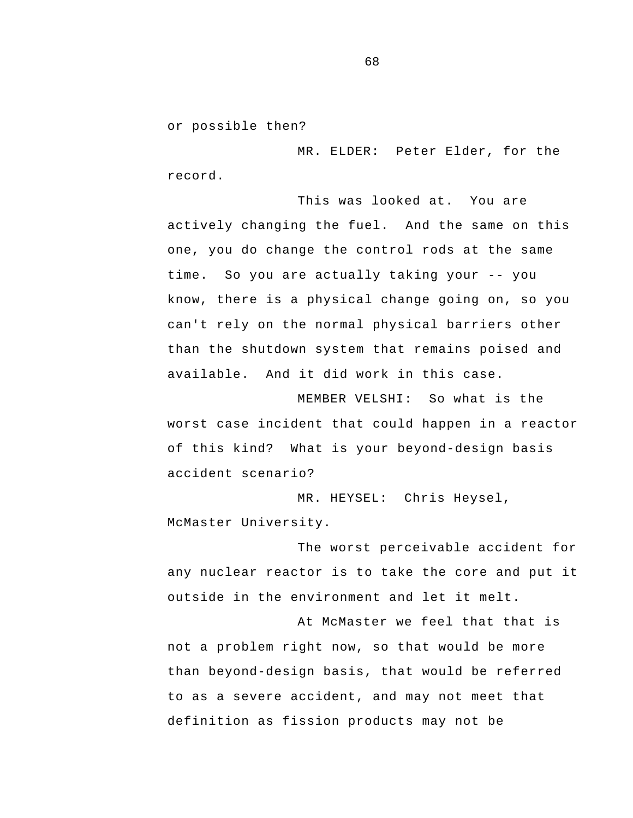or possible then?

MR. ELDER: Peter Elder, for the record.

 time. So you are actually taking your -- you This was looked at. You are actively changing the fuel. And the same on this one, you do change the control rods at the same know, there is a physical change going on, so you can't rely on the normal physical barriers other than the shutdown system that remains poised and available. And it did work in this case.

 of this kind? What is your beyond-design basis MEMBER VELSHI: So what is the worst case incident that could happen in a reactor accident scenario?

MR. HEYSEL: Chris Heysel, McMaster University.

The worst perceivable accident for any nuclear reactor is to take the core and put it outside in the environment and let it melt.

At McMaster we feel that that is not a problem right now, so that would be more than beyond-design basis, that would be referred to as a severe accident, and may not meet that definition as fission products may not be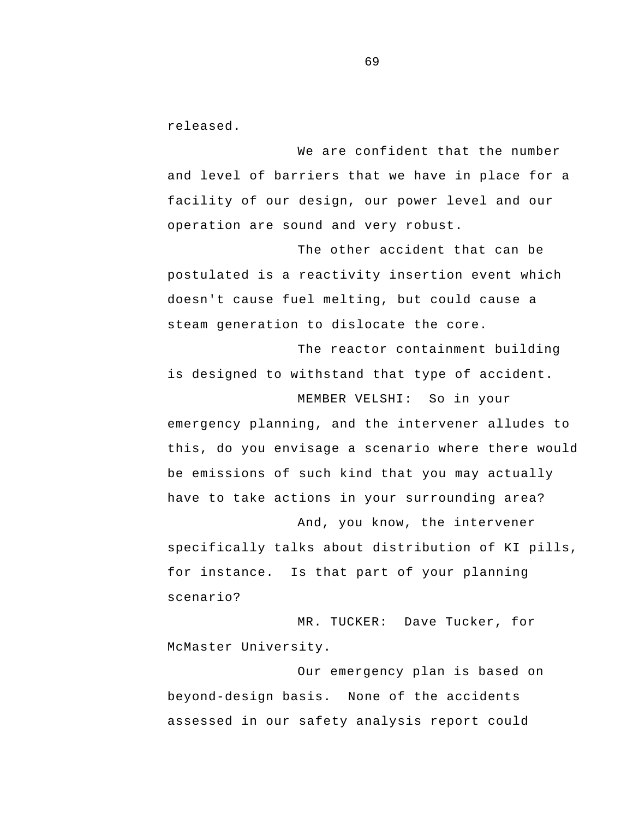released.

We are confident that the number and level of barriers that we have in place for a facility of our design, our power level and our operation are sound and very robust.

The other accident that can be postulated is a reactivity insertion event which doesn't cause fuel melting, but could cause a steam generation to dislocate the core.

The reactor containment building is designed to withstand that type of accident.

emergency planning, and the intervener alludes to this, do you envisage a scenario where there would be emissions of such kind that you may actually have to take actions in your surrounding area?

MEMBER VELSHI: So in your

 for instance. Is that part of your planning And, you know, the intervener specifically talks about distribution of KI pills, scenario?

MR. TUCKER: Dave Tucker, for McMaster University.

Our emergency plan is based on beyond-design basis. None of the accidents assessed in our safety analysis report could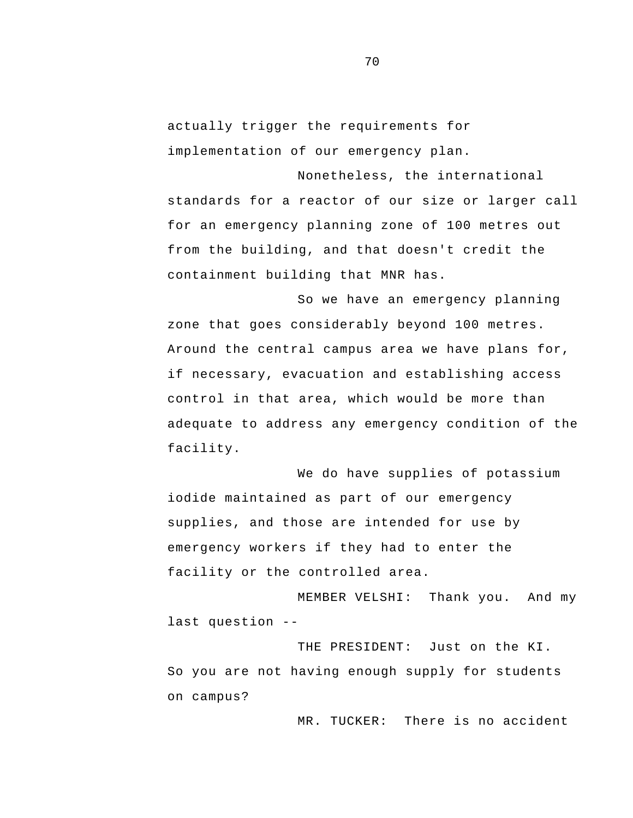actually trigger the requirements for implementation of our emergency plan.

Nonetheless, the international standards for a reactor of our size or larger call for an emergency planning zone of 100 metres out from the building, and that doesn't credit the containment building that MNR has.

So we have an emergency planning zone that goes considerably beyond 100 metres. Around the central campus area we have plans for, if necessary, evacuation and establishing access control in that area, which would be more than adequate to address any emergency condition of the facility.

We do have supplies of potassium iodide maintained as part of our emergency supplies, and those are intended for use by emergency workers if they had to enter the facility or the controlled area.

 last question - MEMBER VELSHI: Thank you. And my

THE PRESIDENT: Just on the KI. So you are not having enough supply for students on campus?

MR. TUCKER: There is no accident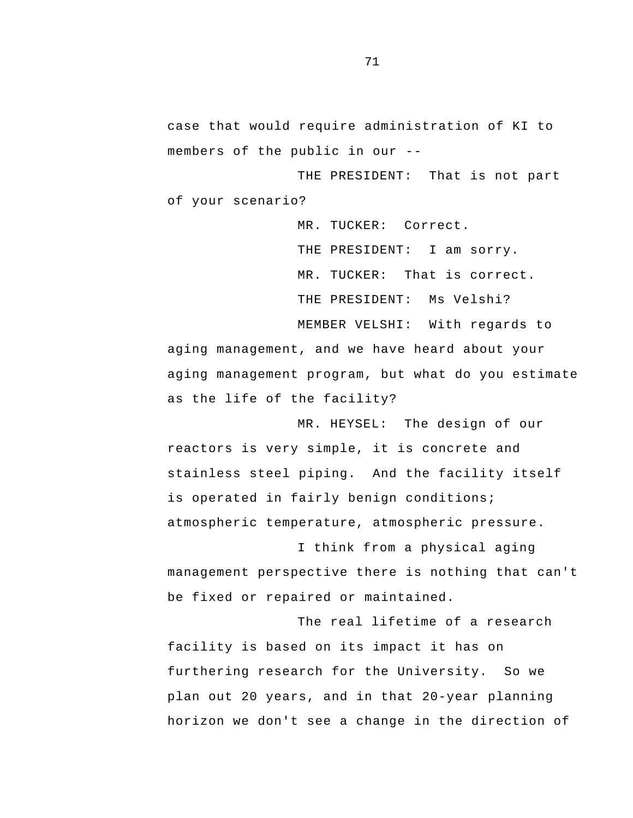members of the public in our case that would require administration of KI to

THE PRESIDENT: That is not part of your scenario?

> MR. TUCKER: Correct. THE PRESIDENT: I am sorry. MR. TUCKER: That is correct. THE PRESIDENT: Ms Velshi? MEMBER VELSHI: With regards to

aging management, and we have heard about your aging management program, but what do you estimate as the life of the facility?

MR. HEYSEL: The design of our reactors is very simple, it is concrete and stainless steel piping. And the facility itself is operated in fairly benign conditions; atmospheric temperature, atmospheric pressure.

I think from a physical aging management perspective there is nothing that can't be fixed or repaired or maintained.

The real lifetime of a research facility is based on its impact it has on furthering research for the University. So we plan out 20 years, and in that 20-year planning horizon we don't see a change in the direction of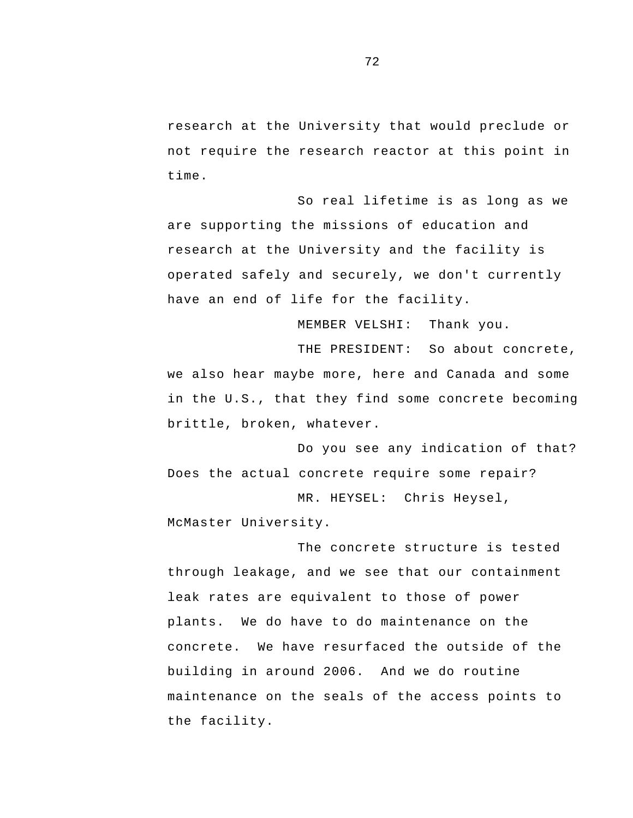research at the University that would preclude or not require the research reactor at this point in time.

So real lifetime is as long as we are supporting the missions of education and research at the University and the facility is operated safely and securely, we don't currently have an end of life for the facility.

MEMBER VELSHI: Thank you.

THE PRESIDENT: So about concrete, we also hear maybe more, here and Canada and some in the U.S., that they find some concrete becoming brittle, broken, whatever.

Do you see any indication of that? Does the actual concrete require some repair?

MR. HEYSEL: Chris Heysel, McMaster University.

The concrete structure is tested through leakage, and we see that our containment leak rates are equivalent to those of power plants. We do have to do maintenance on the concrete. We have resurfaced the outside of the building in around 2006. And we do routine maintenance on the seals of the access points to the facility.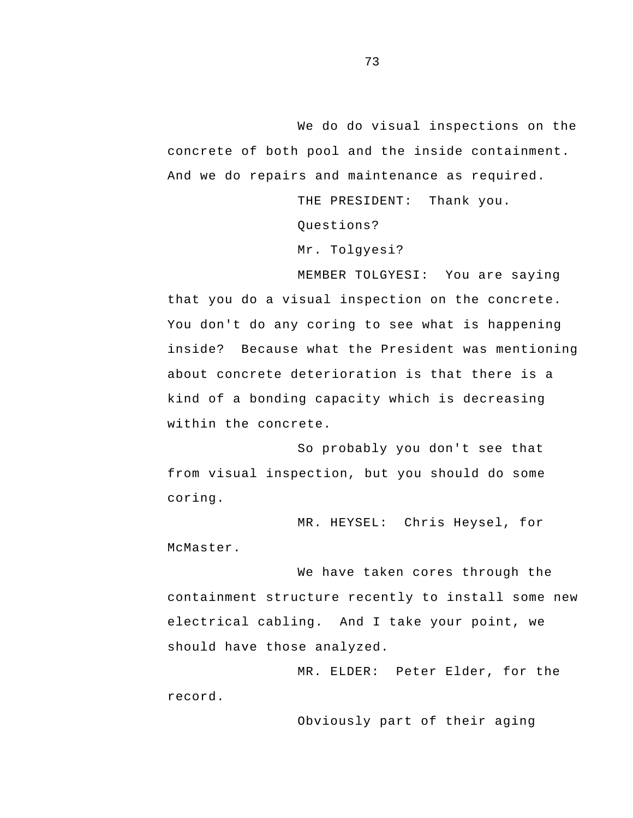We do do visual inspections on the concrete of both pool and the inside containment. And we do repairs and maintenance as required.

THE PRESIDENT: Thank you.

Questions?

Mr. Tolgyesi?

MEMBER TOLGYESI: You are saying that you do a visual inspection on the concrete. You don't do any coring to see what is happening inside? Because what the President was mentioning about concrete deterioration is that there is a kind of a bonding capacity which is decreasing within the concrete.

So probably you don't see that from visual inspection, but you should do some coring.

MR. HEYSEL: Chris Heysel, for McMaster.

We have taken cores through the containment structure recently to install some new electrical cabling. And I take your point, we should have those analyzed.

MR. ELDER: Peter Elder, for the record.

Obviously part of their aging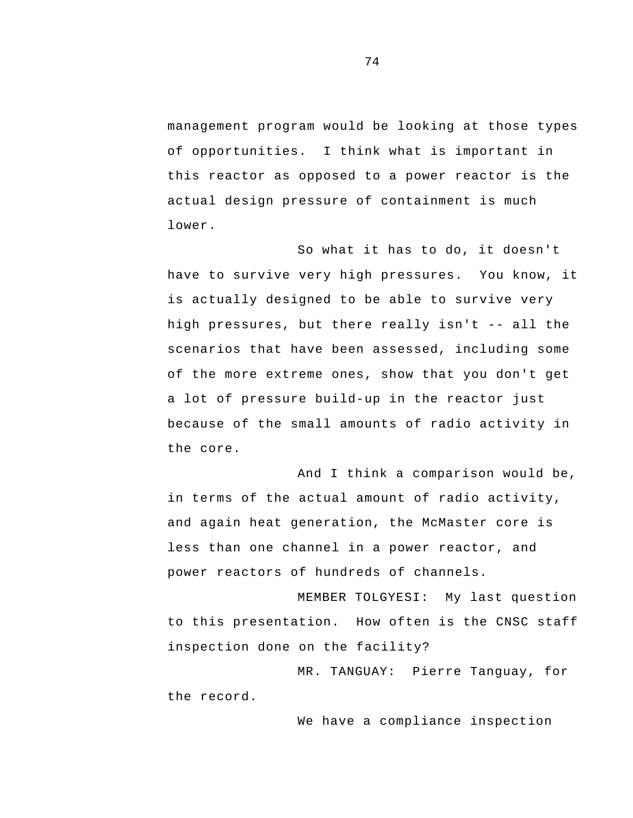management program would be looking at those types of opportunities. I think what is important in this reactor as opposed to a power reactor is the actual design pressure of containment is much lower.

 high pressures, but there really isn't -- all the So what it has to do, it doesn't have to survive very high pressures. You know, it is actually designed to be able to survive very scenarios that have been assessed, including some of the more extreme ones, show that you don't get a lot of pressure build-up in the reactor just because of the small amounts of radio activity in the core.

And I think a comparison would be, in terms of the actual amount of radio activity, and again heat generation, the McMaster core is less than one channel in a power reactor, and power reactors of hundreds of channels.

MEMBER TOLGYESI: My last question to this presentation. How often is the CNSC staff inspection done on the facility?

MR. TANGUAY: Pierre Tanguay, for the record.

We have a compliance inspection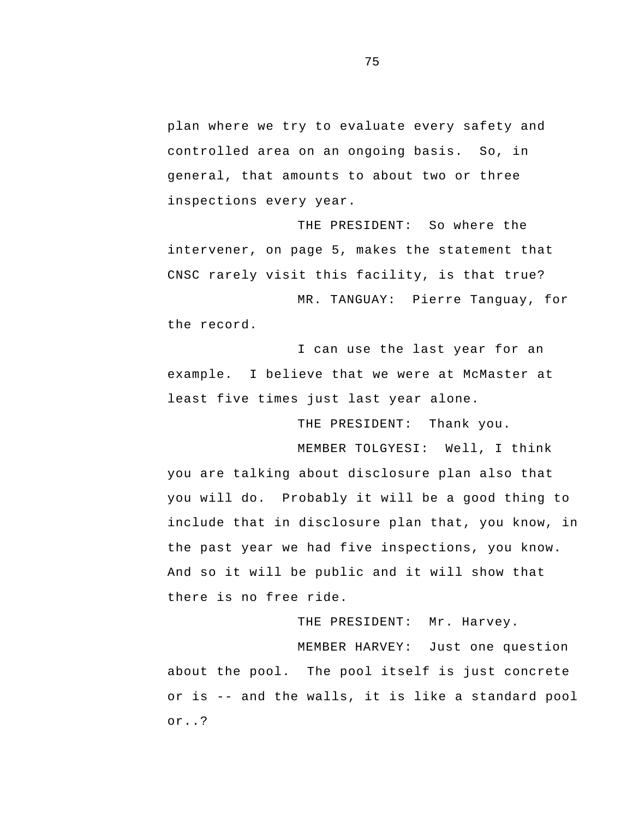plan where we try to evaluate every safety and controlled area on an ongoing basis. So, in general, that amounts to about two or three inspections every year.

THE PRESIDENT: So where the intervener, on page 5, makes the statement that CNSC rarely visit this facility, is that true?

MR. TANGUAY: Pierre Tanguay, for the record.

 example. I believe that we were at McMaster at I can use the last year for an least five times just last year alone.

THE PRESIDENT: Thank you.

MEMBER TOLGYESI: Well, I think you are talking about disclosure plan also that you will do. Probably it will be a good thing to include that in disclosure plan that, you know, in the past year we had five inspections, you know. And so it will be public and it will show that there is no free ride.

THE PRESIDENT: Mr. Harvey.

 or is -- and the walls, it is like a standard pool MEMBER HARVEY: Just one question about the pool. The pool itself is just concrete or..?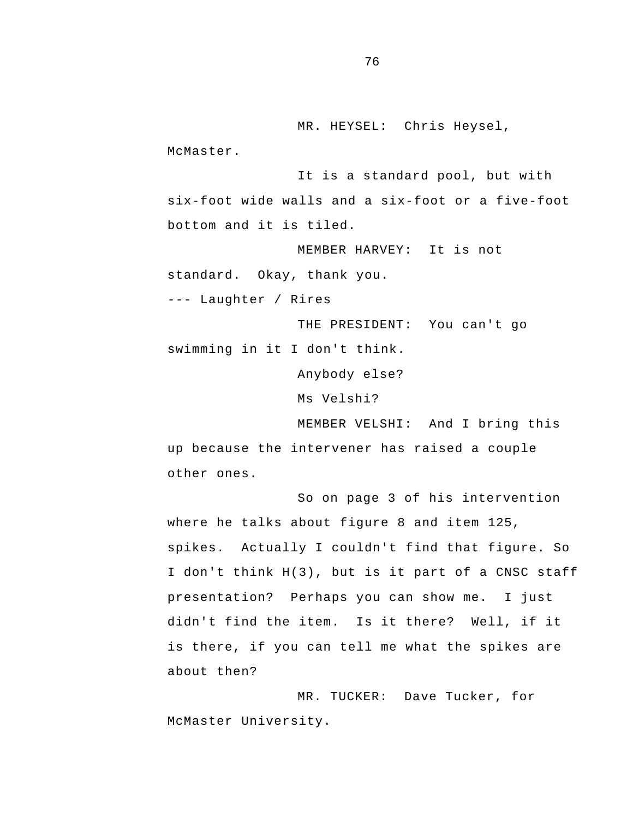MR. HEYSEL: Chris Heysel,

McMaster.

It is a standard pool, but with six-foot wide walls and a six-foot or a five-foot bottom and it is tiled.

 standard. Okay, thank you. MEMBER HARVEY: It is not --- Laughter / Rires

THE PRESIDENT: You can't go swimming in it I don't think.

Anybody else?

Ms Velshi?

MEMBER VELSHI: And I bring this up because the intervener has raised a couple other ones.

 presentation? Perhaps you can show me. I just So on page 3 of his intervention where he talks about figure 8 and item 125, spikes. Actually I couldn't find that figure. So I don't think H(3), but is it part of a CNSC staff didn't find the item. Is it there? Well, if it is there, if you can tell me what the spikes are about then?

MR. TUCKER: Dave Tucker, for McMaster University.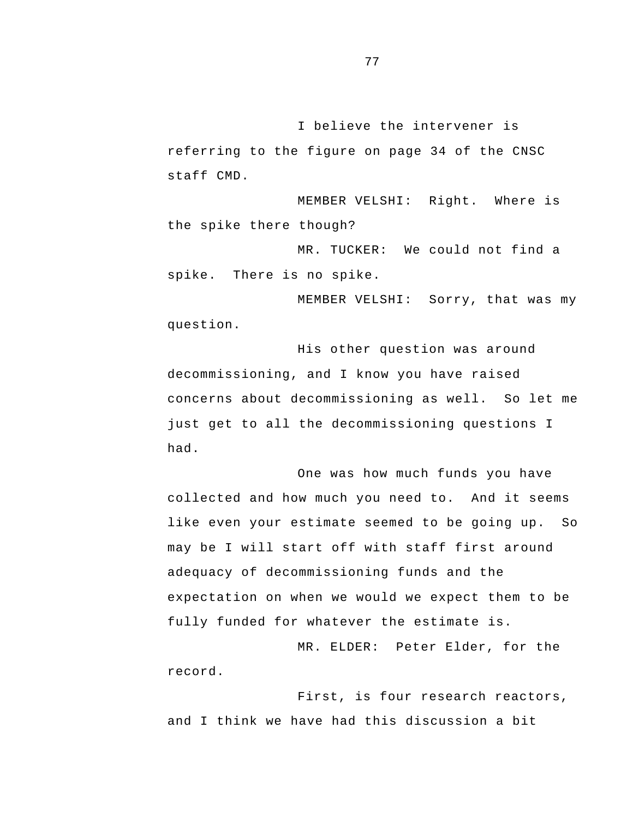I believe the intervener is referring to the figure on page 34 of the CNSC staff CMD.

MEMBER VELSHI: Right. Where is the spike there though?

MR. TUCKER: We could not find a spike. There is no spike.

MEMBER VELSHI: Sorry, that was my question.

His other question was around decommissioning, and I know you have raised concerns about decommissioning as well. So let me just get to all the decommissioning questions I had.

One was how much funds you have collected and how much you need to. And it seems like even your estimate seemed to be going up. So may be I will start off with staff first around adequacy of decommissioning funds and the expectation on when we would we expect them to be fully funded for whatever the estimate is.

MR. ELDER: Peter Elder, for the record.

First, is four research reactors, and I think we have had this discussion a bit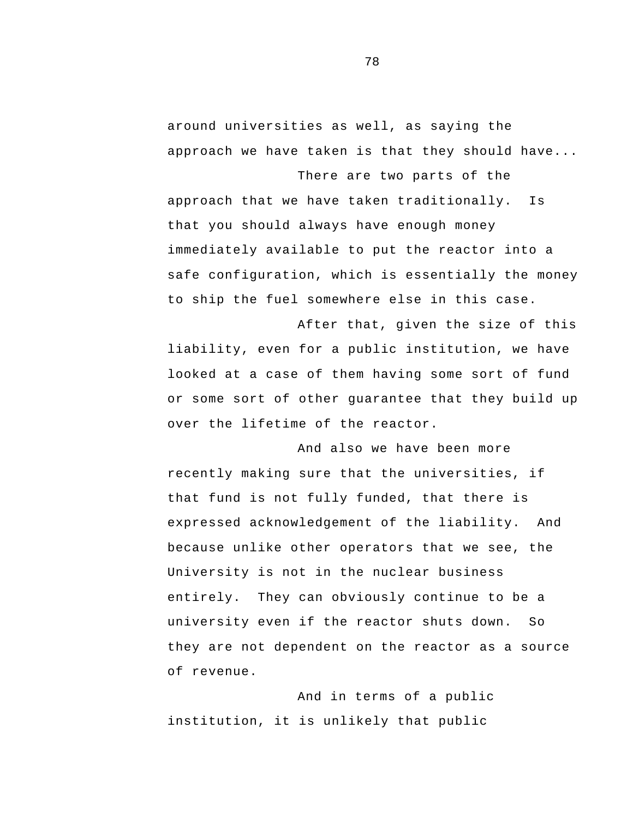around universities as well, as saying the approach we have taken is that they should have...

There are two parts of the

approach that we have taken traditionally. Is that you should always have enough money immediately available to put the reactor into a safe configuration, which is essentially the money to ship the fuel somewhere else in this case.

After that, given the size of this liability, even for a public institution, we have looked at a case of them having some sort of fund or some sort of other guarantee that they build up over the lifetime of the reactor.

 expressed acknowledgement of the liability. And And also we have been more recently making sure that the universities, if that fund is not fully funded, that there is because unlike other operators that we see, the University is not in the nuclear business entirely. They can obviously continue to be a university even if the reactor shuts down. So they are not dependent on the reactor as a source of revenue.

And in terms of a public institution, it is unlikely that public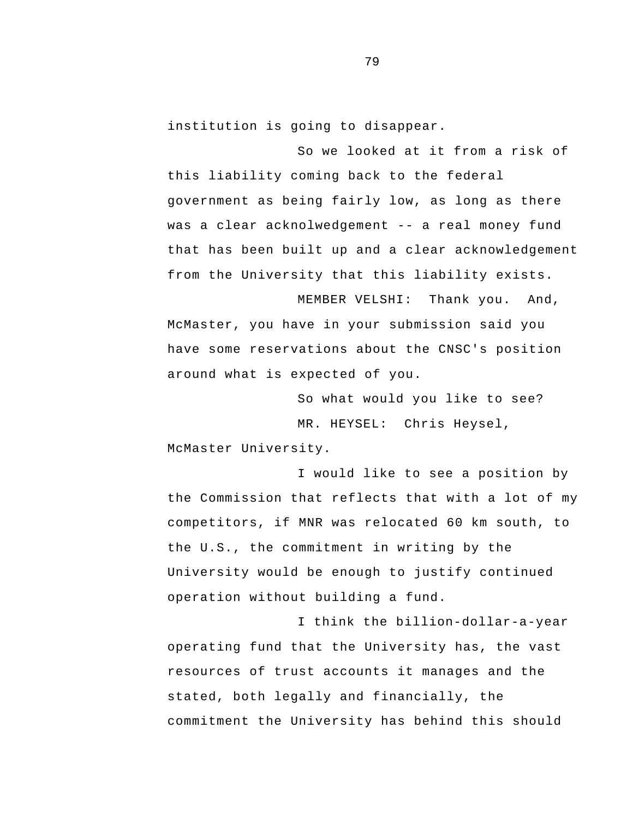institution is going to disappear.

 was a clear acknolwedgement -- a real money fund So we looked at it from a risk of this liability coming back to the federal government as being fairly low, as long as there that has been built up and a clear acknowledgement from the University that this liability exists.

MEMBER VELSHI: Thank you. And, McMaster, you have in your submission said you have some reservations about the CNSC's position around what is expected of you.

> So what would you like to see? MR. HEYSEL: Chris Heysel,

McMaster University.

I would like to see a position by the Commission that reflects that with a lot of my competitors, if MNR was relocated 60 km south, to the U.S., the commitment in writing by the University would be enough to justify continued operation without building a fund.

 operating fund that the University has, the vast I think the billion-dollar-a-year resources of trust accounts it manages and the stated, both legally and financially, the commitment the University has behind this should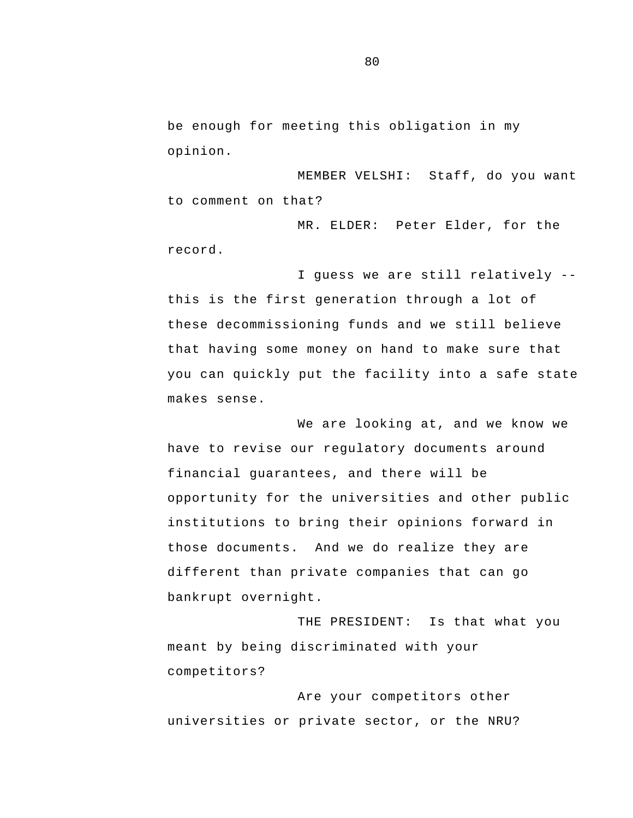be enough for meeting this obligation in my opinion.

MEMBER VELSHI: Staff, do you want to comment on that?

MR. ELDER: Peter Elder, for the record.

 I guess we are still relatively this is the first generation through a lot of these decommissioning funds and we still believe that having some money on hand to make sure that you can quickly put the facility into a safe state makes sense.

We are looking at, and we know we have to revise our regulatory documents around financial guarantees, and there will be opportunity for the universities and other public institutions to bring their opinions forward in those documents. And we do realize they are different than private companies that can go bankrupt overnight.

THE PRESIDENT: Is that what you meant by being discriminated with your competitors?

Are your competitors other universities or private sector, or the NRU?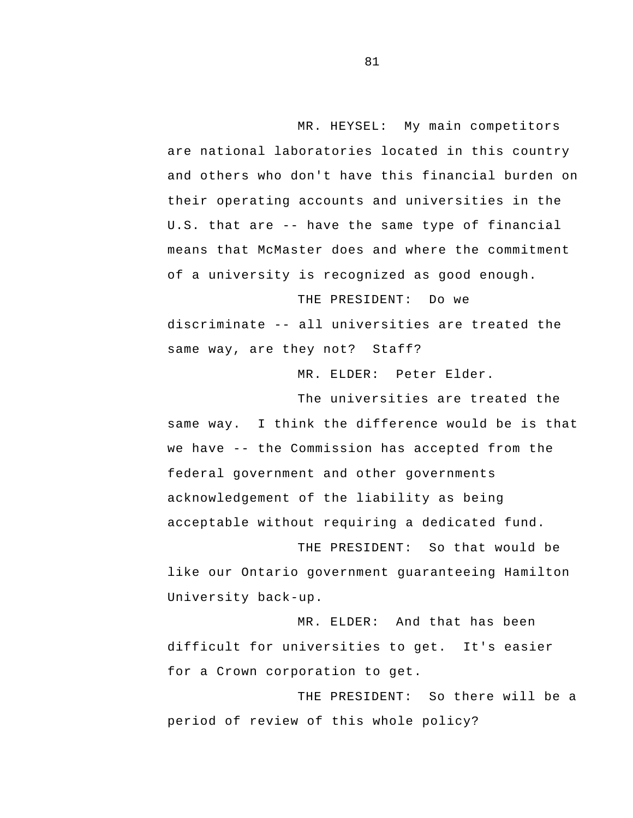U.S. that are -- have the same type of financial MR. HEYSEL: My main competitors are national laboratories located in this country and others who don't have this financial burden on their operating accounts and universities in the means that McMaster does and where the commitment of a university is recognized as good enough.

 discriminate -- all universities are treated the THE PRESIDENT: Do we same way, are they not? Staff?

MR. ELDER: Peter Elder.

 we have -- the Commission has accepted from the The universities are treated the same way. I think the difference would be is that federal government and other governments acknowledgement of the liability as being acceptable without requiring a dedicated fund.

THE PRESIDENT: So that would be like our Ontario government guaranteeing Hamilton University back-up.

MR. ELDER: And that has been difficult for universities to get. It's easier for a Crown corporation to get.

THE PRESIDENT: So there will be a period of review of this whole policy?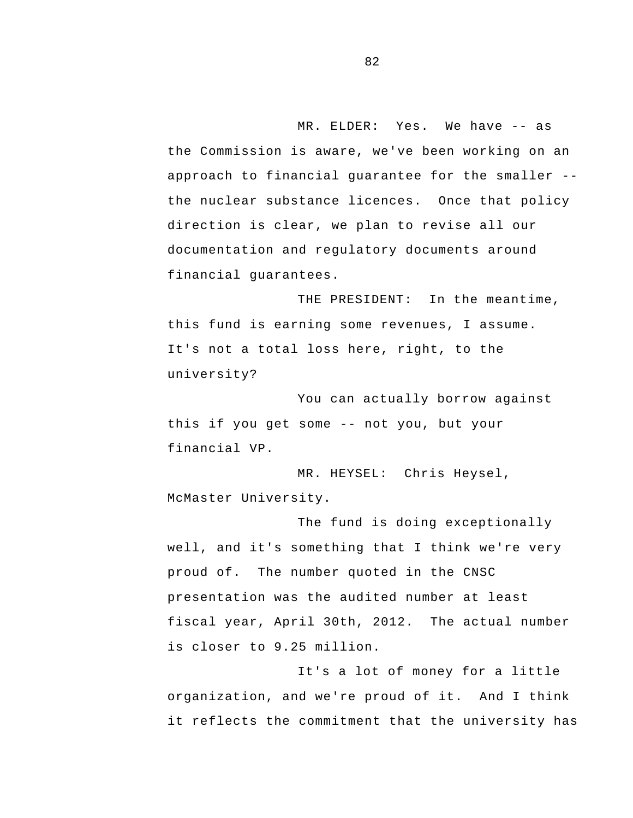MR. ELDER: Yes. We have -- as approach to financial guarantee for the smaller the Commission is aware, we've been working on an the nuclear substance licences. Once that policy direction is clear, we plan to revise all our documentation and regulatory documents around financial guarantees.

THE PRESIDENT: In the meantime, this fund is earning some revenues, I assume.<br>It's not a total loss here, right, to the university?

 this if you get some -- not you, but your You can actually borrow against financial VP.

MR. HEYSEL: Chris Heysel, McMaster University.

The fund is doing exceptionally well, and it's something that I think we're very proud of. The number quoted in the CNSC presentation was the audited number at least fiscal year, April 30th, 2012. The actual number is closer to 9.25 million.

It's a lot of money for a little organization, and we're proud of it. And I think it reflects the commitment that the university has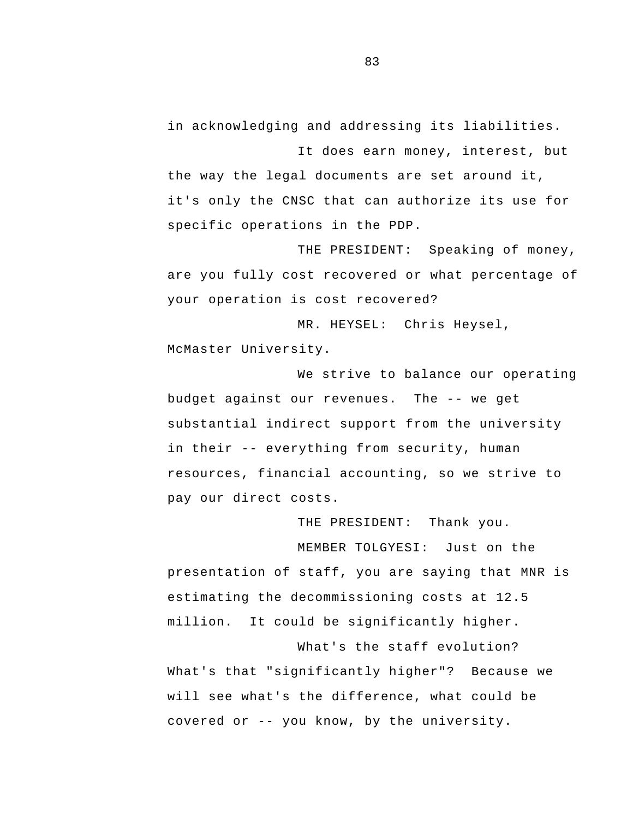in acknowledging and addressing its liabilities.

It does earn money, interest, but the way the legal documents are set around it, it's only the CNSC that can authorize its use for specific operations in the PDP.

THE PRESIDENT: Speaking of money, are you fully cost recovered or what percentage of your operation is cost recovered?

MR. HEYSEL: Chris Heysel, McMaster University.

 budget against our revenues. The -- we get in their -- everything from security, human We strive to balance our operating substantial indirect support from the university resources, financial accounting, so we strive to pay our direct costs.

THE PRESIDENT: Thank you. MEMBER TOLGYESI: Just on the presentation of staff, you are saying that MNR is estimating the decommissioning costs at 12.5 million. It could be significantly higher.

 covered or -- you know, by the university. What's the staff evolution? What's that "significantly higher"? Because we will see what's the difference, what could be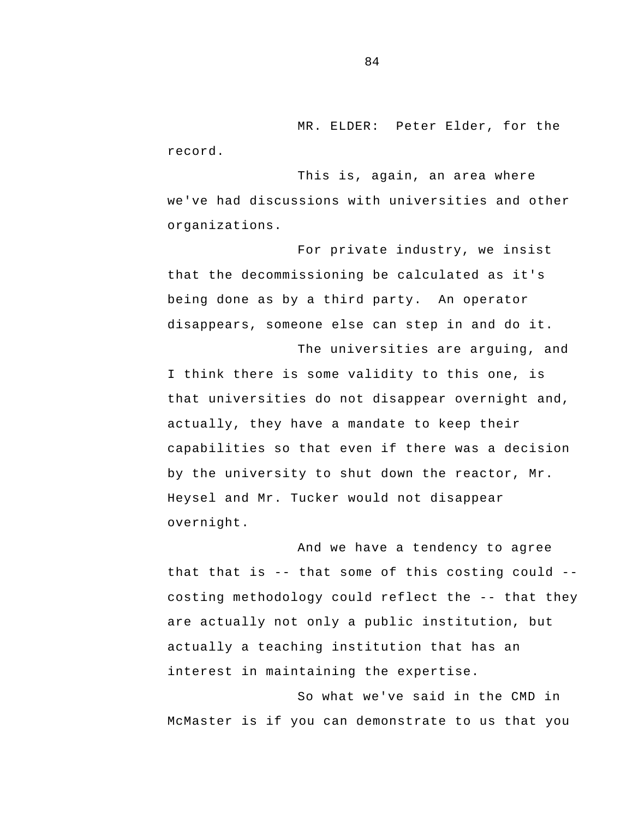MR. ELDER: Peter Elder, for the record.

This is, again, an area where we've had discussions with universities and other organizations.

For private industry, we insist that the decommissioning be calculated as it's being done as by a third party. An operator disappears, someone else can step in and do it.

The universities are arguing, and I think there is some validity to this one, is that universities do not disappear overnight and, actually, they have a mandate to keep their capabilities so that even if there was a decision by the university to shut down the reactor, Mr. Heysel and Mr. Tucker would not disappear overnight.

 that that is -- that some of this costing could - costing methodology could reflect the -- that they And we have a tendency to agree are actually not only a public institution, but actually a teaching institution that has an interest in maintaining the expertise.

So what we've said in the CMD in McMaster is if you can demonstrate to us that you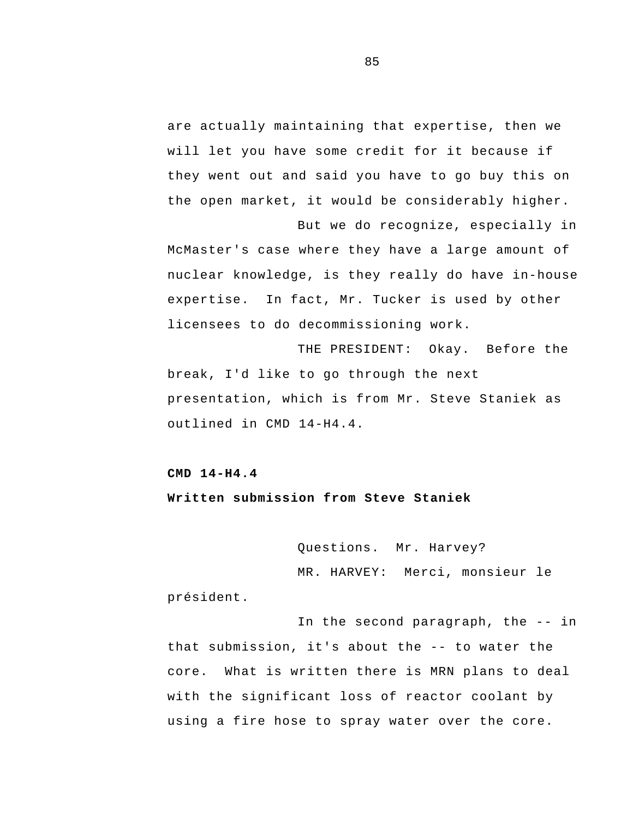are actually maintaining that expertise, then we will let you have some credit for it because if they went out and said you have to go buy this on the open market, it would be considerably higher.

But we do recognize, especially in McMaster's case where they have a large amount of nuclear knowledge, is they really do have in-house expertise. In fact, Mr. Tucker is used by other licensees to do decommissioning work.

THE PRESIDENT: Okay. Before the break, I'd like to go through the next presentation, which is from Mr. Steve Staniek as outlined in CMD 14-H4.4.

## **CMD 14-H4.4**

**Written submission from Steve Staniek** 

Questions. Mr. Harvey?

MR. HARVEY: Merci, monsieur le

président.

 In the second paragraph, the -- in that submission, it's about the -- to water the core. What is written there is MRN plans to deal with the significant loss of reactor coolant by using a fire hose to spray water over the core.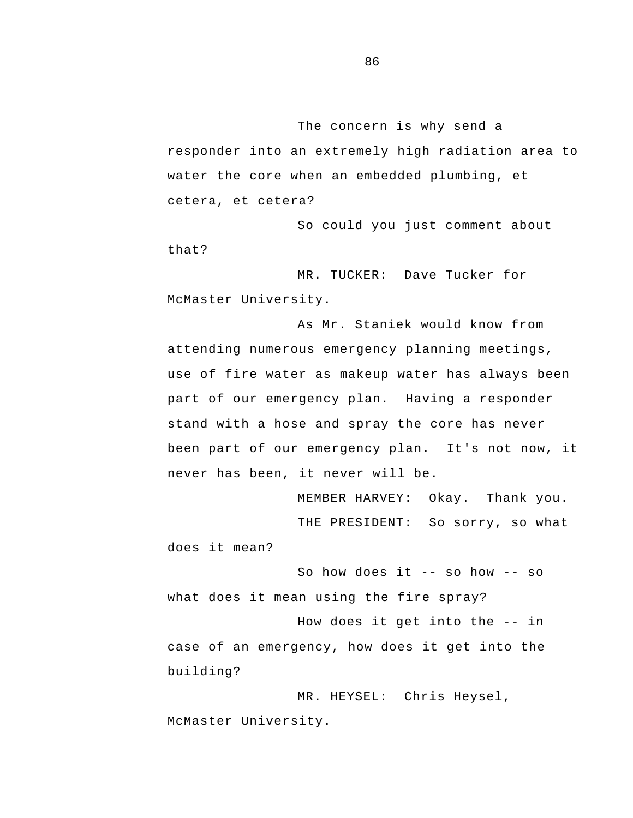The concern is why send a responder into an extremely high radiation area to water the core when an embedded plumbing, et cetera, et cetera?

So could you just comment about that?

MR. TUCKER: Dave Tucker for McMaster University.

As Mr. Staniek would know from attending numerous emergency planning meetings, use of fire water as makeup water has always been part of our emergency plan. Having a responder stand with a hose and spray the core has never been part of our emergency plan. It's not now, it never has been, it never will be.

MEMBER HARVEY: Okay. Thank you. THE PRESIDENT: So sorry, so what does it mean?

 So how does it -- so how -- so what does it mean using the fire spray?

 How does it get into the -- in case of an emergency, how does it get into the building?

MR. HEYSEL: Chris Heysel, McMaster University.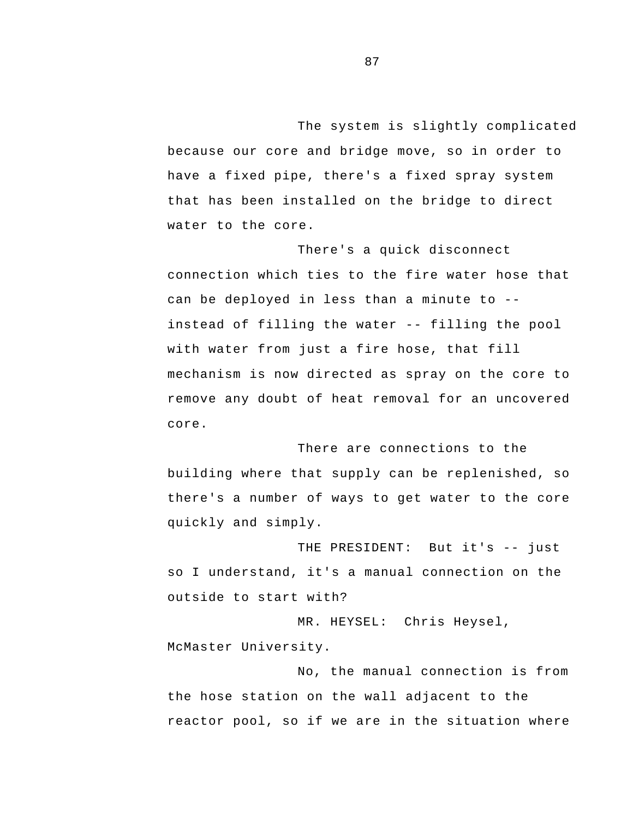The system is slightly complicated because our core and bridge move, so in order to have a fixed pipe, there's a fixed spray system that has been installed on the bridge to direct water to the core.

 can be deployed in less than a minute to - instead of filling the water -- filling the pool There's a quick disconnect connection which ties to the fire water hose that with water from just a fire hose, that fill mechanism is now directed as spray on the core to remove any doubt of heat removal for an uncovered core.

There are connections to the building where that supply can be replenished, so there's a number of ways to get water to the core quickly and simply.

 THE PRESIDENT: But it's -- just so I understand, it's a manual connection on the outside to start with?

MR. HEYSEL: Chris Heysel, McMaster University.

No, the manual connection is from the hose station on the wall adjacent to the reactor pool, so if we are in the situation where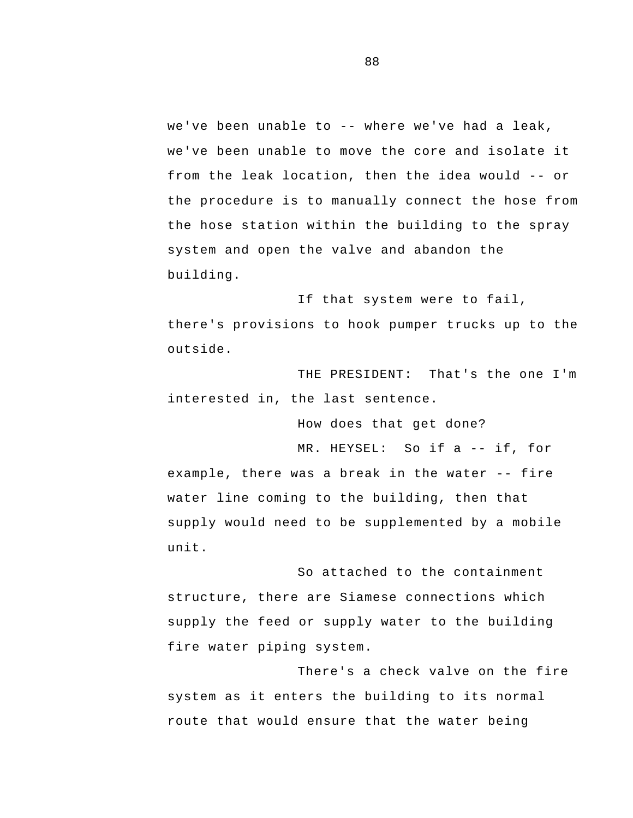we've been unable to -- where we've had a leak, from the leak location, then the idea would -- or we've been unable to move the core and isolate it the procedure is to manually connect the hose from the hose station within the building to the spray system and open the valve and abandon the building.

If that system were to fail, there's provisions to hook pumper trucks up to the outside.

THE PRESIDENT: That's the one I'm interested in, the last sentence.

How does that get done?

 MR. HEYSEL: So if a -- if, for example, there was a break in the water -- fire water line coming to the building, then that supply would need to be supplemented by a mobile unit.

So attached to the containment structure, there are Siamese connections which supply the feed or supply water to the building fire water piping system.

There's a check valve on the fire system as it enters the building to its normal route that would ensure that the water being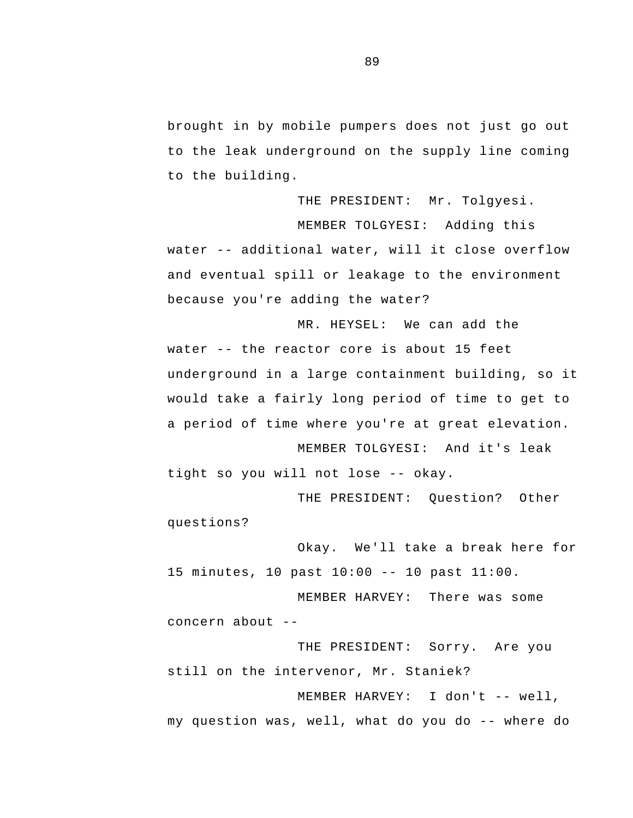brought in by mobile pumpers does not just go out to the leak underground on the supply line coming to the building.

 water -- additional water, will it close overflow THE PRESIDENT: Mr. Tolgyesi. MEMBER TOLGYESI: Adding this and eventual spill or leakage to the environment because you're adding the water?

 water -- the reactor core is about 15 feet MR. HEYSEL: We can add the underground in a large containment building, so it would take a fairly long period of time to get to a period of time where you're at great elevation.

 tight so you will not lose -- okay. MEMBER TOLGYESI: And it's leak

THE PRESIDENT: Question? Other questions?

 15 minutes, 10 past 10:00 -- 10 past 11:00. Okay. We'll take a break here for

 concern about - MEMBER HARVEY: There was some

THE PRESIDENT: Sorry. Are you still on the intervenor, Mr. Staniek?

 MEMBER HARVEY: I don't -- well, my question was, well, what do you do -- where do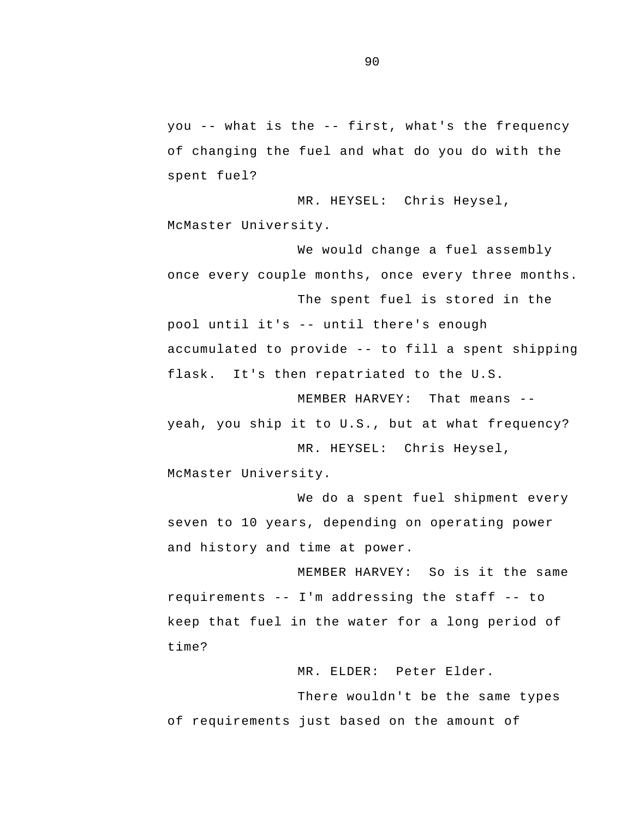you -- what is the -- first, what's the frequency of changing the fuel and what do you do with the spent fuel?

MR. HEYSEL: Chris Heysel, McMaster University.

We would change a fuel assembly once every couple months, once every three months.

 pool until it's -- until there's enough accumulated to provide -- to fill a spent shipping The spent fuel is stored in the flask. It's then repatriated to the U.S.

 MEMBER HARVEY: That means yeah, you ship it to U.S., but at what frequency? MR. HEYSEL: Chris Heysel,

McMaster University.

We do a spent fuel shipment every seven to 10 years, depending on operating power and history and time at power.

 requirements -- I'm addressing the staff -- to MEMBER HARVEY: So is it the same keep that fuel in the water for a long period of time?

MR. ELDER: Peter Elder.

There wouldn't be the same types of requirements just based on the amount of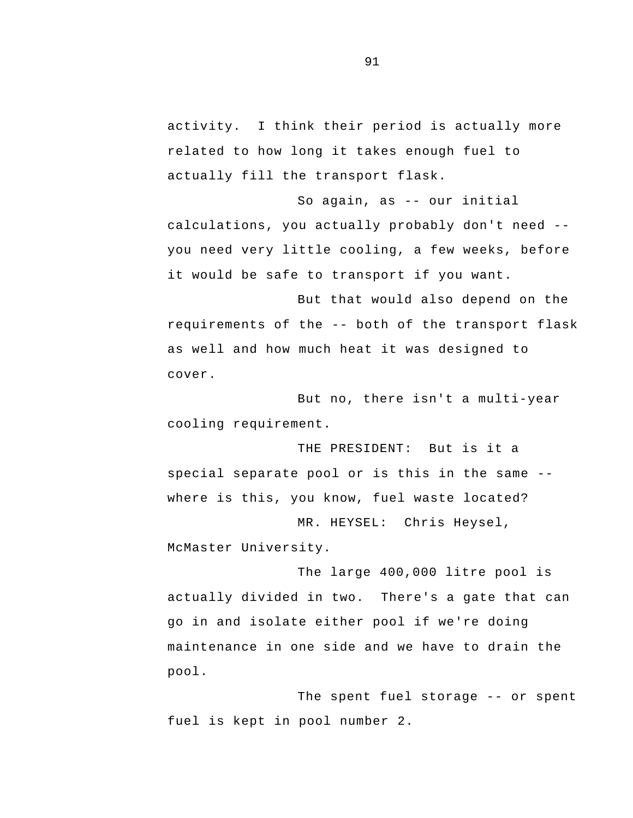activity. I think their period is actually more related to how long it takes enough fuel to actually fill the transport flask.

 So again, as -- our initial calculations, you actually probably don't need you need very little cooling, a few weeks, before it would be safe to transport if you want.

 requirements of the -- both of the transport flask But that would also depend on the as well and how much heat it was designed to cover.

But no, there isn't a multi-year cooling requirement.

 special separate pool or is this in the same - THE PRESIDENT: But is it a where is this, you know, fuel waste located?

MR. HEYSEL: Chris Heysel, McMaster University.

 maintenance in one side and we have to drain the The large 400,000 litre pool is actually divided in two. There's a gate that can go in and isolate either pool if we're doing pool.

 The spent fuel storage -- or spent fuel is kept in pool number 2.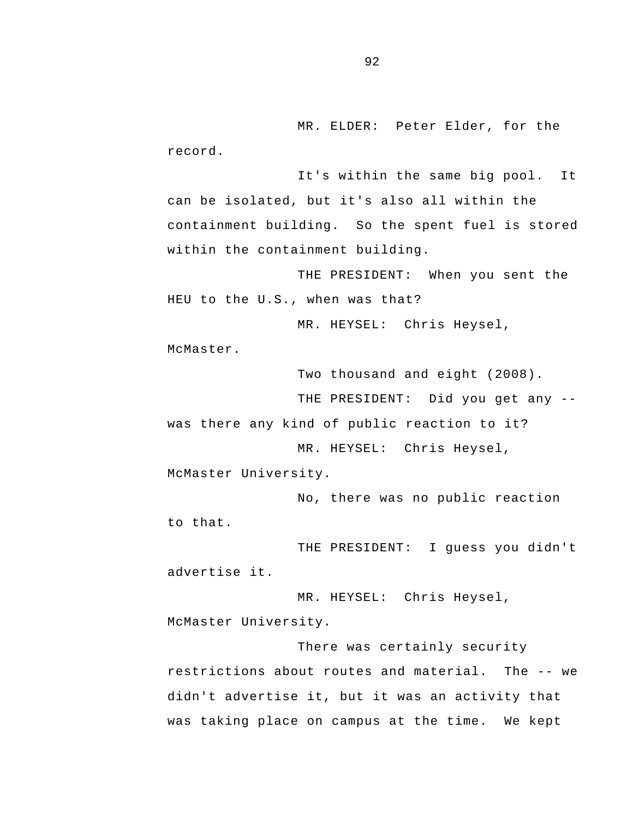MR. ELDER: Peter Elder, for the record.

It's within the same big pool. It can be isolated, but it's also all within the containment building. So the spent fuel is stored within the containment building.

THE PRESIDENT: When you sent the HEU to the U.S., when was that?

MR. HEYSEL: Chris Heysel,

McMaster.

Two thousand and eight (2008).

 THE PRESIDENT: Did you get any was there any kind of public reaction to it?

MR. HEYSEL: Chris Heysel, McMaster University.

No, there was no public reaction to that.

THE PRESIDENT: I guess you didn't advertise it.

MR. HEYSEL: Chris Heysel, McMaster University.

 restrictions about routes and material. The -- we There was certainly security didn't advertise it, but it was an activity that was taking place on campus at the time. We kept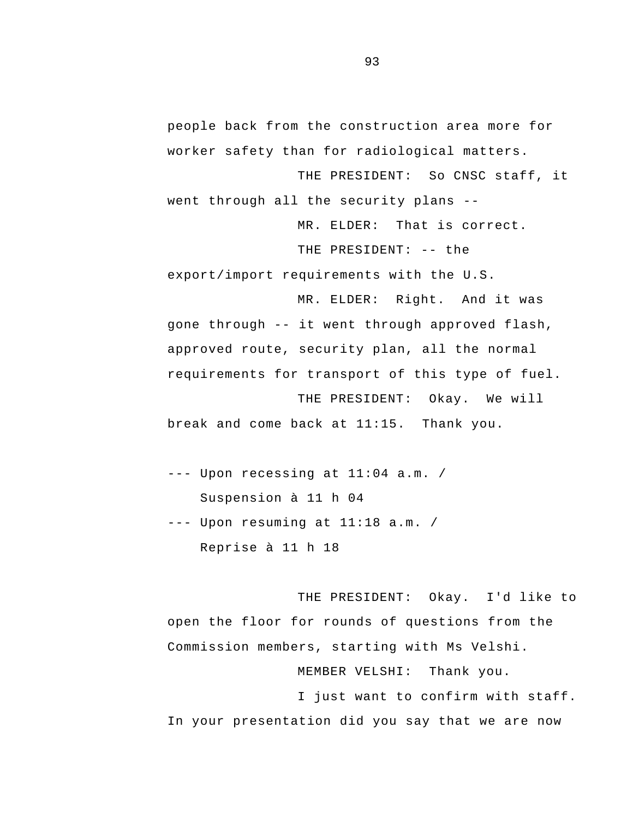people back from the construction area more for worker safety than for radiological matters.

 went through all the security plans - THE PRESIDENT: So CNSC staff, it

MR. ELDER: That is correct.

THE PRESIDENT: -- the

export/import requirements with the U.S.

 gone through -- it went through approved flash, MR. ELDER: Right. And it was approved route, security plan, all the normal requirements for transport of this type of fuel. THE PRESIDENT: Okay. We will

break and come back at 11:15. Thank you.

--- Upon recessing at 11:04 a.m. / Suspension à 11 h 04 --- Upon resuming at 11:18 a.m. / Reprise à 11 h 18

THE PRESIDENT: Okay. I'd like to open the floor for rounds of questions from the Commission members, starting with Ms Velshi.

MEMBER VELSHI: Thank you.

I just want to confirm with staff. In your presentation did you say that we are now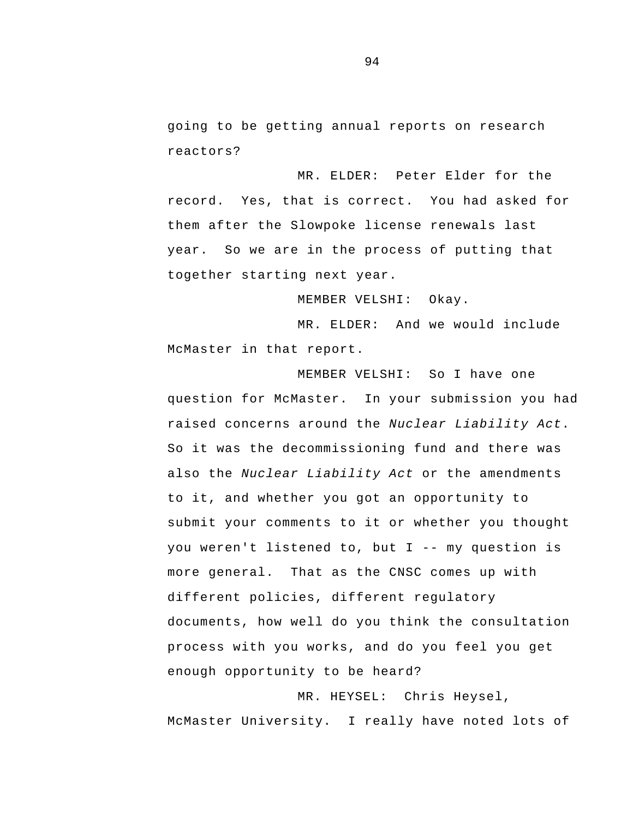going to be getting annual reports on research reactors?

MR. ELDER: Peter Elder for the record. Yes, that is correct. You had asked for them after the Slowpoke license renewals last year. So we are in the process of putting that together starting next year.

MEMBER VELSHI: Okay.

MR. ELDER: And we would include McMaster in that report.

 you weren't listened to, but I -- my question is more general. That as the CNSC comes up with MEMBER VELSHI: So I have one question for McMaster. In your submission you had raised concerns around the *Nuclear Liability Act*. So it was the decommissioning fund and there was also the *Nuclear Liability Act* or the amendments to it, and whether you got an opportunity to submit your comments to it or whether you thought different policies, different regulatory documents, how well do you think the consultation process with you works, and do you feel you get enough opportunity to be heard?

MR. HEYSEL: Chris Heysel, McMaster University. I really have noted lots of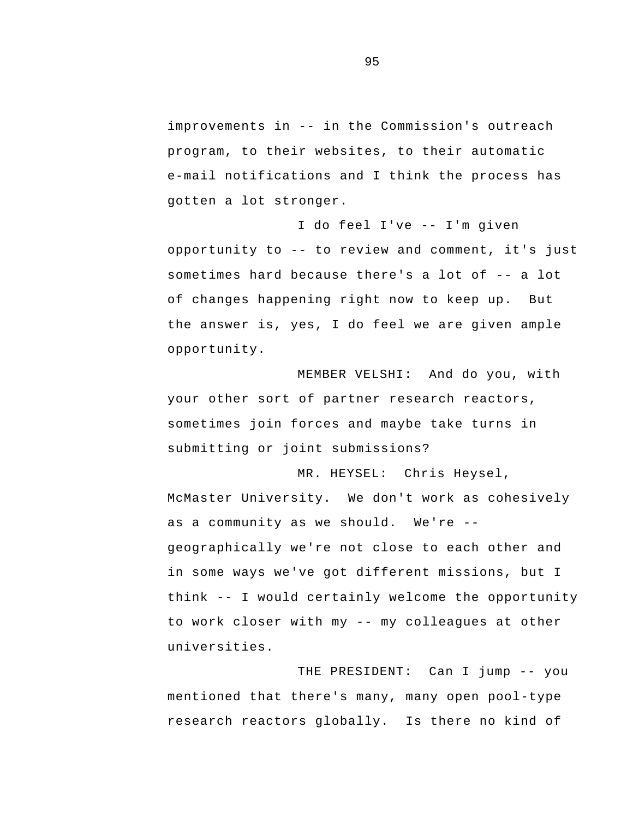improvements in -- in the Commission's outreach program, to their websites, to their automatic e-mail notifications and I think the process has gotten a lot stronger.

 I do feel I've -- I'm given opportunity to -- to review and comment, it's just sometimes hard because there's a lot of -- a lot of changes happening right now to keep up. But the answer is, yes, I do feel we are given ample opportunity.

MEMBER VELSHI: And do you, with your other sort of partner research reactors, sometimes join forces and maybe take turns in submitting or joint submissions?

 as a community as we should. We're - think -- I would certainly welcome the opportunity to work closer with my -- my colleagues at other MR. HEYSEL: Chris Heysel, McMaster University. We don't work as cohesively geographically we're not close to each other and in some ways we've got different missions, but I universities.

 THE PRESIDENT: Can I jump -- you mentioned that there's many, many open pool-type research reactors globally. Is there no kind of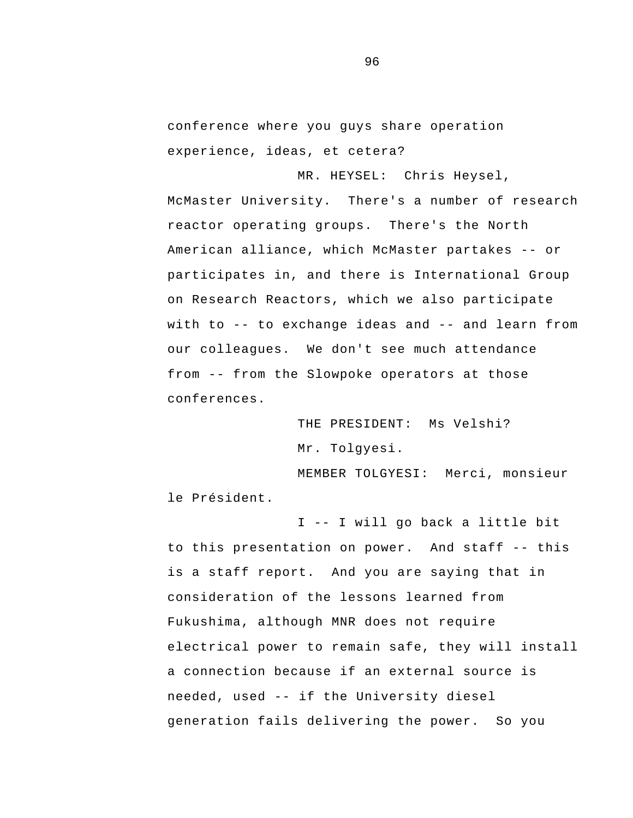conference where you guys share operation experience, ideas, et cetera?

MR. HEYSEL: Chris Heysel,

 American alliance, which McMaster partakes -- or with to -- to exchange ideas and -- and learn from from -- from the Slowpoke operators at those McMaster University. There's a number of research reactor operating groups. There's the North participates in, and there is International Group on Research Reactors, which we also participate our colleagues. We don't see much attendance conferences.

> THE PRESIDENT: Ms Velshi? Mr. Tolgyesi.

MEMBER TOLGYESI: Merci, monsieur le Président.

 I -- I will go back a little bit to this presentation on power. And staff -- this needed, used -- if the University diesel is a staff report. And you are saying that in consideration of the lessons learned from Fukushima, although MNR does not require electrical power to remain safe, they will install a connection because if an external source is generation fails delivering the power. So you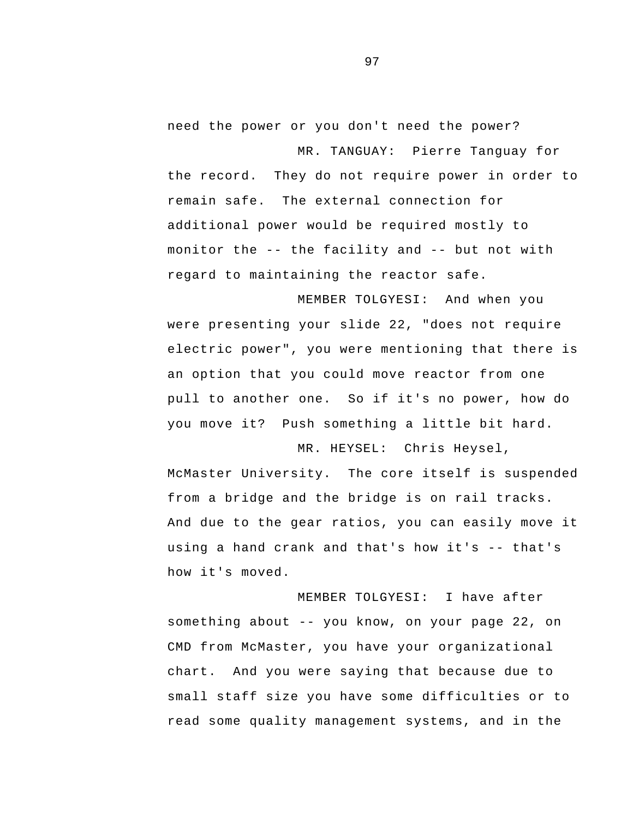need the power or you don't need the power? MR. TANGUAY: Pierre Tanguay for

 monitor the -- the facility and -- but not with the record. They do not require power in order to remain safe. The external connection for additional power would be required mostly to regard to maintaining the reactor safe.

MEMBER TOLGYESI: And when you were presenting your slide 22, "does not require electric power", you were mentioning that there is an option that you could move reactor from one pull to another one. So if it's no power, how do you move it? Push something a little bit hard.

 using a hand crank and that's how it's -- that's MR. HEYSEL: Chris Heysel, McMaster University. The core itself is suspended from a bridge and the bridge is on rail tracks. And due to the gear ratios, you can easily move it how it's moved.

 something about -- you know, on your page 22, on MEMBER TOLGYESI: I have after CMD from McMaster, you have your organizational chart. And you were saying that because due to small staff size you have some difficulties or to read some quality management systems, and in the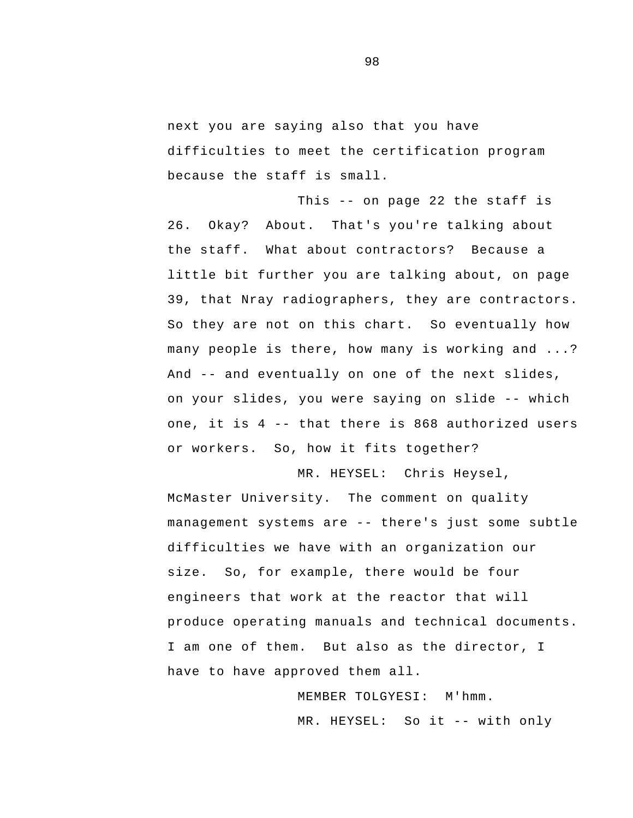next you are saying also that you have difficulties to meet the certification program because the staff is small.

 This -- on page 22 the staff is And -- and eventually on one of the next slides, on your slides, you were saying on slide -- which one, it is 4 -- that there is 868 authorized users 26. Okay? About. That's you're talking about the staff. What about contractors? Because a little bit further you are talking about, on page 39, that Nray radiographers, they are contractors. So they are not on this chart. So eventually how many people is there, how many is working and ...? or workers. So, how it fits together?

 management systems are -- there's just some subtle MR. HEYSEL: Chris Heysel, McMaster University. The comment on quality difficulties we have with an organization our size. So, for example, there would be four engineers that work at the reactor that will produce operating manuals and technical documents. I am one of them. But also as the director, I have to have approved them all.

> MR. HEYSEL: So it -- with only MEMBER TOLGYESI: M'hmm.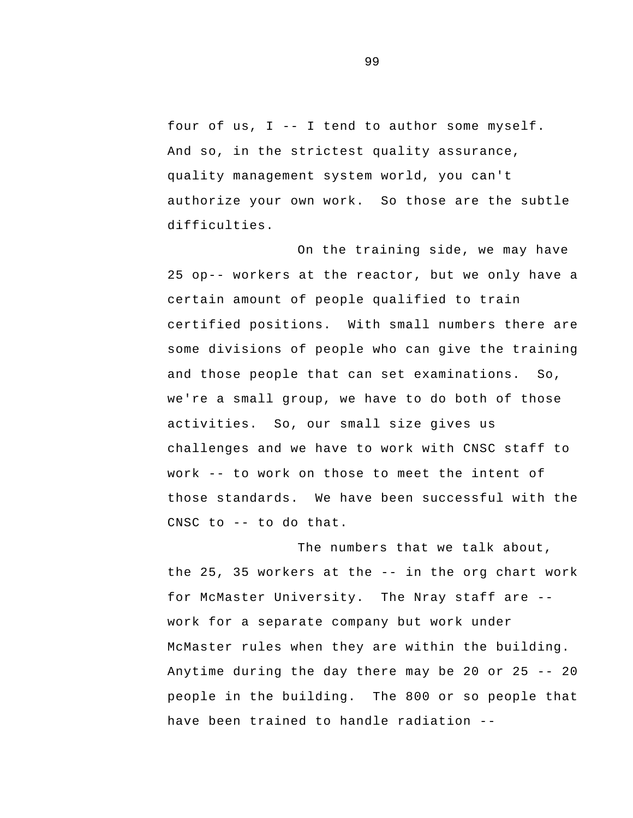four of us, I -- I tend to author some myself. And so, in the strictest quality assurance, quality management system world, you can't authorize your own work. So those are the subtle difficulties.

 work -- to work on those to meet the intent of CNSC to -- to do that. On the training side, we may have 25 op-- workers at the reactor, but we only have a certain amount of people qualified to train certified positions. With small numbers there are some divisions of people who can give the training and those people that can set examinations. So, we're a small group, we have to do both of those activities. So, our small size gives us challenges and we have to work with CNSC staff to those standards. We have been successful with the

 the 25, 35 workers at the -- in the org chart work for McMaster University. The Nray staff are - Anytime during the day there may be 20 or 25 -- 20 have been trained to handle radiation -The numbers that we talk about, work for a separate company but work under McMaster rules when they are within the building. people in the building. The 800 or so people that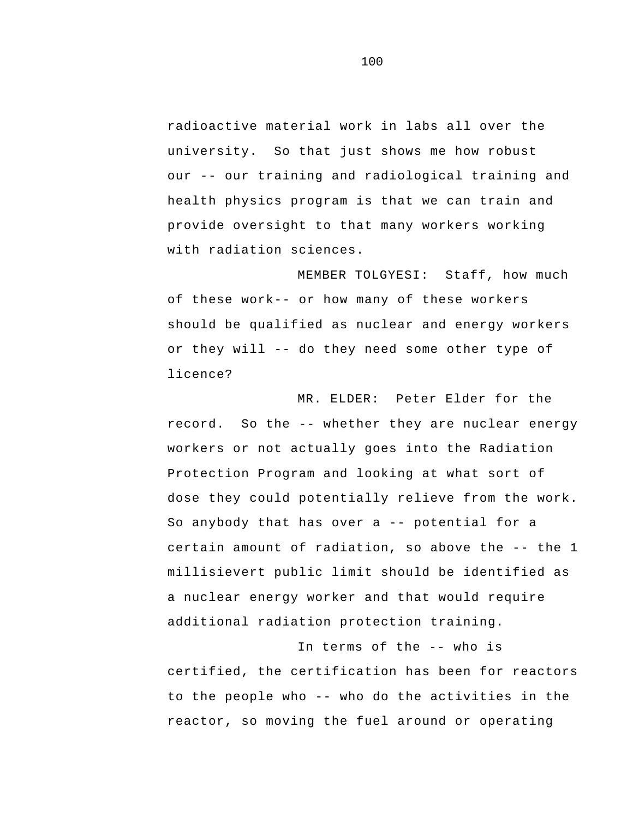our -- our training and radiological training and radioactive material work in labs all over the university. So that just shows me how robust health physics program is that we can train and provide oversight to that many workers working with radiation sciences.

 or they will -- do they need some other type of MEMBER TOLGYESI: Staff, how much of these work-- or how many of these workers should be qualified as nuclear and energy workers licence?

 record. So the -- whether they are nuclear energy dose they could potentially relieve from the work.<br>So anybody that has over a -- potential for a certain amount of radiation, so above the -- the 1 MR. ELDER: Peter Elder for the workers or not actually goes into the Radiation Protection Program and looking at what sort of millisievert public limit should be identified as a nuclear energy worker and that would require additional radiation protection training.

 In terms of the -- who is to the people who -- who do the activities in the certified, the certification has been for reactors reactor, so moving the fuel around or operating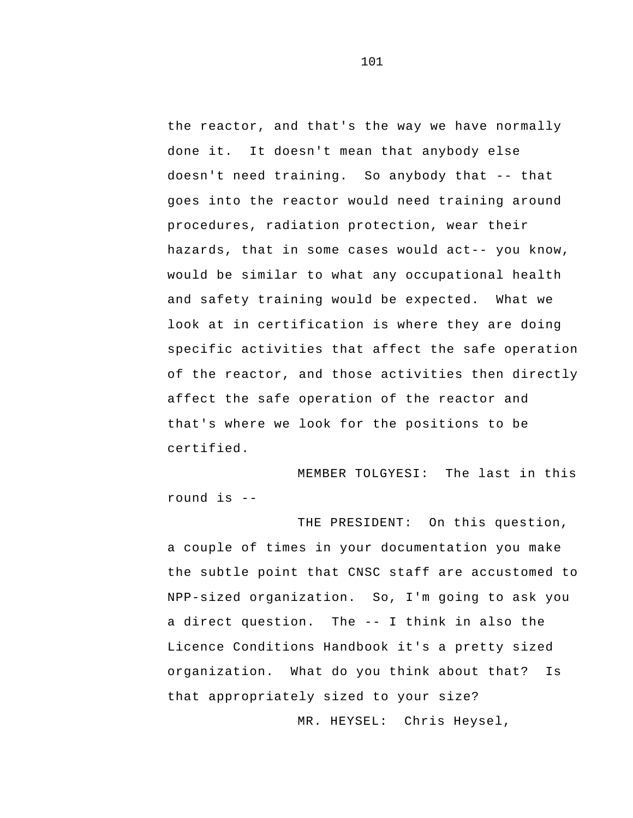doesn't need training. So anybody that -- that the reactor, and that's the way we have normally done it. It doesn't mean that anybody else goes into the reactor would need training around procedures, radiation protection, wear their hazards, that in some cases would act-- you know, would be similar to what any occupational health and safety training would be expected. What we look at in certification is where they are doing specific activities that affect the safe operation of the reactor, and those activities then directly affect the safe operation of the reactor and that's where we look for the positions to be certified.

 round is - MEMBER TOLGYESI: The last in this

 a direct question. The -- I think in also the organization. What do you think about that? Is THE PRESIDENT: On this question, a couple of times in your documentation you make the subtle point that CNSC staff are accustomed to NPP-sized organization. So, I'm going to ask you Licence Conditions Handbook it's a pretty sized that appropriately sized to your size?

MR. HEYSEL: Chris Heysel,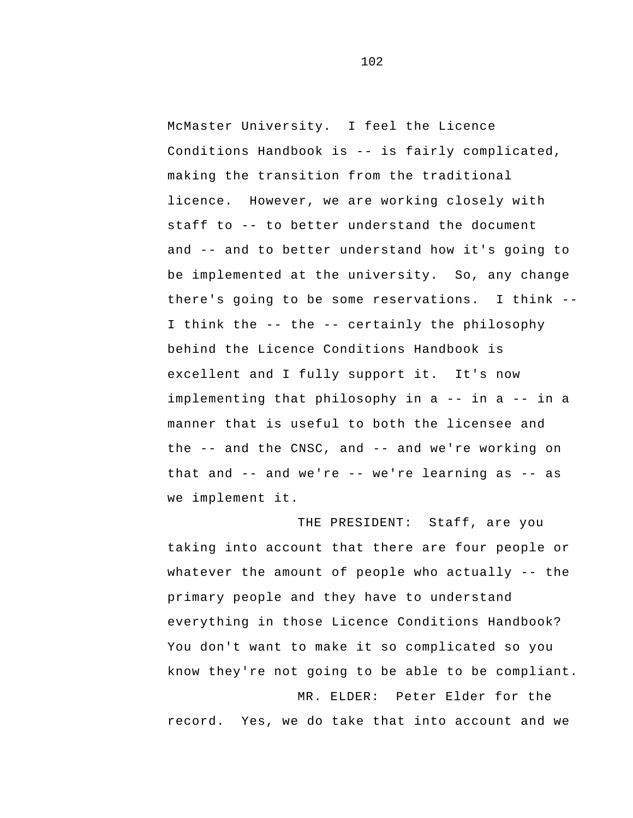Conditions Handbook is -- is fairly complicated, staff to -- to better understand the document and -- and to better understand how it's going to there's going to be some reservations. I think - I think the -- the -- certainly the philosophy implementing that philosophy in a -- in a -- in a the -- and the CNSC, and -- and we're working on that and -- and we're -- we're learning as -- as McMaster University. I feel the Licence making the transition from the traditional licence. However, we are working closely with be implemented at the university. So, any change behind the Licence Conditions Handbook is excellent and I fully support it. It's now manner that is useful to both the licensee and we implement it.

 whatever the amount of people who actually -- the THE PRESIDENT: Staff, are you taking into account that there are four people or primary people and they have to understand everything in those Licence Conditions Handbook? You don't want to make it so complicated so you know they're not going to be able to be compliant.

MR. ELDER: Peter Elder for the record. Yes, we do take that into account and we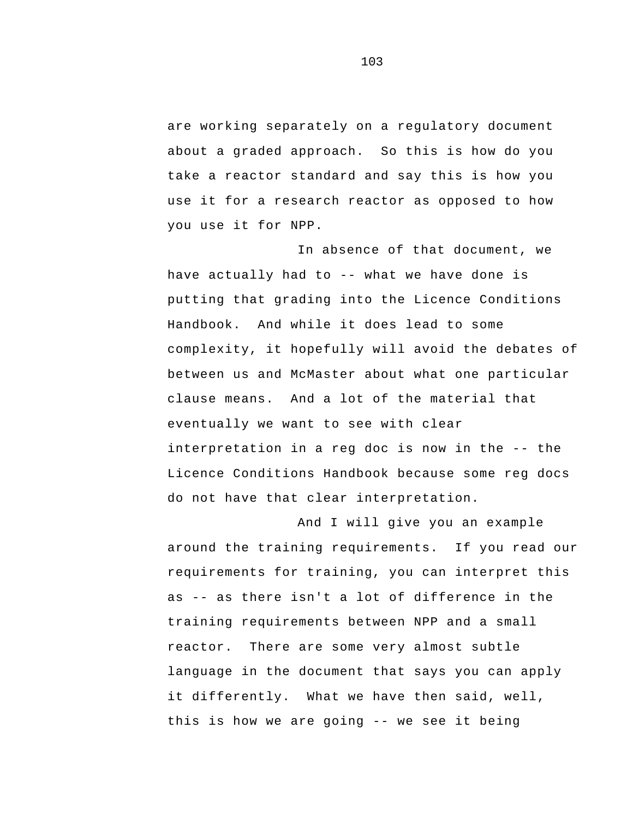are working separately on a regulatory document about a graded approach. So this is how do you take a reactor standard and say this is how you use it for a research reactor as opposed to how you use it for NPP.

 have actually had to -- what we have done is clause means. And a lot of the material that interpretation in a reg doc is now in the -- the In absence of that document, we putting that grading into the Licence Conditions Handbook. And while it does lead to some complexity, it hopefully will avoid the debates of between us and McMaster about what one particular eventually we want to see with clear Licence Conditions Handbook because some reg docs do not have that clear interpretation.

 as -- as there isn't a lot of difference in the this is how we are going -- we see it being And I will give you an example around the training requirements. If you read our requirements for training, you can interpret this training requirements between NPP and a small reactor. There are some very almost subtle language in the document that says you can apply it differently. What we have then said, well,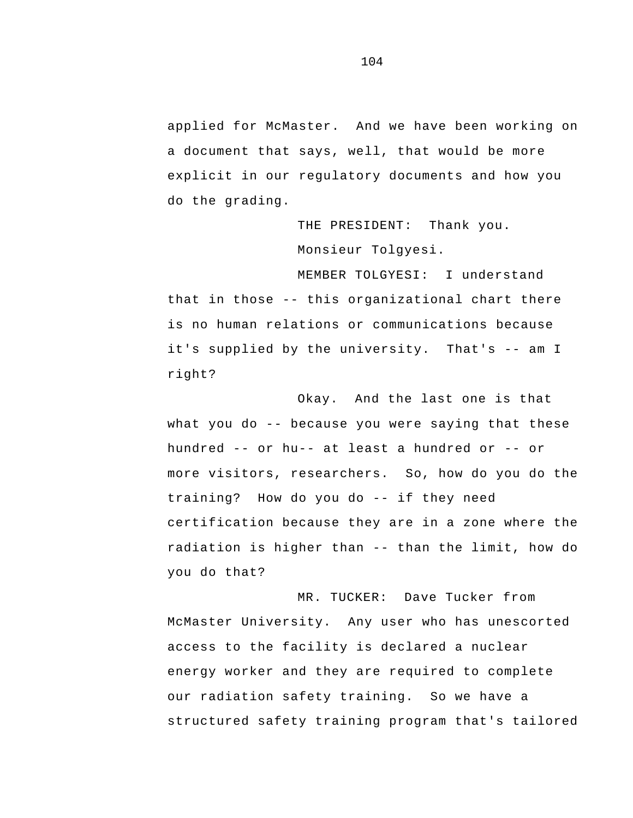applied for McMaster. And we have been working on a document that says, well, that would be more explicit in our regulatory documents and how you do the grading.

> THE PRESIDENT: Thank you. Monsieur Tolgyesi.

 that in those -- this organizational chart there it's supplied by the university. That's -- am I MEMBER TOLGYESI: I understand is no human relations or communications because right?

 what you do -- because you were saying that these hundred -- or hu-- at least a hundred or -- or training? How do you do -- if they need radiation is higher than -- than the limit, how do Okay. And the last one is that more visitors, researchers. So, how do you do the certification because they are in a zone where the you do that?

MR. TUCKER: Dave Tucker from McMaster University. Any user who has unescorted access to the facility is declared a nuclear energy worker and they are required to complete our radiation safety training. So we have a structured safety training program that's tailored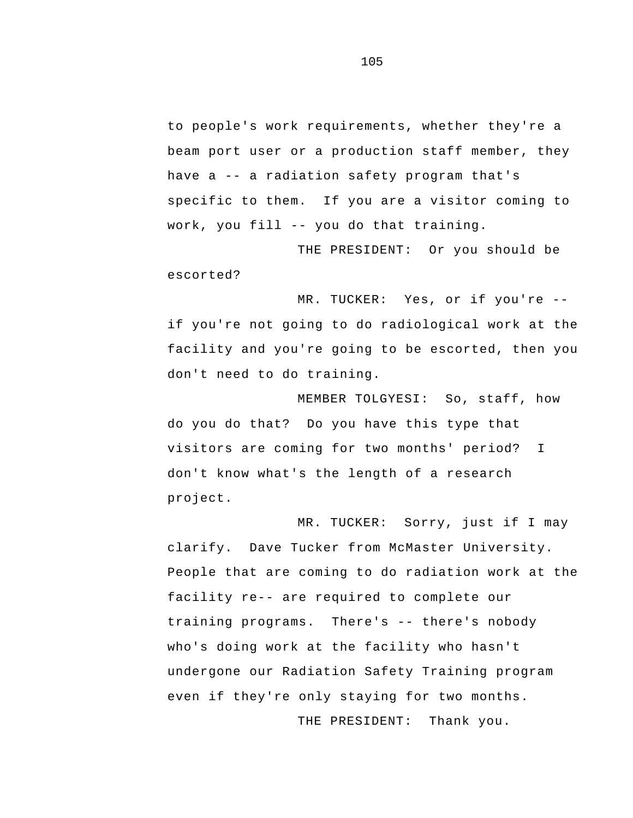have a -- a radiation safety program that's work, you fill -- you do that training. to people's work requirements, whether they're a beam port user or a production staff member, they specific to them. If you are a visitor coming to

THE PRESIDENT: Or you should be escorted?

 MR. TUCKER: Yes, or if you're if you're not going to do radiological work at the facility and you're going to be escorted, then you don't need to do training.

 visitors are coming for two months' period? I MEMBER TOLGYESI: So, staff, how do you do that? Do you have this type that don't know what's the length of a research project.

 training programs. There's -- there's nobody MR. TUCKER: Sorry, just if I may clarify. Dave Tucker from McMaster University. People that are coming to do radiation work at the facility re-- are required to complete our who's doing work at the facility who hasn't undergone our Radiation Safety Training program even if they're only staying for two months.

THE PRESIDENT: Thank you.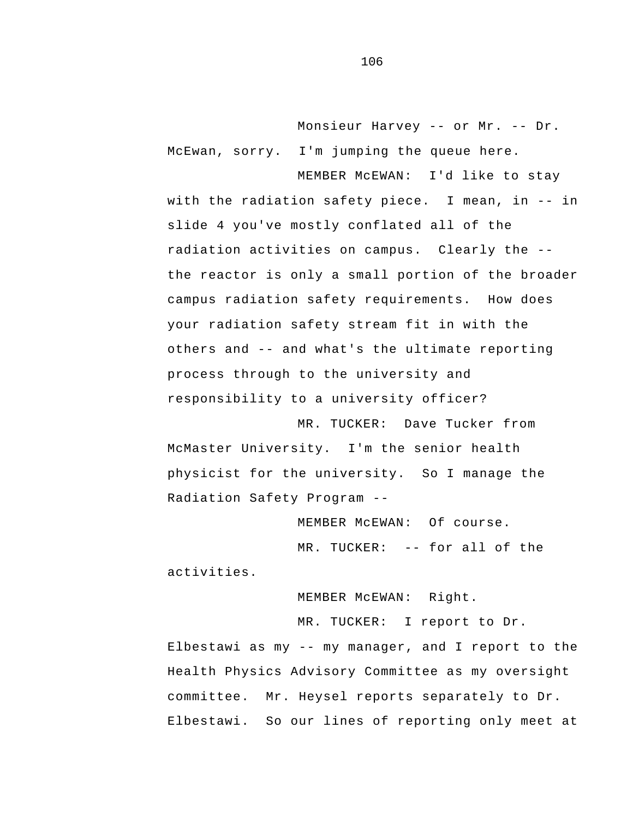Monsieur Harvey -- or Mr. -- Dr. McEwan, sorry. I'm jumping the queue here.

 with the radiation safety piece. I mean, in -- in radiation activities on campus. Clearly the - others and -- and what's the ultimate reporting MEMBER McEWAN: I'd like to stay slide 4 you've mostly conflated all of the the reactor is only a small portion of the broader campus radiation safety requirements. How does your radiation safety stream fit in with the process through to the university and responsibility to a university officer?

 Radiation Safety Program - MR. TUCKER: Dave Tucker from McMaster University. I'm the senior health physicist for the university. So I manage the

 MR. TUCKER: -- for all of the MEMBER McEWAN: Of course. activities.

> MEMBER McEWAN: Right. MR. TUCKER: I report to Dr.

 Elbestawi as my -- my manager, and I report to the Health Physics Advisory Committee as my oversight committee. Mr. Heysel reports separately to Dr. Elbestawi. So our lines of reporting only meet at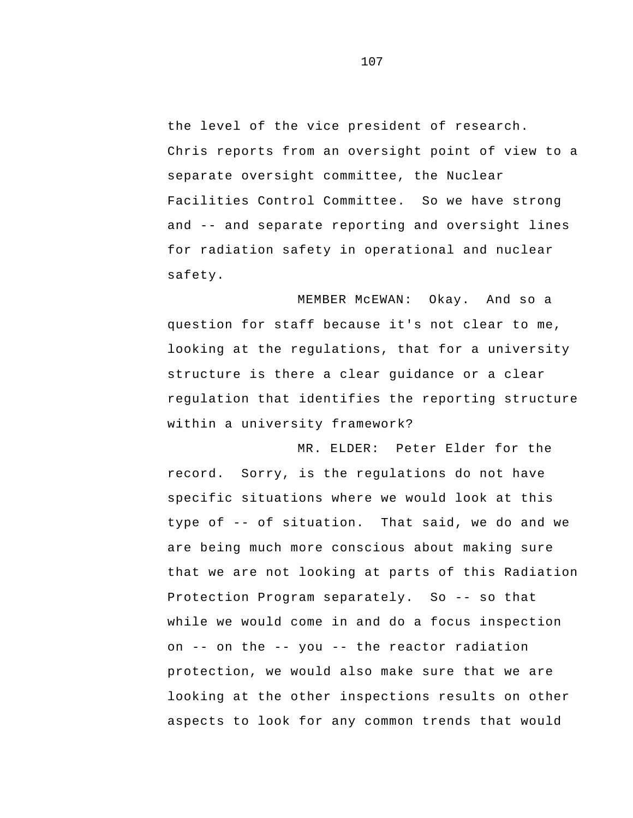and -- and separate reporting and oversight lines the level of the vice president of research. Chris reports from an oversight point of view to a separate oversight committee, the Nuclear Facilities Control Committee. So we have strong for radiation safety in operational and nuclear safety.

MEMBER McEWAN: Okay. And so a question for staff because it's not clear to me, looking at the regulations, that for a university structure is there a clear guidance or a clear regulation that identifies the reporting structure within a university framework?

 type of -- of situation. That said, we do and we Protection Program separately. So -- so that on -- on the -- you -- the reactor radiation MR. ELDER: Peter Elder for the record. Sorry, is the regulations do not have specific situations where we would look at this are being much more conscious about making sure that we are not looking at parts of this Radiation while we would come in and do a focus inspection protection, we would also make sure that we are looking at the other inspections results on other aspects to look for any common trends that would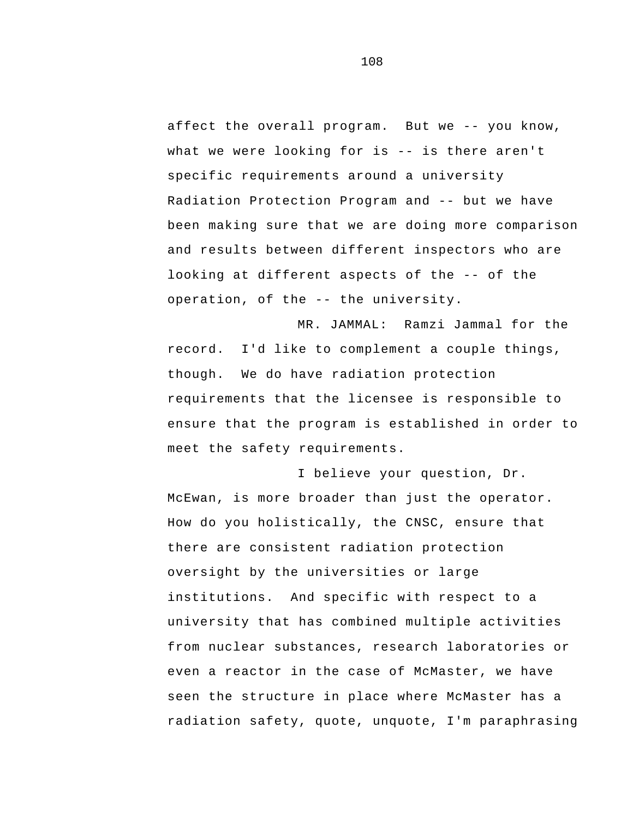affect the overall program. But we -- you know, what we were looking for is -- is there aren't Radiation Protection Program and -- but we have looking at different aspects of the -- of the operation, of the -- the university. specific requirements around a university been making sure that we are doing more comparison and results between different inspectors who are

MR. JAMMAL: Ramzi Jammal for the record. I'd like to complement a couple things, though. We do have radiation protection requirements that the licensee is responsible to ensure that the program is established in order to meet the safety requirements.

 institutions. And specific with respect to a I believe your question, Dr. McEwan, is more broader than just the operator. How do you holistically, the CNSC, ensure that there are consistent radiation protection oversight by the universities or large university that has combined multiple activities from nuclear substances, research laboratories or even a reactor in the case of McMaster, we have seen the structure in place where McMaster has a radiation safety, quote, unquote, I'm paraphrasing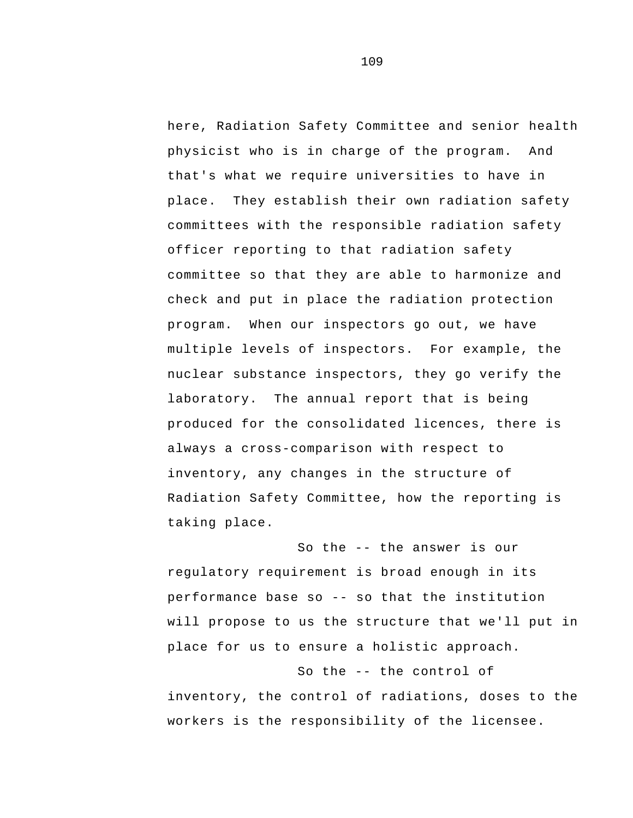here, Radiation Safety Committee and senior health physicist who is in charge of the program. And that's what we require universities to have in place. They establish their own radiation safety committees with the responsible radiation safety officer reporting to that radiation safety committee so that they are able to harmonize and check and put in place the radiation protection program. When our inspectors go out, we have multiple levels of inspectors. For example, the nuclear substance inspectors, they go verify the laboratory. The annual report that is being produced for the consolidated licences, there is always a cross-comparison with respect to inventory, any changes in the structure of Radiation Safety Committee, how the reporting is taking place.

 So the -- the answer is our performance base so -- so that the institution regulatory requirement is broad enough in its will propose to us the structure that we'll put in place for us to ensure a holistic approach.

 So the -- the control of inventory, the control of radiations, doses to the workers is the responsibility of the licensee.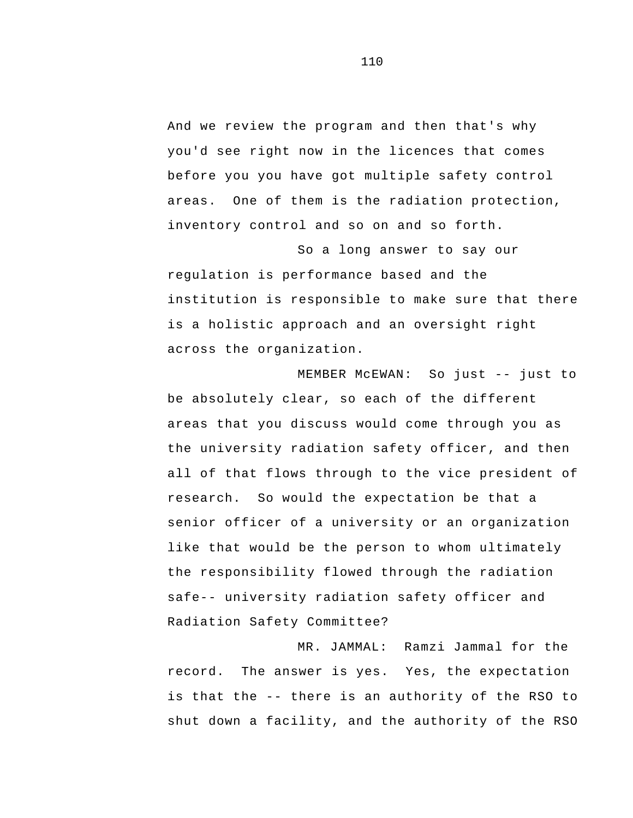And we review the program and then that's why you'd see right now in the licences that comes before you you have got multiple safety control areas. One of them is the radiation protection, inventory control and so on and so forth.

So a long answer to say our regulation is performance based and the institution is responsible to make sure that there is a holistic approach and an oversight right across the organization.

 MEMBER McEWAN: So just -- just to be absolutely clear, so each of the different areas that you discuss would come through you as the university radiation safety officer, and then all of that flows through to the vice president of research. So would the expectation be that a senior officer of a university or an organization like that would be the person to whom ultimately the responsibility flowed through the radiation safe-- university radiation safety officer and Radiation Safety Committee?

 is that the -- there is an authority of the RSO to MR. JAMMAL: Ramzi Jammal for the record. The answer is yes. Yes, the expectation shut down a facility, and the authority of the RSO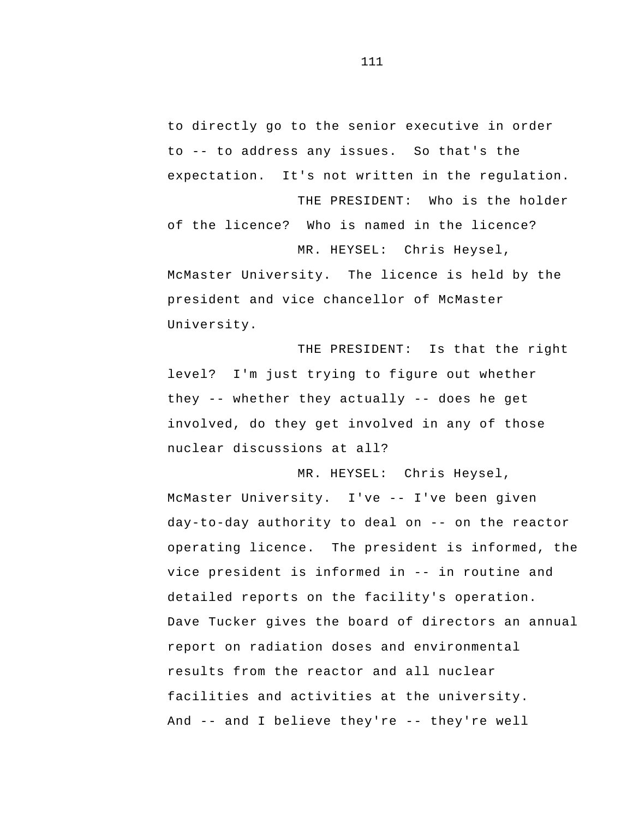to -- to address any issues. So that's the to directly go to the senior executive in order expectation. It's not written in the regulation. THE PRESIDENT: Who is the holder

of the licence? Who is named in the licence? MR. HEYSEL: Chris Heysel,

McMaster University. The licence is held by the president and vice chancellor of McMaster University.

 they -- whether they actually -- does he get THE PRESIDENT: Is that the right level? I'm just trying to figure out whether involved, do they get involved in any of those nuclear discussions at all?

 McMaster University. I've -- I've been given day-to-day authority to deal on -- on the reactor vice president is informed in -- in routine and And -- and I believe they're -- they're well MR. HEYSEL: Chris Heysel, operating licence. The president is informed, the detailed reports on the facility's operation.<br>Dave Tucker gives the board of directors an annual report on radiation doses and environmental results from the reactor and all nuclear facilities and activities at the university.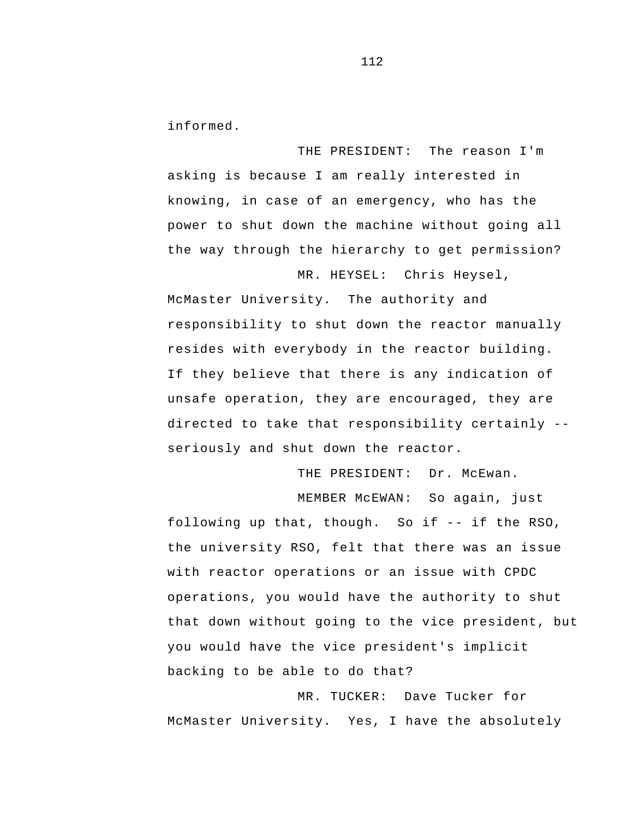informed.

THE PRESIDENT: The reason I'm asking is because I am really interested in knowing, in case of an emergency, who has the power to shut down the machine without going all the way through the hierarchy to get permission?

 directed to take that responsibility certainly - McMaster University. The authority and responsibility to shut down the reactor manually resides with everybody in the reactor building. If they believe that there is any indication of unsafe operation, they are encouraged, they are seriously and shut down the reactor.

THE PRESIDENT: Dr. McEwan.

MR. HEYSEL: Chris Heysel,

 following up that, though. So if -- if the RSO, MEMBER McEWAN: So again, just the university RSO, felt that there was an issue with reactor operations or an issue with CPDC operations, you would have the authority to shut that down without going to the vice president, but you would have the vice president's implicit backing to be able to do that?

MR. TUCKER: Dave Tucker for McMaster University. Yes, I have the absolutely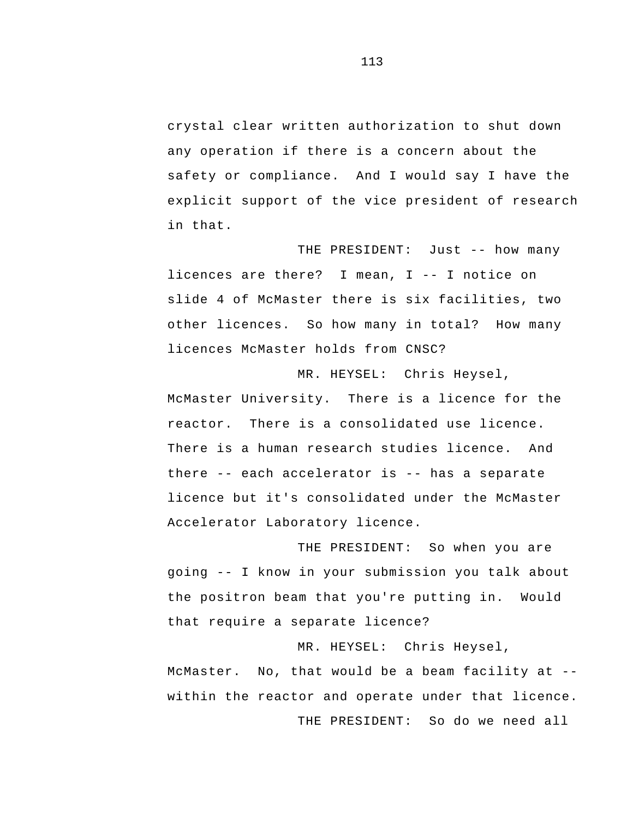crystal clear written authorization to shut down any operation if there is a concern about the safety or compliance. And I would say I have the explicit support of the vice president of research in that.

 THE PRESIDENT: Just -- how many licences are there? I mean, I -- I notice on slide 4 of McMaster there is six facilities, two other licences. So how many in total? How many licences McMaster holds from CNSC?

 there -- each accelerator is -- has a separate MR. HEYSEL: Chris Heysel, McMaster University. There is a licence for the reactor. There is a consolidated use licence. There is a human research studies licence. And licence but it's consolidated under the McMaster Accelerator Laboratory licence.

 going -- I know in your submission you talk about THE PRESIDENT: So when you are the positron beam that you're putting in. Would that require a separate licence?

 McMaster. No, that would be a beam facility at - MR. HEYSEL: Chris Heysel, within the reactor and operate under that licence.

THE PRESIDENT: So do we need all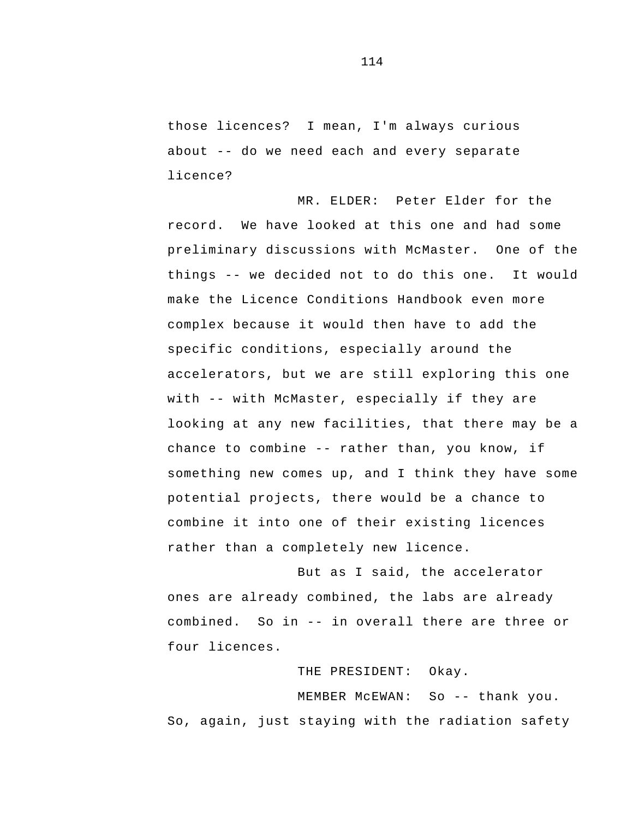about -- do we need each and every separate those licences? I mean, I'm always curious licence?

 things -- we decided not to do this one. It would with -- with McMaster, especially if they are chance to combine -- rather than, you know, if MR. ELDER: Peter Elder for the record. We have looked at this one and had some preliminary discussions with McMaster. One of the make the Licence Conditions Handbook even more complex because it would then have to add the specific conditions, especially around the accelerators, but we are still exploring this one looking at any new facilities, that there may be a something new comes up, and I think they have some potential projects, there would be a chance to combine it into one of their existing licences rather than a completely new licence.

 combined. So in -- in overall there are three or But as I said, the accelerator ones are already combined, the labs are already four licences.

THE PRESIDENT: Okay.

 MEMBER McEWAN: So -- thank you. So, again, just staying with the radiation safety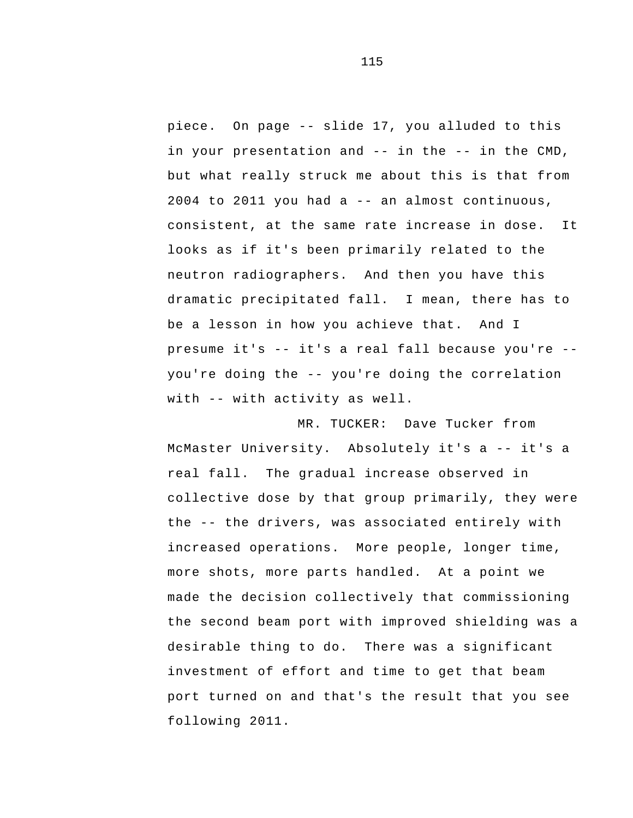piece. On page -- slide 17, you alluded to this in your presentation and -- in the -- in the CMD, 2004 to 2011 you had a -- an almost continuous, presume it's -- it's a real fall because you're - you're doing the -- you're doing the correlation with -- with activity as well. but what really struck me about this is that from consistent, at the same rate increase in dose. It looks as if it's been primarily related to the neutron radiographers. And then you have this dramatic precipitated fall. I mean, there has to be a lesson in how you achieve that. And I

 McMaster University. Absolutely it's a -- it's a the -- the drivers, was associated entirely with MR. TUCKER: Dave Tucker from real fall. The gradual increase observed in collective dose by that group primarily, they were increased operations. More people, longer time, more shots, more parts handled. At a point we made the decision collectively that commissioning the second beam port with improved shielding was a desirable thing to do. There was a significant investment of effort and time to get that beam port turned on and that's the result that you see following 2011.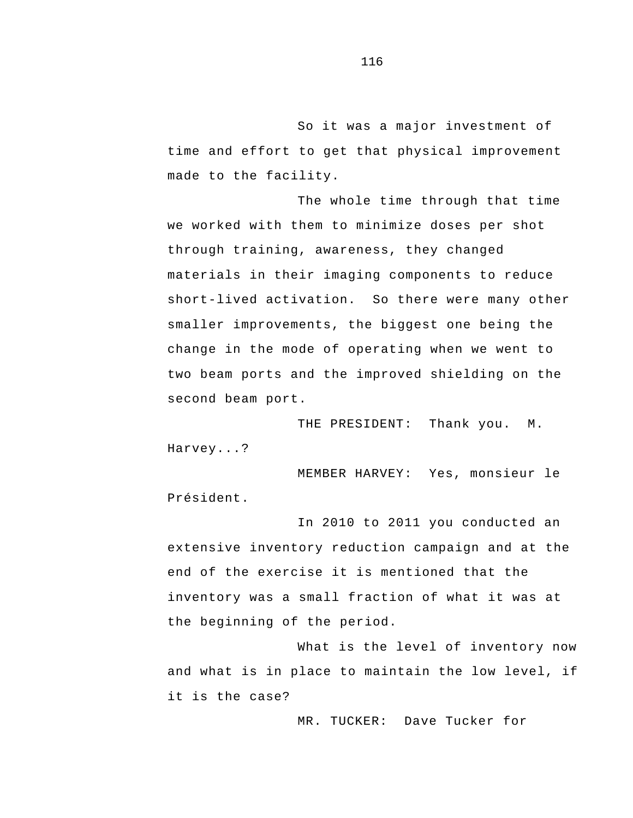So it was a major investment of time and effort to get that physical improvement made to the facility.

The whole time through that time we worked with them to minimize doses per shot through training, awareness, they changed materials in their imaging components to reduce short-lived activation. So there were many other smaller improvements, the biggest one being the change in the mode of operating when we went to two beam ports and the improved shielding on the second beam port.

THE PRESIDENT: Thank you. M. Harvey...?

MEMBER HARVEY: Yes, monsieur le Président.

In 2010 to 2011 you conducted an extensive inventory reduction campaign and at the end of the exercise it is mentioned that the inventory was a small fraction of what it was at the beginning of the period.

What is the level of inventory now and what is in place to maintain the low level, if it is the case?

MR. TUCKER: Dave Tucker for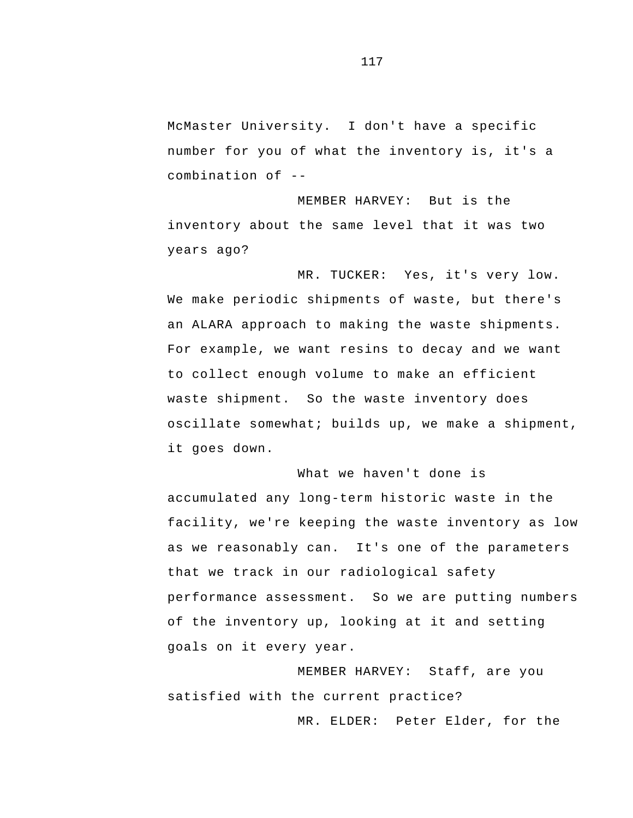McMaster University. I don't have a specific combination of number for you of what the inventory is, it's a

MEMBER HARVEY: But is the inventory about the same level that it was two years ago?

MR. TUCKER: Yes, it's very low. We make periodic shipments of waste, but there's an ALARA approach to making the waste shipments. For example, we want resins to decay and we want to collect enough volume to make an efficient waste shipment. So the waste inventory does oscillate somewhat; builds up, we make a shipment, it goes down.

What we haven't done is accumulated any long-term historic waste in the facility, we're keeping the waste inventory as low as we reasonably can. It's one of the parameters that we track in our radiological safety performance assessment. So we are putting numbers of the inventory up, looking at it and setting goals on it every year.

MEMBER HARVEY: Staff, are you satisfied with the current practice?

MR. ELDER: Peter Elder, for the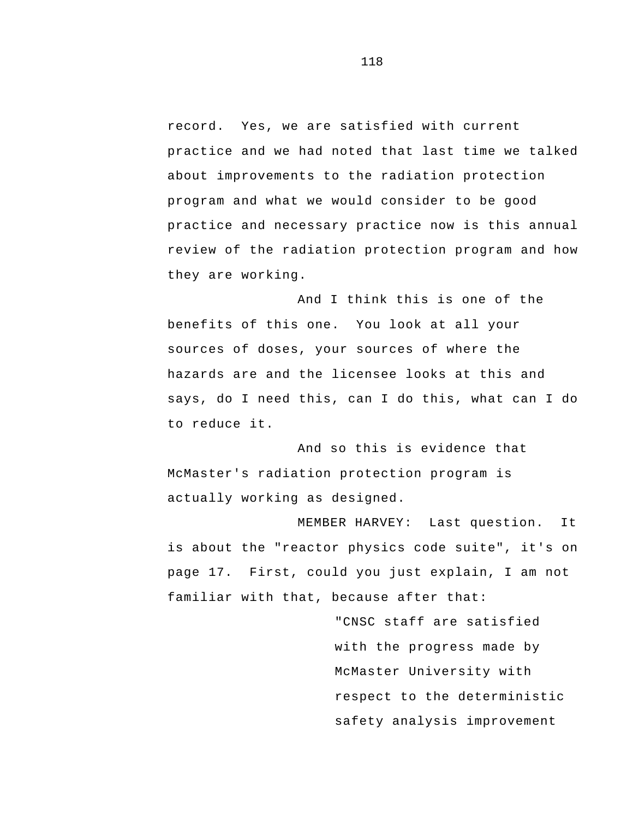record. Yes, we are satisfied with current practice and we had noted that last time we talked about improvements to the radiation protection program and what we would consider to be good practice and necessary practice now is this annual review of the radiation protection program and how they are working.

And I think this is one of the benefits of this one. You look at all your sources of doses, your sources of where the hazards are and the licensee looks at this and says, do I need this, can I do this, what can I do to reduce it.

And so this is evidence that McMaster's radiation protection program is actually working as designed.

MEMBER HARVEY: Last question. It is about the "reactor physics code suite", it's on page 17. First, could you just explain, I am not familiar with that, because after that:

> "CNSC staff are satisfied with the progress made by McMaster University with respect to the deterministic safety analysis improvement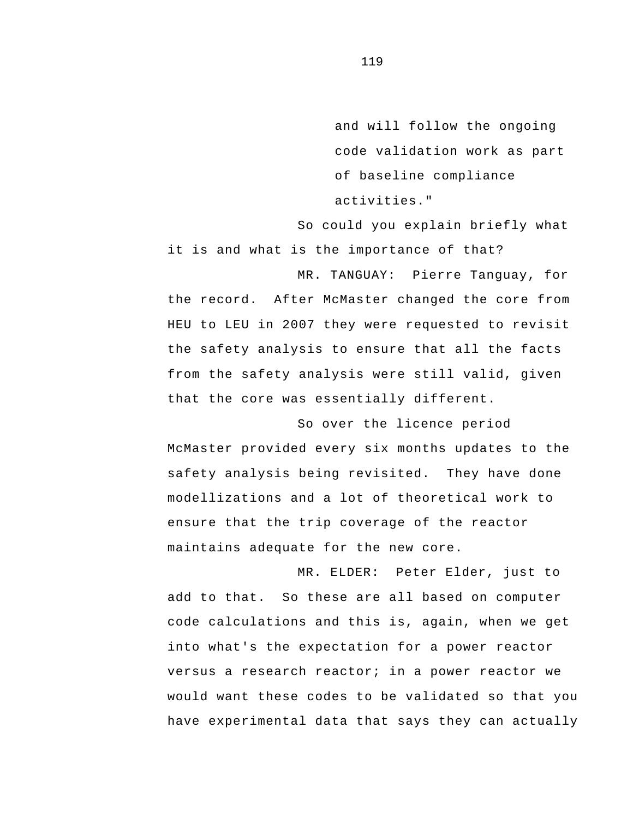and will follow the ongoing code validation work as part of baseline compliance activities."

So could you explain briefly what it is and what is the importance of that?

MR. TANGUAY: Pierre Tanguay, for the record. After McMaster changed the core from HEU to LEU in 2007 they were requested to revisit the safety analysis to ensure that all the facts from the safety analysis were still valid, given that the core was essentially different.

So over the licence period McMaster provided every six months updates to the safety analysis being revisited. They have done modellizations and a lot of theoretical work to ensure that the trip coverage of the reactor maintains adequate for the new core.

MR. ELDER: Peter Elder, just to add to that. So these are all based on computer code calculations and this is, again, when we get into what's the expectation for a power reactor versus a research reactor; in a power reactor we would want these codes to be validated so that you have experimental data that says they can actually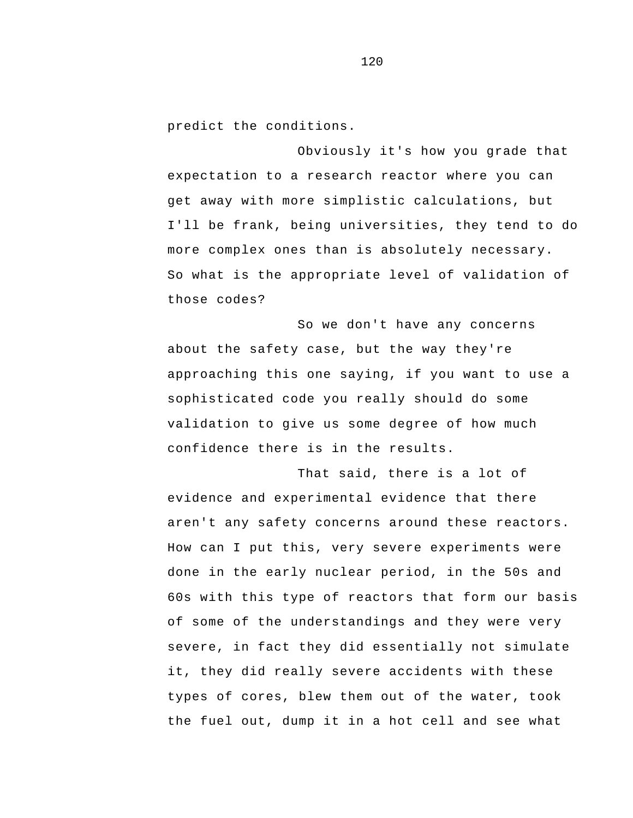predict the conditions.

Obviously it's how you grade that expectation to a research reactor where you can get away with more simplistic calculations, but I'll be frank, being universities, they tend to do more complex ones than is absolutely necessary. So what is the appropriate level of validation of those codes?

So we don't have any concerns about the safety case, but the way they're approaching this one saying, if you want to use a sophisticated code you really should do some validation to give us some degree of how much confidence there is in the results.

 evidence and experimental evidence that there That said, there is a lot of aren't any safety concerns around these reactors. How can I put this, very severe experiments were done in the early nuclear period, in the 50s and 60s with this type of reactors that form our basis of some of the understandings and they were very severe, in fact they did essentially not simulate it, they did really severe accidents with these types of cores, blew them out of the water, took the fuel out, dump it in a hot cell and see what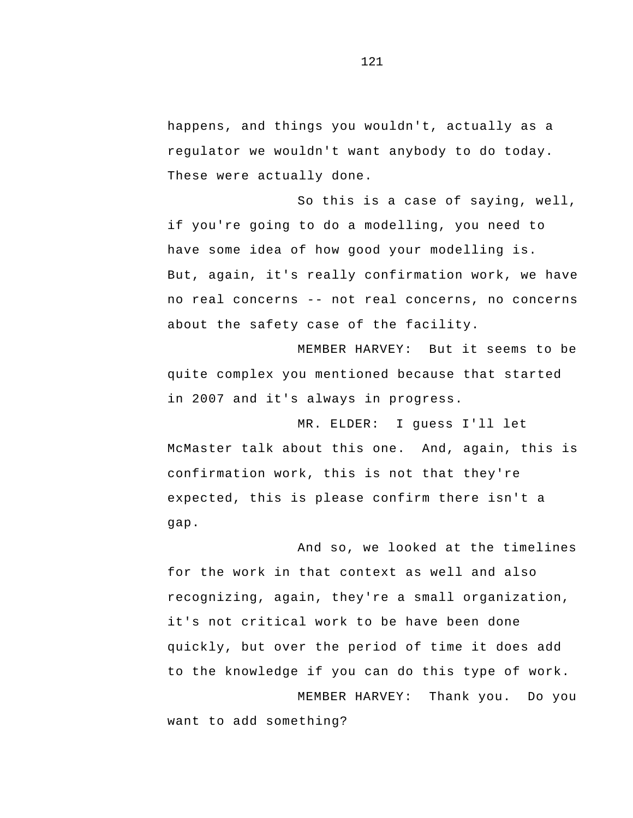happens, and things you wouldn't, actually as a regulator we wouldn't want anybody to do today. These were actually done.

 no real concerns -- not real concerns, no concerns So this is a case of saying, well, if you're going to do a modelling, you need to have some idea of how good your modelling is.<br>But, again, it's really confirmation work, we have about the safety case of the facility.

MEMBER HARVEY: But it seems to be quite complex you mentioned because that started in 2007 and it's always in progress.

MR. ELDER: I guess I'll let McMaster talk about this one. And, again, this is confirmation work, this is not that they're expected, this is please confirm there isn't a gap.

And so, we looked at the timelines for the work in that context as well and also recognizing, again, they're a small organization, it's not critical work to be have been done quickly, but over the period of time it does add to the knowledge if you can do this type of work. MEMBER HARVEY: Thank you. Do you

want to add something?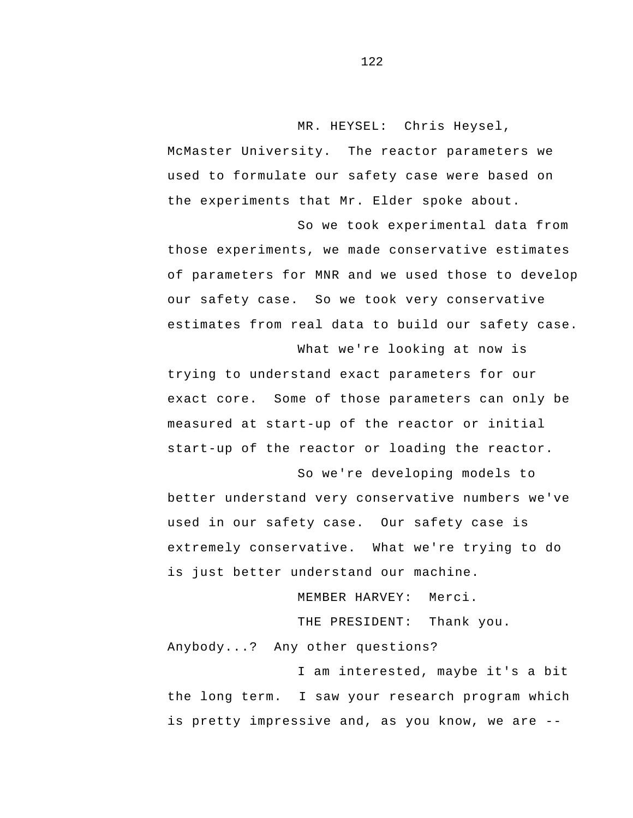MR. HEYSEL: Chris Heysel,

McMaster University. The reactor parameters we used to formulate our safety case were based on the experiments that Mr. Elder spoke about.

So we took experimental data from those experiments, we made conservative estimates of parameters for MNR and we used those to develop our safety case. So we took very conservative estimates from real data to build our safety case.

What we're looking at now is trying to understand exact parameters for our exact core. Some of those parameters can only be measured at start-up of the reactor or initial start-up of the reactor or loading the reactor.

So we're developing models to better understand very conservative numbers we've used in our safety case. Our safety case is extremely conservative. What we're trying to do is just better understand our machine.

MEMBER HARVEY: Merci.

THE PRESIDENT: Thank you.

Anybody...? Any other questions?

 is pretty impressive and, as you know, we are -I am interested, maybe it's a bit the long term. I saw your research program which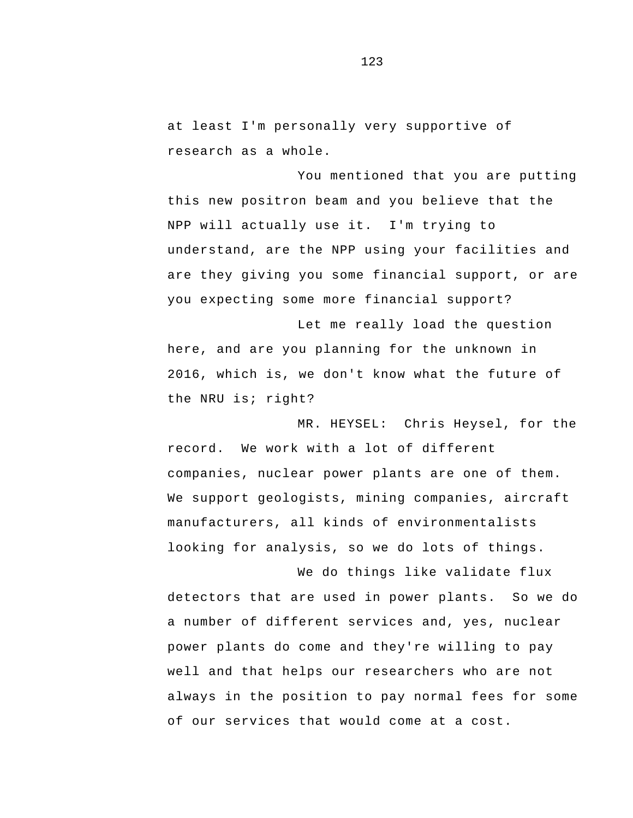at least I'm personally very supportive of research as a whole.

You mentioned that you are putting this new positron beam and you believe that the NPP will actually use it. I'm trying to understand, are the NPP using your facilities and are they giving you some financial support, or are you expecting some more financial support?

Let me really load the question here, and are you planning for the unknown in 2016, which is, we don't know what the future of the NRU is; right?

MR. HEYSEL: Chris Heysel, for the record. We work with a lot of different companies, nuclear power plants are one of them. We support geologists, mining companies, aircraft manufacturers, all kinds of environmentalists looking for analysis, so we do lots of things.

We do things like validate flux detectors that are used in power plants. So we do a number of different services and, yes, nuclear power plants do come and they're willing to pay well and that helps our researchers who are not always in the position to pay normal fees for some of our services that would come at a cost.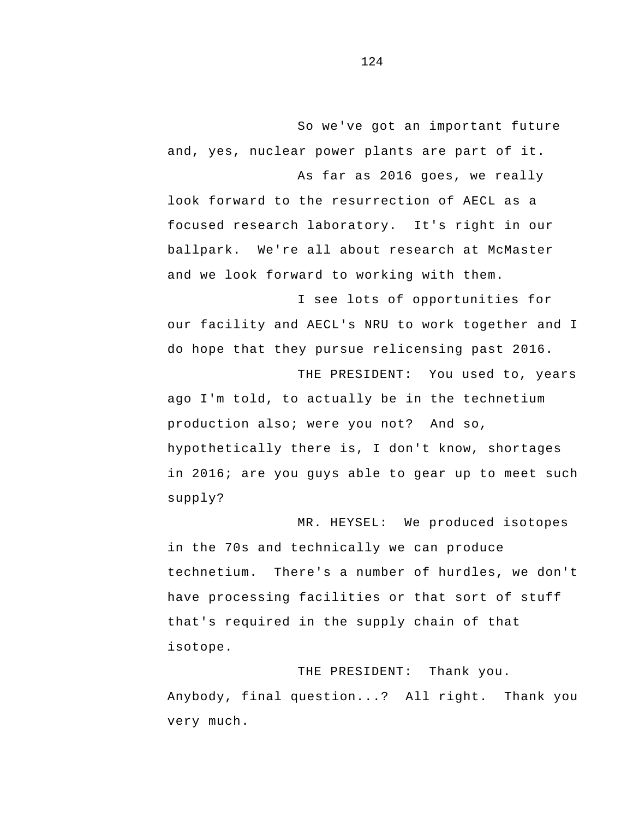So we've got an important future and, yes, nuclear power plants are part of it.

 focused research laboratory. It's right in our As far as 2016 goes, we really look forward to the resurrection of AECL as a ballpark. We're all about research at McMaster and we look forward to working with them.

I see lots of opportunities for our facility and AECL's NRU to work together and I do hope that they pursue relicensing past 2016.

THE PRESIDENT: You used to, years ago I'm told, to actually be in the technetium production also; were you not? And so, hypothetically there is, I don't know, shortages in 2016; are you guys able to gear up to meet such supply?

MR. HEYSEL: We produced isotopes in the 70s and technically we can produce technetium. There's a number of hurdles, we don't have processing facilities or that sort of stuff that's required in the supply chain of that isotope.

THE PRESIDENT: Thank you. Anybody, final question...? All right. Thank you very much.